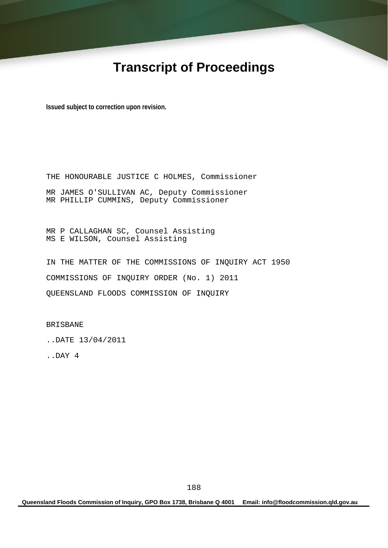# **Transcript of Proceedings**

**Issued subject to correction upon revision.** 

THE HONOURABLE JUSTICE C HOLMES, Commissioner MR JAMES O'SULLIVAN AC, Deputy Commissioner MR PHILLIP CUMMINS, Deputy Commissioner

MR P CALLAGHAN SC, Counsel Assisting MS E WILSON, Counsel Assisting

IN THE MATTER OF THE COMMISSIONS OF INQUIRY ACT 1950 COMMISSIONS OF INQUIRY ORDER (No. 1) 2011 QUEENSLAND FLOODS COMMISSION OF INQUIRY

BRISBANE

..DATE 13/04/2011

..DAY 4

**Queensland Floods Commission of Inquiry, GPO Box 1738, Brisbane Q 4001 Email: info@floodcommission.qld.gov.au**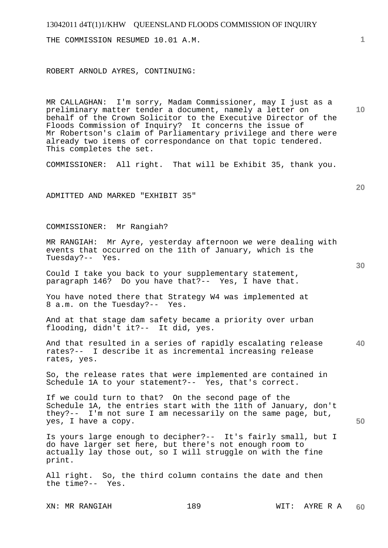| 13042011 d4T(1)1/KHW QUEENSLAND FLOODS COMMISSION OF INQUIRY<br>THE COMMISSION RESUMED 10.01 A.M.                                                                                                                                                                                                                                                                                                                | $\mathbf{1}$    |
|------------------------------------------------------------------------------------------------------------------------------------------------------------------------------------------------------------------------------------------------------------------------------------------------------------------------------------------------------------------------------------------------------------------|-----------------|
| ROBERT ARNOLD AYRES, CONTINUING:                                                                                                                                                                                                                                                                                                                                                                                 |                 |
| MR CALLAGHAN: I'm sorry, Madam Commissioner, may I just as a<br>preliminary matter tender a document, namely a letter on<br>behalf of the Crown Solicitor to the Executive Director of the<br>Floods Commission of Inquiry? It concerns the issue of<br>Mr Robertson's claim of Parliamentary privilege and there were<br>already two items of correspondance on that topic tendered.<br>This completes the set. | 10 <sup>°</sup> |
| COMMISSIONER: All right. That will be Exhibit 35, thank you.                                                                                                                                                                                                                                                                                                                                                     |                 |
| ADMITTED AND MARKED "EXHIBIT 35"                                                                                                                                                                                                                                                                                                                                                                                 | 20              |
| COMMISSIONER: Mr Rangiah?                                                                                                                                                                                                                                                                                                                                                                                        |                 |
| MR RANGIAH: Mr Ayre, yesterday afternoon we were dealing with<br>events that occurred on the 11th of January, which is the<br>Tuesday?-- Yes.                                                                                                                                                                                                                                                                    | 30              |
| Could I take you back to your supplementary statement,<br>paragraph 146? Do you have that?-- Yes, I have that.                                                                                                                                                                                                                                                                                                   |                 |
| You have noted there that Strategy W4 was implemented at<br>8 a.m. on the Tuesday?-- Yes.                                                                                                                                                                                                                                                                                                                        |                 |
| And at that stage dam safety became a priority over urban<br>flooding, didn't it ?-- It did, yes.                                                                                                                                                                                                                                                                                                                |                 |
| And that resulted in a series of rapidly escalating release<br>rates?-- I describe it as incremental increasing release<br>rates, yes.                                                                                                                                                                                                                                                                           | 40              |
| So, the release rates that were implemented are contained in<br>Schedule 1A to your statement?-- Yes, that's correct.                                                                                                                                                                                                                                                                                            |                 |
| If we could turn to that? On the second page of the<br>Schedule 1A, the entries start with the 11th of January, don't<br>they?-- I'm not sure I am necessarily on the same page, but,<br>yes, I have a copy.                                                                                                                                                                                                     | 50              |
| Is yours large enough to decipher?-- It's fairly small, but I<br>do have larger set here, but there's not enough room to<br>actually lay those out, so I will struggle on with the fine<br>print.                                                                                                                                                                                                                |                 |
| All right. So, the third column contains the date and then<br>the time?-- Yes.                                                                                                                                                                                                                                                                                                                                   |                 |

XN: MR RANGIAH 189 WIT: AYRE R A **60**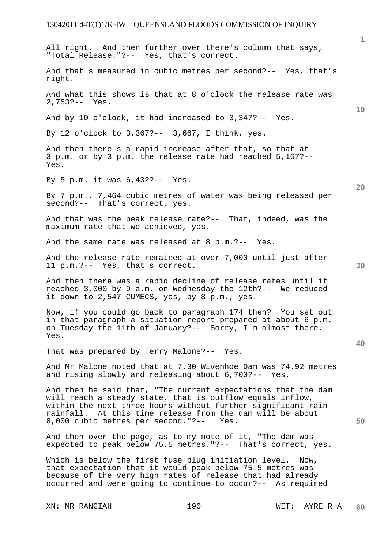**1 10 20 30 40 50**  All right. And then further over there's column that says, "Total Release."?-- Yes, that's correct. And that's measured in cubic metres per second?-- Yes, that's right. And what this shows is that at 8 o'clock the release rate was 2,753?-- Yes. And by 10 o'clock, it had increased to 3,347?-- Yes. By 12 o'clock to 3,367?-- 3,667, I think, yes. And then there's a rapid increase after that, so that at 3 p.m. or by 3 p.m. the release rate had reached 5,167?-- Yes. By 5 p.m. it was 6,432?-- Yes. By 7 p.m., 7,464 cubic metres of water was being released per second?-- That's correct, yes. And that was the peak release rate?-- That, indeed, was the maximum rate that we achieved, yes. And the same rate was released at 8 p.m.?-- Yes. And the release rate remained at over 7,000 until just after 11 p.m.?-- Yes, that's correct. And then there was a rapid decline of release rates until it reached 3,000 by 9 a.m. on Wednesday the 12th?-- We reduced it down to 2,547 CUMECS, yes, by 8 p.m., yes. Now, if you could go back to paragraph 174 then? You set out in that paragraph a situation report prepared at about 6 p.m. on Tuesday the 11th of January?-- Sorry, I'm almost there. Yes. That was prepared by Terry Malone?-- Yes. And Mr Malone noted that at 7.30 Wivenhoe Dam was 74.92 metres and rising slowly and releasing about 6,700?-- Yes. And then he said that, "The current expectations that the dam will reach a steady state, that is outflow equals inflow, within the next three hours without further significant rain rainfall. At this time release from the dam will be about 8,000 cubic metres per second."?-- Yes. And then over the page, as to my note of it, "The dam was expected to peak below 75.5 metres."?-- That's correct, yes. Which is below the first fuse plug initiation level. Now, that expectation that it would peak below 75.5 metres was because of the very high rates of release that had already occurred and were going to continue to occur?-- As required

XN: MR RANGIAH 190 190 WIT: AYRE R A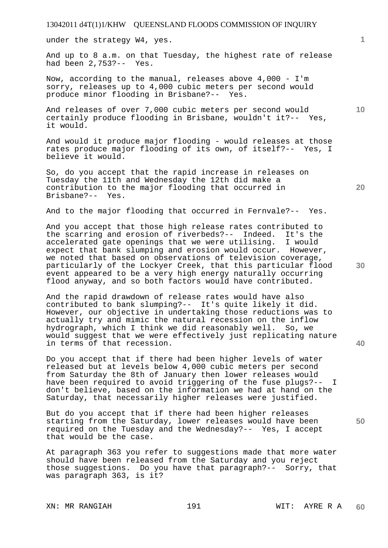under the strategy W4, yes.

And up to 8 a.m. on that Tuesday, the highest rate of release had been 2,753?-- Yes.

Now, according to the manual, releases above 4,000 - I'm sorry, releases up to 4,000 cubic meters per second would produce minor flooding in Brisbane?-- Yes.

And releases of over 7,000 cubic meters per second would certainly produce flooding in Brisbane, wouldn't it?-- Yes, it would.

And would it produce major flooding - would releases at those rates produce major flooding of its own, of itself?-- Yes, I believe it would.

So, do you accept that the rapid increase in releases on Tuesday the 11th and Wednesday the 12th did make a contribution to the major flooding that occurred in Brisbane?-- Yes.

And to the major flooding that occurred in Fernvale?-- Yes.

And you accept that those high release rates contributed to the scarring and erosion of riverbeds?-- Indeed. It's the accelerated gate openings that we were utilising. I would expect that bank slumping and erosion would occur. However, we noted that based on observations of television coverage, particularly of the Lockyer Creek, that this particular flood event appeared to be a very high energy naturally occurring flood anyway, and so both factors would have contributed.

And the rapid drawdown of release rates would have also contributed to bank slumping?-- It's quite likely it did. However, our objective in undertaking those reductions was to actually try and mimic the natural recession on the inflow hydrograph, which I think we did reasonably well. So, we would suggest that we were effectively just replicating nature in terms of that recession.

Do you accept that if there had been higher levels of water released but at levels below 4,000 cubic meters per second from Saturday the 8th of January then lower releases would have been required to avoid triggering of the fuse plugs?-- I don't believe, based on the information we had at hand on the Saturday, that necessarily higher releases were justified.

But do you accept that if there had been higher releases starting from the Saturday, lower releases would have been required on the Tuesday and the Wednesday?-- Yes, I accept that would be the case.

At paragraph 363 you refer to suggestions made that more water should have been released from the Saturday and you reject those suggestions. Do you have that paragraph?-- Sorry, that was paragraph 363, is it?

XN: MR RANGIAH 191 WIT: AYRE R A

**20** 

**10** 

**40**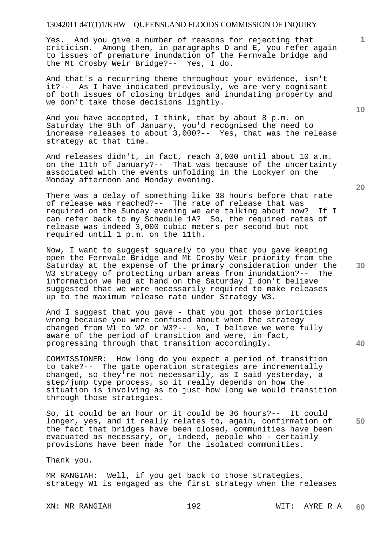Yes. And you give a number of reasons for rejecting that criticism. Among them, in paragraphs D and E, you refer again to issues of premature inundation of the Fernvale bridge and the Mt Crosby Weir Bridge?-- Yes, I do.

And that's a recurring theme throughout your evidence, isn't it?-- As I have indicated previously, we are very cognisant of both issues of closing bridges and inundating property and we don't take those decisions lightly.

And you have accepted, I think, that by about 8 p.m. on Saturday the 9th of January, you'd recognised the need to increase releases to about 3,000?-- Yes, that was the release strategy at that time.

And releases didn't, in fact, reach 3,000 until about 10 a.m. on the 11th of January?-- That was because of the uncertainty associated with the events unfolding in the Lockyer on the Monday afternoon and Monday evening.

There was a delay of something like 38 hours before that rate of release was reached?-- The rate of release that was required on the Sunday evening we are talking about now? If I can refer back to my Schedule 1A? So, the required rates of release was indeed 3,000 cubic meters per second but not required until 1 p.m. on the 11th.

Now, I want to suggest squarely to you that you gave keeping open the Fernvale Bridge and Mt Crosby Weir priority from the Saturday at the expense of the primary consideration under the W3 strategy of protecting urban areas from inundation?-- The information we had at hand on the Saturday I don't believe suggested that we were necessarily required to make releases up to the maximum release rate under Strategy W3.

And I suggest that you gave - that you got those priorities wrong because you were confused about when the strategy changed from W1 to W2 or W3?-- No, I believe we were fully aware of the period of transition and were, in fact, progressing through that transition accordingly.

COMMISSIONER: How long do you expect a period of transition to take?-- The gate operation strategies are incrementally changed, so they're not necessarily, as I said yesterday, a step/jump type process, so it really depends on how the situation is involving as to just how long we would transition through those strategies.

So, it could be an hour or it could be 36 hours?-- It could longer, yes, and it really relates to, again, confirmation of the fact that bridges have been closed, communities have been evacuated as necessary, or, indeed, people who - certainly provisions have been made for the isolated communities.

Thank you.

MR RANGIAH: Well, if you get back to those strategies, strategy W1 is engaged as the first strategy when the releases

**10** 

**1**

**20** 

**40** 

**50**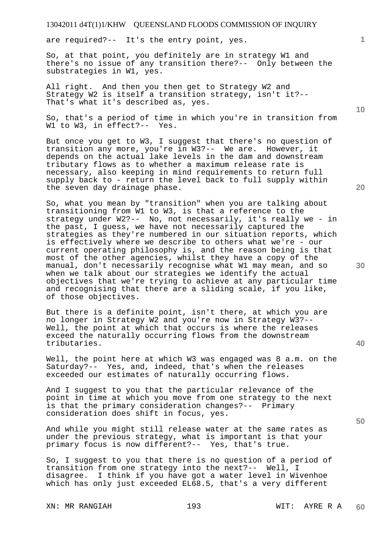are required?-- It's the entry point, yes.

So, at that point, you definitely are in strategy W1 and there's no issue of any transition there?-- Only between the substrategies in W1, yes.

All right. And then you then get to Strategy W2 and Strategy W2 is itself a transition strategy, isn't it?-- That's what it's described as, yes.

So, that's a period of time in which you're in transition from W1 to W3, in effect?-- Yes.

But once you get to W3, I suggest that there's no question of transition any more, you're in W3?-- We are. However, it depends on the actual lake levels in the dam and downstream tributary flows as to whether a maximum release rate is necessary, also keeping in mind requirements to return full supply back to - return the level back to full supply within the seven day drainage phase.

So, what you mean by "transition" when you are talking about transitioning from W1 to W3, is that a reference to the strategy under W2?-- No, not necessarily, it's really we - in the past, I guess, we have not necessarily captured the strategies as they're numbered in our situation reports, which is effectively where we describe to others what we're - our current operating philosophy is, and the reason being is that most of the other agencies, whilst they have a copy of the manual, don't necessarily recognise what W1 may mean, and so when we talk about our strategies we identify the actual objectives that we're trying to achieve at any particular time and recognising that there are a sliding scale, if you like, of those objectives.

But there is a definite point, isn't there, at which you are no longer in Strategy W2 and you're now in Strategy W3?-- Well, the point at which that occurs is where the releases exceed the naturally occurring flows from the downstream tributaries.

Well, the point here at which W3 was engaged was 8 a.m. on the Saturday?-- Yes, and, indeed, that's when the releases exceeded our estimates of naturally occurring flows.

And I suggest to you that the particular relevance of the point in time at which you move from one strategy to the next is that the primary consideration changes?-- Primary consideration does shift in focus, yes.

And while you might still release water at the same rates as under the previous strategy, what is important is that your primary focus is now different?-- Yes, that's true.

So, I suggest to you that there is no question of a period of transition from one strategy into the next?-- Well, I disagree. I think if you have got a water level in Wivenhoe which has only just exceeded EL68.5, that's a very different

**20** 



**30** 

**40** 

**50** 

**10**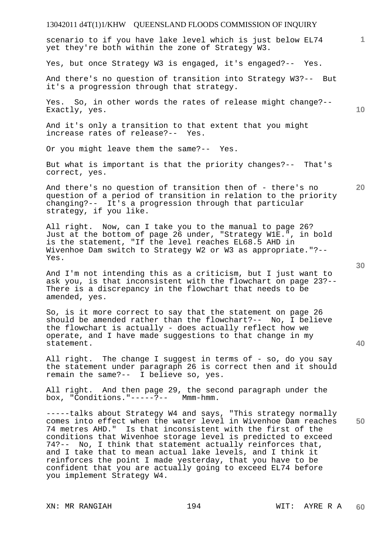# 13042011 d4T(1)1/KHW QUEENSLAND FLOODS COMMISSION OF INQUIRY **1 10 20 30 40**  scenario to if you have lake level which is just below EL74 yet they're both within the zone of Strategy W3. Yes, but once Strategy W3 is engaged, it's engaged?-- Yes. And there's no question of transition into Strategy W3?-- But it's a progression through that strategy. Yes. So, in other words the rates of release might change?-- Exactly, yes. And it's only a transition to that extent that you might increase rates of release?-- Yes. Or you might leave them the same?-- Yes. But what is important is that the priority changes?-- That's correct, yes. And there's no question of transition then of - there's no question of a period of transition in relation to the priority changing?-- It's a progression through that particular strategy, if you like. All right. Now, can I take you to the manual to page 26? Just at the bottom of page 26 under, "Strategy W1E.", in bold is the statement, "If the level reaches EL68.5 AHD in Wivenhoe Dam switch to Strategy W2 or W3 as appropriate."?-- Yes. And I'm not intending this as a criticism, but I just want to ask you, is that inconsistent with the flowchart on page 23?-- There is a discrepancy in the flowchart that needs to be amended, yes. So, is it more correct to say that the statement on page 26 should be amended rather than the flowchart?-- No, I believe the flowchart is actually - does actually reflect how we operate, and I have made suggestions to that change in my statement. All right. The change I suggest in terms of - so, do you say the statement under paragraph 26 is correct then and it should remain the same?-- I believe so, yes. All right. And then page 29, the second paragraph under the box, "Conditions."-----?-- Mmm-hmm.

**50**  -----talks about Strategy W4 and says, "This strategy normally comes into effect when the water level in Wivenhoe Dam reaches 74 metres AHD." Is that inconsistent with the first of the conditions that Wivenhoe storage level is predicted to exceed 74?-- No, I think that statement actually reinforces that, and I take that to mean actual lake levels, and I think it reinforces the point I made yesterday, that you have to be confident that you are actually going to exceed EL74 before you implement Strategy W4.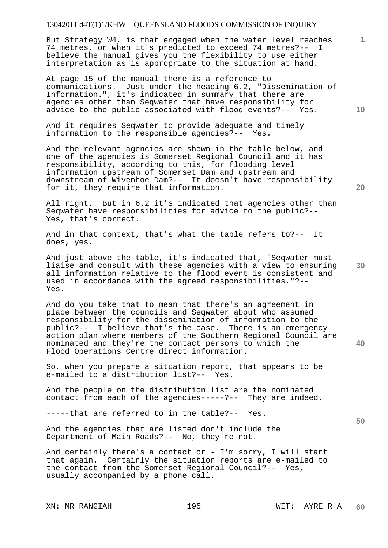But Strategy W4, is that engaged when the water level reaches 74 metres, or when it's predicted to exceed 74 metres?-- I believe the manual gives you the flexibility to use either interpretation as is appropriate to the situation at hand.

At page 15 of the manual there is a reference to communications. Just under the heading 6.2, "Dissemination of Information.", it's indicated in summary that there are agencies other than Seqwater that have responsibility for advice to the public associated with flood events?-- Yes.

And it requires Seqwater to provide adequate and timely information to the responsible agencies?-- Yes.

And the relevant agencies are shown in the table below, and one of the agencies is Somerset Regional Council and it has responsibility, according to this, for flooding level information upstream of Somerset Dam and upstream and downstream of Wivenhoe Dam?-- It doesn't have responsibility for it, they require that information.

All right. But in 6.2 it's indicated that agencies other than Seqwater have responsibilities for advice to the public?-- Yes, that's correct.

And in that context, that's what the table refers to?-- It does, yes.

And just above the table, it's indicated that, "Seqwater must liaise and consult with these agencies with a view to ensuring all information relative to the flood event is consistent and used in accordance with the agreed responsibilities."?-- Yes.

And do you take that to mean that there's an agreement in place between the councils and Seqwater about who assumed responsibility for the dissemination of information to the public?-- I believe that's the case. There is an emergency action plan where members of the Southern Regional Council are nominated and they're the contact persons to which the Flood Operations Centre direct information.

So, when you prepare a situation report, that appears to be e-mailed to a distribution list?-- Yes.

And the people on the distribution list are the nominated contact from each of the agencies-----?-- They are indeed.

-----that are referred to in the table?-- Yes.

And the agencies that are listed don't include the Department of Main Roads?-- No, they're not.

And certainly there's a contact or - I'm sorry, I will start that again. Certainly the situation reports are e-mailed to the contact from the Somerset Regional Council?-- Yes, usually accompanied by a phone call.

**10** 

**1**

**20** 

**30** 

**50**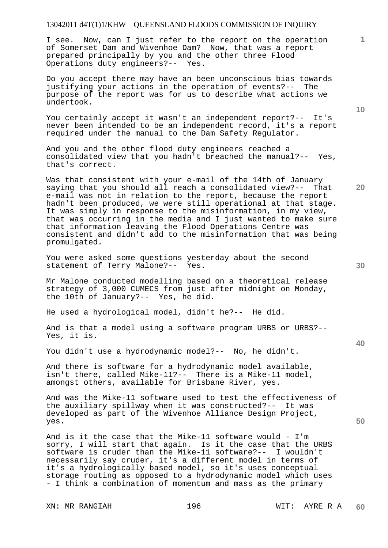I see. Now, can I just refer to the report on the operation of Somerset Dam and Wivenhoe Dam? Now, that was a report prepared principally by you and the other three Flood Operations duty engineers?-- Yes.

Do you accept there may have an been unconscious bias towards justifying your actions in the operation of events?-- The purpose of the report was for us to describe what actions we undertook.

You certainly accept it wasn't an independent report?-- It's never been intended to be an independent record, it's a report required under the manual to the Dam Safety Regulator.

And you and the other flood duty engineers reached a consolidated view that you hadn't breached the manual?-- Yes, that's correct.

Was that consistent with your e-mail of the 14th of January saying that you should all reach a consolidated view?-- That e-mail was not in relation to the report, because the report hadn't been produced, we were still operational at that stage. It was simply in response to the misinformation, in my view, that was occurring in the media and I just wanted to make sure that information leaving the Flood Operations Centre was consistent and didn't add to the misinformation that was being promulgated.

You were asked some questions yesterday about the second statement of Terry Malone?-- Yes.

Mr Malone conducted modelling based on a theoretical release strategy of 3,000 CUMECS from just after midnight on Monday, the 10th of January?-- Yes, he did.

He used a hydrological model, didn't he?-- He did.

And is that a model using a software program URBS or URBS?-- Yes, it is.

You didn't use a hydrodynamic model?-- No, he didn't.

And there is software for a hydrodynamic model available, isn't there, called Mike-11?-- There is a Mike-11 model, amongst others, available for Brisbane River, yes.

And was the Mike-11 software used to test the effectiveness of the auxiliary spillway when it was constructed?-- It was developed as part of the Wivenhoe Alliance Design Project, yes.

And is it the case that the Mike-11 software would - I'm sorry, I will start that again. Is it the case that the URBS software is cruder than the Mike-11 software?-- I wouldn't necessarily say cruder, it's a different model in terms of it's a hydrologically based model, so it's uses conceptual storage routing as opposed to a hydrodynamic model which uses - I think a combination of momentum and mass as the primary

XN: MR RANGIAH 196 196 WIT: AYRE R A

**10** 

**20** 

**30** 

**50**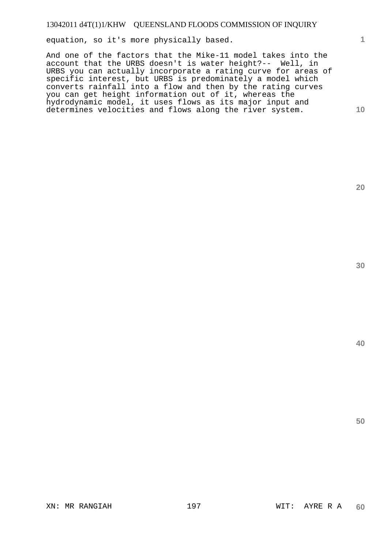equation, so it's more physically based.

And one of the factors that the Mike-11 model takes into the account that the URBS doesn't is water height?-- Well, in URBS you can actually incorporate a rating curve for areas of specific interest, but URBS is predominately a model which converts rainfall into a flow and then by the rating curves you can get height information out of it, whereas the hydrodynamic model, it uses flows as its major input and determines velocities and flows along the river system.

**20** 

**1**

**10**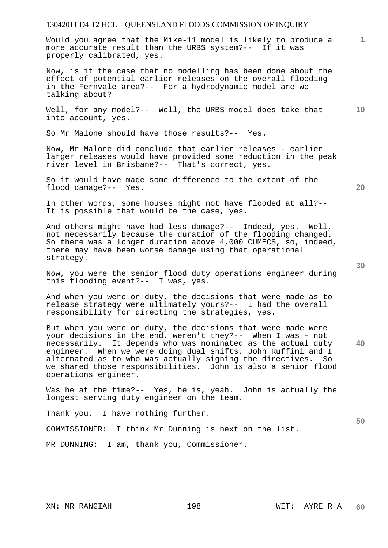Would you agree that the Mike-11 model is likely to produce a more accurate result than the URBS system?-- If it was properly calibrated, yes.

Now, is it the case that no modelling has been done about the effect of potential earlier releases on the overall flooding in the Fernvale area?-- For a hydrodynamic model are we talking about?

**10**  Well, for any model?-- Well, the URBS model does take that into account, yes.

So Mr Malone should have those results?-- Yes.

Now, Mr Malone did conclude that earlier releases - earlier larger releases would have provided some reduction in the peak river level in Brisbane?-- That's correct, yes.

So it would have made some difference to the extent of the flood damage?-- Yes.

In other words, some houses might not have flooded at all?-- It is possible that would be the case, yes.

And others might have had less damage?-- Indeed, yes. Well, not necessarily because the duration of the flooding changed. So there was a longer duration above 4,000 CUMECS, so, indeed, there may have been worse damage using that operational strategy.

Now, you were the senior flood duty operations engineer during this flooding event?-- I was, yes.

And when you were on duty, the decisions that were made as to release strategy were ultimately yours?-- I had the overall responsibility for directing the strategies, yes.

**40**  But when you were on duty, the decisions that were made were your decisions in the end, weren't they?-- When I was - not necessarily. It depends who was nominated as the actual duty engineer. When we were doing dual shifts, John Ruffini and I alternated as to who was actually signing the directives. So we shared those responsibilities. John is also a senior flood operations engineer.

Was he at the time?-- Yes, he is, yeah. John is actually the longest serving duty engineer on the team.

Thank you. I have nothing further.

COMMISSIONER: I think Mr Dunning is next on the list.

MR DUNNING: I am, thank you, Commissioner.

**20** 

**1**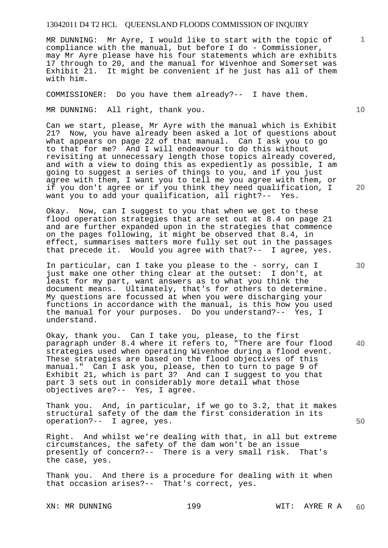MR DUNNING: Mr Ayre, I would like to start with the topic of compliance with the manual, but before I do - Commissioner, may Mr Ayre please have his four statements which are exhibits 17 through to 20, and the manual for Wivenhoe and Somerset was Exhibit 21. It might be convenient if he just has all of them with him.

COMMISSIONER: Do you have them already?-- I have them.

MR DUNNING: All right, thank you.

Can we start, please, Mr Ayre with the manual which is Exhibit 21? Now, you have already been asked a lot of questions about what appears on page 22 of that manual. Can I ask you to go to that for me? And I will endeavour to do this without revisiting at unnecessary length those topics already covered, and with a view to doing this as expediently as possible, I am going to suggest a series of things to you, and if you just agree with them, I want you to tell me you agree with them, or if you don't agree or if you think they need qualification, I want you to add your qualification, all right?-- Yes.

Okay. Now, can I suggest to you that when we get to these flood operation strategies that are set out at 8.4 on page 21 and are further expanded upon in the strategies that commence on the pages following, it might be observed that 8.4, in effect, summarises matters more fully set out in the passages that precede it. Would you agree with that?-- I agree, yes.

In particular, can I take you please to the - sorry, can I just make one other thing clear at the outset: I don't, at least for my part, want answers as to what you think the document means. Ultimately, that's for others to determine. My questions are focussed at when you were discharging your functions in accordance with the manual, is this how you used the manual for your purposes. Do you understand?-- Yes, I understand.

Okay, thank you. Can I take you, please, to the first paragraph under 8.4 where it refers to, "There are four flood strategies used when operating Wivenhoe during a flood event. These strategies are based on the flood objectives of this manual." Can I ask you, please, then to turn to page 9 of Exhibit 21, which is part 3? And can I suggest to you that part 3 sets out in considerably more detail what those objectives are?-- Yes, I agree.

Thank you. And, in particular, if we go to 3.2, that it makes structural safety of the dam the first consideration in its operation?-- I agree, yes.

Right. And whilst we're dealing with that, in all but extreme circumstances, the safety of the dam won't be an issue presently of concern?-- There is a very small risk. That's the case, yes.

Thank you. And there is a procedure for dealing with it when that occasion arises?-- That's correct, yes.

XN: MR DUNNING 199 WIT: AYRE R A

**10** 

**1**

**20** 

**40** 

**50**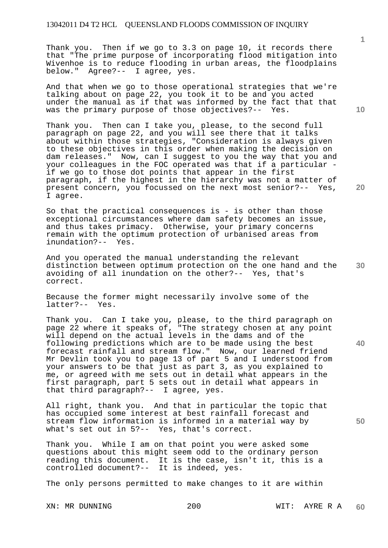Thank you. Then if we go to 3.3 on page 10, it records there that "The prime purpose of incorporating flood mitigation into Wivenhoe is to reduce flooding in urban areas, the floodplains below." Agree?-- I agree, yes.

And that when we go to those operational strategies that we're talking about on page 22, you took it to be and you acted under the manual as if that was informed by the fact that that was the primary purpose of those objectives?-- Yes.

Thank you. Then can I take you, please, to the second full paragraph on page 22, and you will see there that it talks about within those strategies, "Consideration is always given to these objectives in this order when making the decision on dam releases." Now, can I suggest to you the way that you and your colleagues in the FOC operated was that if a particular if we go to those dot points that appear in the first paragraph, if the highest in the hierarchy was not a matter of present concern, you focussed on the next most senior?-- Yes, I agree.

So that the practical consequences is - is other than those exceptional circumstances where dam safety becomes an issue, and thus takes primacy. Otherwise, your primary concerns remain with the optimum protection of urbanised areas from inundation?-- Yes.

**30**  And you operated the manual understanding the relevant distinction between optimum protection on the one hand and the avoiding of all inundation on the other?-- Yes, that's correct.

Because the former might necessarily involve some of the latter?-- Yes.

Thank you. Can I take you, please, to the third paragraph on page 22 where it speaks of, "The strategy chosen at any point will depend on the actual levels in the dams and of the following predictions which are to be made using the best forecast rainfall and stream flow." Now, our learned friend Mr Devlin took you to page 13 of part 5 and I understood from your answers to be that just as part 3, as you explained to me, or agreed with me sets out in detail what appears in the first paragraph, part 5 sets out in detail what appears in that third paragraph?-- I agree, yes.

All right, thank you. And that in particular the topic that has occupied some interest at best rainfall forecast and stream flow information is informed in a material way by what's set out in 5?-- Yes, that's correct.

Thank you. While I am on that point you were asked some questions about this might seem odd to the ordinary person reading this document. It is the case, isn't it, this is a controlled document?-- It is indeed, yes.

The only persons permitted to make changes to it are within

XN: MR DUNNING 200 WIT: AYRE R A

**10** 

**1**

**20** 

**40**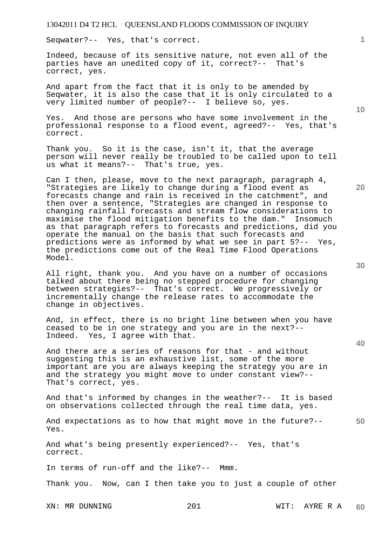Seqwater?-- Yes, that's correct.

Indeed, because of its sensitive nature, not even all of the parties have an unedited copy of it, correct?-- That's correct, yes.

And apart from the fact that it is only to be amended by Seqwater, it is also the case that it is only circulated to a very limited number of people?-- I believe so, yes.

Yes. And those are persons who have some involvement in the professional response to a flood event, agreed?-- Yes, that's correct.

Thank you. So it is the case, isn't it, that the average person will never really be troubled to be called upon to tell us what it means?-- That's true, yes.

Can I then, please, move to the next paragraph, paragraph 4, "Strategies are likely to change during a flood event as forecasts change and rain is received in the catchment", and then over a sentence, "Strategies are changed in response to changing rainfall forecasts and stream flow considerations to maximise the flood mitigation benefits to the dam." Insomuch as that paragraph refers to forecasts and predictions, did you operate the manual on the basis that such forecasts and predictions were as informed by what we see in part 5?-- Yes, the predictions come out of the Real Time Flood Operations Model.

All right, thank you. And you have on a number of occasions talked about there being no stepped procedure for changing between strategies?-- That's correct. We progressively or incrementally change the release rates to accommodate the change in objectives.

And, in effect, there is no bright line between when you have ceased to be in one strategy and you are in the next?-- Indeed. Yes, I agree with that.

And there are a series of reasons for that - and without suggesting this is an exhaustive list, some of the more important are you are always keeping the strategy you are in and the strategy you might move to under constant view?-- That's correct, yes.

And that's informed by changes in the weather?-- It is based on observations collected through the real time data, yes.

**50**  And expectations as to how that might move in the future?-- Yes.

And what's being presently experienced?-- Yes, that's correct.

In terms of run-off and the like?-- Mmm.

Thank you. Now, can I then take you to just a couple of other

XN: MR DUNNING 201 WIT: AYRE R A

**10** 

**20** 

**1**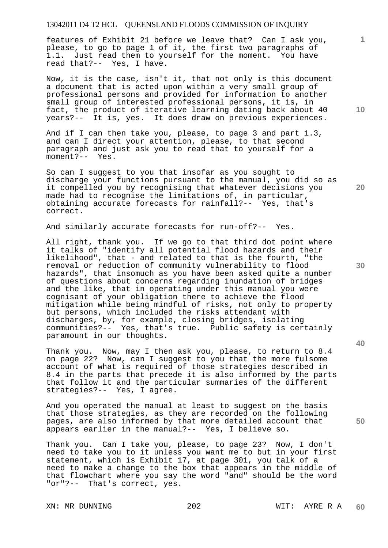features of Exhibit 21 before we leave that? Can I ask you, please, to go to page 1 of it, the first two paragraphs of 1.1. Just read them to yourself for the moment. You have read that?-- Yes, I have.

Now, it is the case, isn't it, that not only is this document a document that is acted upon within a very small group of professional persons and provided for information to another small group of interested professional persons, it is, in fact, the product of iterative learning dating back about 40 years?-- It is, yes. It does draw on previous experiences.

And if I can then take you, please, to page 3 and part 1.3, and can I direct your attention, please, to that second paragraph and just ask you to read that to yourself for a moment?-- Yes.

So can I suggest to you that insofar as you sought to discharge your functions pursuant to the manual, you did so as it compelled you by recognising that whatever decisions you made had to recognise the limitations of, in particular, obtaining accurate forecasts for rainfall?-- Yes, that's correct.

And similarly accurate forecasts for run-off?-- Yes.

All right, thank you. If we go to that third dot point where it talks of "identify all potential flood hazards and their likelihood", that - and related to that is the fourth, "the removal or reduction of community vulnerability to flood hazards", that insomuch as you have been asked quite a number of questions about concerns regarding inundation of bridges and the like, that in operating under this manual you were cognisant of your obligation there to achieve the flood mitigation while being mindful of risks, not only to property but persons, which included the risks attendant with discharges, by, for example, closing bridges, isolating communities?-- Yes, that's true. Public safety is certainly paramount in our thoughts.

Thank you. Now, may I then ask you, please, to return to 8.4 on page 22? Now, can I suggest to you that the more fulsome account of what is required of those strategies described in 8.4 in the parts that precede it is also informed by the parts that follow it and the particular summaries of the different strategies?-- Yes, I agree.

And you operated the manual at least to suggest on the basis that those strategies, as they are recorded on the following pages, are also informed by that more detailed account that appears earlier in the manual?-- Yes, I believe so.

Thank you. Can I take you, please, to page 23? Now, I don't need to take you to it unless you want me to but in your first statement, which is Exhibit 17, at page 301, you talk of a need to make a change to the box that appears in the middle of that flowchart where you say the word "and" should be the word "or"?-- That's correct, yes.

XN: MR DUNNING  $202$  202 WIT: AYRE R A

**10** 

**1**

**20** 

**30** 

**40**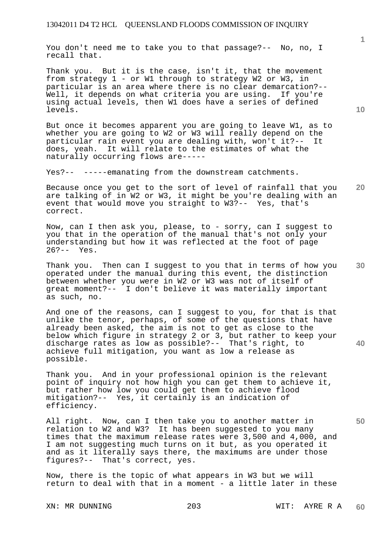You don't need me to take you to that passage?-- No, no, I recall that.

Thank you. But it is the case, isn't it, that the movement from strategy 1 - or W1 through to strategy W2 or W3, in particular is an area where there is no clear demarcation?-- Well, it depends on what criteria you are using. If you're using actual levels, then W1 does have a series of defined levels.

But once it becomes apparent you are going to leave W1, as to whether you are going to W2 or W3 will really depend on the particular rain event you are dealing with, won't it?-- It does, yeah. It will relate to the estimates of what the naturally occurring flows are-----

Yes?-- -----emanating from the downstream catchments.

**20**  Because once you get to the sort of level of rainfall that you are talking of in W2 or W3, it might be you're dealing with an event that would move you straight to W3?-- Yes, that's correct.

Now, can I then ask you, please, to - sorry, can I suggest to you that in the operation of the manual that's not only your understanding but how it was reflected at the foot of page 26?-- Yes.

Thank you. Then can I suggest to you that in terms of how you operated under the manual during this event, the distinction between whether you were in W2 or W3 was not of itself of great moment?-- I don't believe it was materially important as such, no.

And one of the reasons, can I suggest to you, for that is that unlike the tenor, perhaps, of some of the questions that have already been asked, the aim is not to get as close to the below which figure in strategy 2 or 3, but rather to keep your discharge rates as low as possible?-- That's right, to achieve full mitigation, you want as low a release as possible.

Thank you. And in your professional opinion is the relevant point of inquiry not how high you can get them to achieve it, but rather how low you could get them to achieve flood mitigation?-- Yes, it certainly is an indication of efficiency.

All right. Now, can I then take you to another matter in relation to W2 and W3? It has been suggested to you many times that the maximum release rates were 3,500 and 4,000, and I am not suggesting much turns on it but, as you operated it and as it literally says there, the maximums are under those figures?-- That's correct, yes.

Now, there is the topic of what appears in W3 but we will return to deal with that in a moment - a little later in these

XN: MR DUNNING 203 WIT: AYRE R A **60** 

**10** 

**1**

**30** 

**50**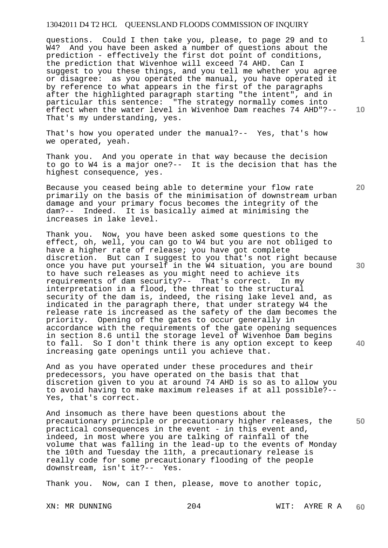questions. Could I then take you, please, to page 29 and to W4? And you have been asked a number of questions about the prediction - effectively the first dot point of conditions, the prediction that Wivenhoe will exceed 74 AHD. Can I suggest to you these things, and you tell me whether you agree or disagree: as you operated the manual, you have operated it by reference to what appears in the first of the paragraphs after the highlighted paragraph starting "the intent", and in particular this sentence: "The strategy normally comes into effect when the water level in Wivenhoe Dam reaches 74 AHD"?-- That's my understanding, yes.

That's how you operated under the manual?-- Yes, that's how we operated, yeah.

Thank you. And you operate in that way because the decision to go to W4 is a major one?-- It is the decision that has the highest consequence, yes.

Because you ceased being able to determine your flow rate primarily on the basis of the minimisation of downstream urban damage and your primary focus becomes the integrity of the dam?-- Indeed. It is basically aimed at minimising the increases in lake level.

Thank you. Now, you have been asked some questions to the effect, oh, well, you can go to W4 but you are not obliged to have a higher rate of release; you have got complete discretion. But can I suggest to you that's not right because once you have put yourself in the W4 situation, you are bound to have such releases as you might need to achieve its requirements of dam security?-- That's correct. In my interpretation in a flood, the threat to the structural security of the dam is, indeed, the rising lake level and, as indicated in the paragraph there, that under strategy W4 the release rate is increased as the safety of the dam becomes the priority. Opening of the gates to occur generally in accordance with the requirements of the gate opening sequences in section 8.6 until the storage level of Wivenhoe Dam begins to fall. So I don't think there is any option except to keep increasing gate openings until you achieve that.

And as you have operated under these procedures and their predecessors, you have operated on the basis that that discretion given to you at around 74 AHD is so as to allow you to avoid having to make maximum releases if at all possible?-- Yes, that's correct.

**50**  And insomuch as there have been questions about the precautionary principle or precautionary higher releases, the practical consequences in the event - in this event and, indeed, in most where you are talking of rainfall of the volume that was falling in the lead-up to the events of Monday the 10th and Tuesday the 11th, a precautionary release is really code for some precautionary flooding of the people downstream, isn't it?-- Yes.

Thank you. Now, can I then, please, move to another topic,

**10** 

**1**

**20** 

**30**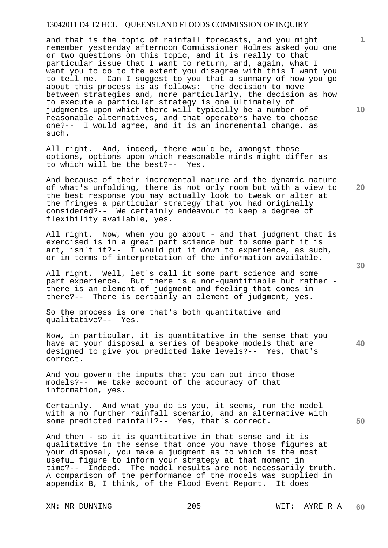and that is the topic of rainfall forecasts, and you might remember yesterday afternoon Commissioner Holmes asked you one or two questions on this topic, and it is really to that particular issue that I want to return, and, again, what I want you to do to the extent you disagree with this I want you to tell me. Can I suggest to you that a summary of how you go about this process is as follows: the decision to move between strategies and, more particularly, the decision as how to execute a particular strategy is one ultimately of judgments upon which there will typically be a number of reasonable alternatives, and that operators have to choose one?-- I would agree, and it is an incremental change, as such.

All right. And, indeed, there would be, amongst those options, options upon which reasonable minds might differ as to which will be the best?-- Yes.

And because of their incremental nature and the dynamic nature of what's unfolding, there is not only room but with a view to the best response you may actually look to tweak or alter at the fringes a particular strategy that you had originally considered?-- We certainly endeavour to keep a degree of flexibility available, yes.

All right. Now, when you go about - and that judgment that is exercised is in a great part science but to some part it is art, isn't it?-- I would put it down to experience, as such, or in terms of interpretation of the information available.

All right. Well, let's call it some part science and some part experience. But there is a non-quantifiable but rather there is an element of judgment and feeling that comes in there?-- There is certainly an element of judgment, yes.

So the process is one that's both quantitative and qualitative?-- Yes.

Now, in particular, it is quantitative in the sense that you have at your disposal a series of bespoke models that are designed to give you predicted lake levels?-- Yes, that's correct.

And you govern the inputs that you can put into those models?-- We take account of the accuracy of that information, yes.

Certainly. And what you do is you, it seems, run the model with a no further rainfall scenario, and an alternative with some predicted rainfall?-- Yes, that's correct.

And then - so it is quantitative in that sense and it is qualitative in the sense that once you have those figures at your disposal, you make a judgment as to which is the most useful figure to inform your strategy at that moment in time?-- Indeed. The model results are not necessarily truth. A comparison of the performance of the models was supplied in appendix B, I think, of the Flood Event Report. It does

XN: MR DUNNING 205 WIT: AYRE R A

**30** 

**20** 

**40** 

**1**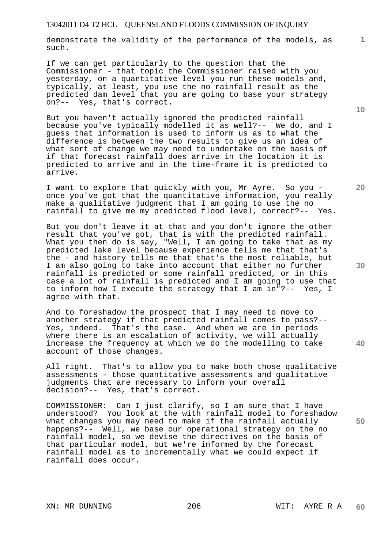demonstrate the validity of the performance of the models, as such.

If we can get particularly to the question that the Commissioner - that topic the Commissioner raised with you yesterday, on a quantitative level you run these models and, typically, at least, you use the no rainfall result as the predicted dam level that you are going to base your strategy on?-- Yes, that's correct.

But you haven't actually ignored the predicted rainfall because you've typically modelled it as well?-- We do, and I guess that information is used to inform us as to what the difference is between the two results to give us an idea of what sort of change we may need to undertake on the basis of if that forecast rainfall does arrive in the location it is predicted to arrive and in the time-frame it is predicted to arrive.

I want to explore that quickly with you, Mr Ayre. So you once you've got that the quantitative information, you really make a qualitative judgment that I am going to use the no rainfall to give me my predicted flood level, correct?-- Yes.

But you don't leave it at that and you don't ignore the other result that you've got, that is with the predicted rainfall. What you then do is say, "Well, I am going to take that as my predicted lake level because experience tells me that that's the - and history tells me that that's the most reliable, but I am also going to take into account that either no further rainfall is predicted or some rainfall predicted, or in this case a lot of rainfall is predicted and I am going to use that to inform how I execute the strategy that I am in"?-- Yes, I agree with that.

And to foreshadow the prospect that I may need to move to another strategy if that predicted rainfall comes to pass?-- Yes, indeed. That's the case. And when we are in periods where there is an escalation of activity, we will actually increase the frequency at which we do the modelling to take account of those changes.

All right. That's to allow you to make both those qualitative assessments - those quantitative assessments and qualitative judgments that are necessary to inform your overall decision?-- Yes, that's correct.

COMMISSIONER: Can I just clarify, so I am sure that I have understood? You look at the with rainfall model to foreshadow what changes you may need to make if the rainfall actually happens?-- Well, we base our operational strategy on the no rainfall model, so we devise the directives on the basis of that particular model, but we're informed by the forecast rainfall model as to incrementally what we could expect if rainfall does occur.

**10** 

**1**

**30** 

**20** 

**40**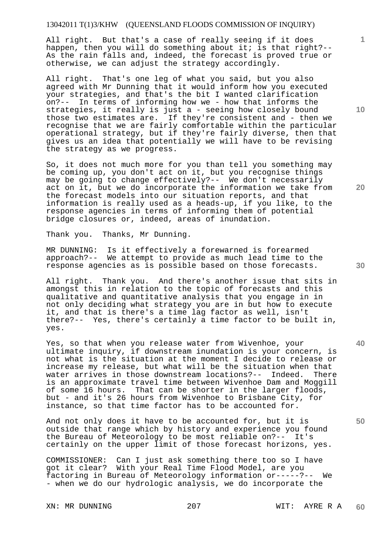All right. But that's a case of really seeing if it does happen, then you will do something about it; is that right?--As the rain falls and, indeed, the forecast is proved true or otherwise, we can adjust the strategy accordingly.

All right. That's one leg of what you said, but you also agreed with Mr Dunning that it would inform how you executed your strategies, and that's the bit I wanted clarification on?-- In terms of informing how we - how that informs the strategies, it really is just a - seeing how closely bound those two estimates are. If they're consistent and - then we recognise that we are fairly comfortable within the particular operational strategy, but if they're fairly diverse, then that gives us an idea that potentially we will have to be revising the strategy as we progress.

So, it does not much more for you than tell you something may be coming up, you don't act on it, but you recognise things may be going to change effectively?-- We don't necessarily act on it, but we do incorporate the information we take from the forecast models into our situation reports, and that information is really used as a heads-up, if you like, to the response agencies in terms of informing them of potential bridge closures or, indeed, areas of inundation.

Thank you. Thanks, Mr Dunning.

MR DUNNING: Is it effectively a forewarned is forearmed approach?-- We attempt to provide as much lead time to the response agencies as is possible based on those forecasts.

All right. Thank you. And there's another issue that sits in amongst this in relation to the topic of forecasts and this qualitative and quantitative analysis that you engage in in not only deciding what strategy you are in but how to execute it, and that is there's a time lag factor as well, isn't there?-- Yes, there's certainly a time factor to be built in, yes.

Yes, so that when you release water from Wivenhoe, your ultimate inquiry, if downstream inundation is your concern, is not what is the situation at the moment I decide to release or increase my release, but what will be the situation when that water arrives in those downstream locations?-- Indeed. There is an approximate travel time between Wivenhoe Dam and Moggill of some 16 hours. That can be shorter in the larger floods, but - and it's 26 hours from Wivenhoe to Brisbane City, for instance, so that time factor has to be accounted for.

And not only does it have to be accounted for, but it is outside that range which by history and experience you found the Bureau of Meteorology to be most reliable on?-- It's certainly on the upper limit of those forecast horizons, yes.

COMMISSIONER: Can I just ask something there too so I have got it clear? With your Real Time Flood Model, are you factoring in Bureau of Meteorology information or-----?-- We - when we do our hydrologic analysis, we do incorporate the

XN: MR DUNNING  $207$  WIT: AYRE R A

**10** 

**1**

**20** 

**40**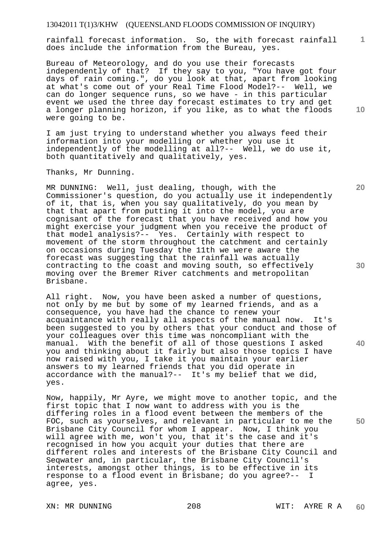rainfall forecast information. So, the with forecast rainfall does include the information from the Bureau, yes.

Bureau of Meteorology, and do you use their forecasts independently of that? If they say to you, "You have got four days of rain coming.", do you look at that, apart from looking at what's come out of your Real Time Flood Model?-- Well, we can do longer sequence runs, so we have - in this particular event we used the three day forecast estimates to try and get a longer planning horizon, if you like, as to what the floods were going to be.

I am just trying to understand whether you always feed their information into your modelling or whether you use it independently of the modelling at all?-- Well, we do use it, both quantitatively and qualitatively, yes.

Thanks, Mr Dunning.

MR DUNNING: Well, just dealing, though, with the Commissioner's question, do you actually use it independently of it, that is, when you say qualitatively, do you mean by that that apart from putting it into the model, you are cognisant of the forecast that you have received and how you might exercise your judgment when you receive the product of that model analysis?-- Yes. Certainly with respect to movement of the storm throughout the catchment and certainly on occasions during Tuesday the 11th we were aware the forecast was suggesting that the rainfall was actually contracting to the coast and moving south, so effectively moving over the Bremer River catchments and metropolitan Brisbane.

All right. Now, you have been asked a number of questions, not only by me but by some of my learned friends, and as a consequence, you have had the chance to renew your acquaintance with really all aspects of the manual now. It's been suggested to you by others that your conduct and those of your colleagues over this time was noncompliant with the manual. With the benefit of all of those questions I asked you and thinking about it fairly but also those topics I have now raised with you, I take it you maintain your earlier answers to my learned friends that you did operate in accordance with the manual?-- It's my belief that we did, yes.

Now, happily, Mr Ayre, we might move to another topic, and the first topic that I now want to address with you is the differing roles in a flood event between the members of the FOC, such as yourselves, and relevant in particular to me the Brisbane City Council for whom I appear. Now, I think you will agree with me, won't you, that it's the case and it's recognised in how you acquit your duties that there are different roles and interests of the Brisbane City Council and Seqwater and, in particular, the Brisbane City Council's interests, amongst other things, is to be effective in its response to a flood event in Brisbane; do you agree?-- I agree, yes.

XN: MR DUNNING 208 WIT: AYRE R A **60** 

**30** 

**1**

**10** 

**20** 

**40**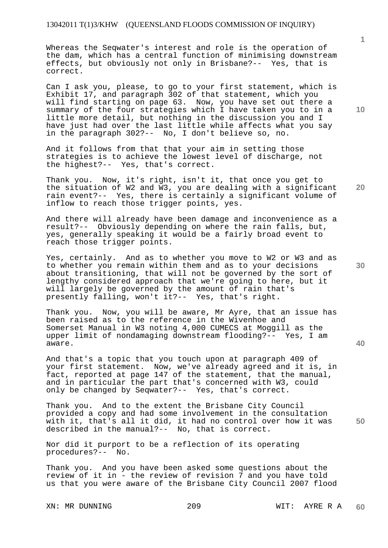Whereas the Seqwater's interest and role is the operation of the dam, which has a central function of minimising downstream effects, but obviously not only in Brisbane?-- Yes, that is correct.

Can I ask you, please, to go to your first statement, which is Exhibit 17, and paragraph 302 of that statement, which you will find starting on page 63. Now, you have set out there a summary of the four strategies which I have taken you to in a little more detail, but nothing in the discussion you and I have just had over the last little while affects what you say in the paragraph 302?-- No, I don't believe so, no.

And it follows from that that your aim in setting those strategies is to achieve the lowest level of discharge, not the highest?-- Yes, that's correct.

**20**  Thank you. Now, it's right, isn't it, that once you get to the situation of W2 and W3, you are dealing with a significant rain event?-- Yes, there is certainly a significant volume of inflow to reach those trigger points, yes.

And there will already have been damage and inconvenience as a result?-- Obviously depending on where the rain falls, but, yes, generally speaking it would be a fairly broad event to reach those trigger points.

Yes, certainly. And as to whether you move to W2 or W3 and as to whether you remain within them and as to your decisions about transitioning, that will not be governed by the sort of lengthy considered approach that we're going to here, but it will largely be governed by the amount of rain that's presently falling, won't it?-- Yes, that's right.

Thank you. Now, you will be aware, Mr Ayre, that an issue has been raised as to the reference in the Wivenhoe and Somerset Manual in W3 noting 4,000 CUMECS at Moggill as the upper limit of nondamaging downstream flooding?-- Yes, I am aware.

And that's a topic that you touch upon at paragraph 409 of your first statement. Now, we've already agreed and it is, in fact, reported at page 147 of the statement, that the manual, and in particular the part that's concerned with W3, could only be changed by Seqwater?-- Yes, that's correct.

**50**  Thank you. And to the extent the Brisbane City Council provided a copy and had some involvement in the consultation with it, that's all it did, it had no control over how it was described in the manual?-- No, that is correct.

Nor did it purport to be a reflection of its operating procedures?-- No.

Thank you. And you have been asked some questions about the review of it in - the review of revision 7 and you have told us that you were aware of the Brisbane City Council 2007 flood

**10** 

**1**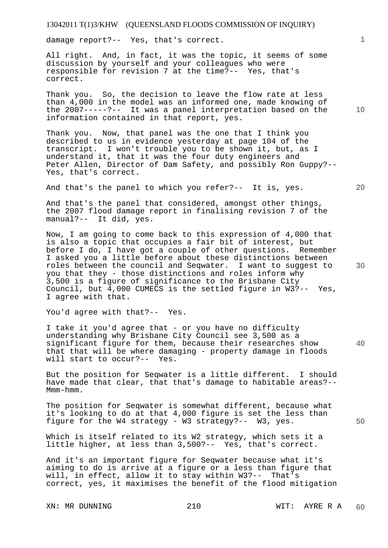damage report?-- Yes, that's correct.

All right. And, in fact, it was the topic, it seems of some discussion by yourself and your colleagues who were responsible for revision 7 at the time?-- Yes, that's correct.

Thank you. So, the decision to leave the flow rate at less than 4,000 in the model was an informed one, made knowing of the 2007-----?-- It was a panel interpretation based on the information contained in that report, yes.

Thank you. Now, that panel was the one that I think you described to us in evidence yesterday at page 104 of the transcript. I won't trouble you to be shown it, but, as I understand it, that it was the four duty engineers and Peter Allen, Director of Dam Safety, and possibly Ron Guppy?-- Yes, that's correct.

And that's the panel to which you refer?-- It is, yes.

And that's the panel that considered, amongst other things, the 2007 flood damage report in finalising revision 7 of the manual?-- It did, yes.

Now, I am going to come back to this expression of 4,000 that is also a topic that occupies a fair bit of interest, but before I do, I have got a couple of other questions. Remember I asked you a little before about these distinctions between roles between the council and Seqwater. I want to suggest to you that they - those distinctions and roles inform why 3,500 is a figure of significance to the Brisbane City Council, but 4,000 CUMECS is the settled figure in W3?-- Yes, I agree with that.

You'd agree with that?-- Yes.

I take it you'd agree that - or you have no difficulty understanding why Brisbane City Council see 3,500 as a significant figure for them, because their researches show that that will be where damaging - property damage in floods will start to occur?-- Yes.

But the position for Seqwater is a little different. I should have made that clear, that that's damage to habitable areas?-- Mmm-hmm.

The position for Seqwater is somewhat different, because what it's looking to do at that 4,000 figure is set the less than figure for the W4 strategy - W3 strategy?-- W3, yes.

Which is itself related to its W2 strategy, which sets it a little higher, at less than 3,500?-- Yes, that's correct.

And it's an important figure for Seqwater because what it's aiming to do is arrive at a figure or a less than figure that will, in effect, allow it to stay within W3?-- That's correct, yes, it maximises the benefit of the flood mitigation

**10** 

**1**

**20** 

**30** 

**40**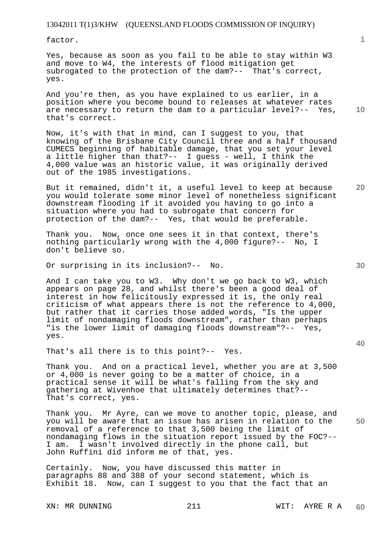factor.

Yes, because as soon as you fail to be able to stay within W3 and move to W4, the interests of flood mitigation get subrogated to the protection of the dam?-- That's correct, yes.

And you're then, as you have explained to us earlier, in a position where you become bound to releases at whatever rates are necessary to return the dam to a particular level?-- Yes, that's correct.

Now, it's with that in mind, can I suggest to you, that knowing of the Brisbane City Council three and a half thousand CUMECS beginning of habitable damage, that you set your level a little higher than that?-- I guess - well, I think the 4,000 value was an historic value, it was originally derived out of the 1985 investigations.

But it remained, didn't it, a useful level to keep at because you would tolerate some minor level of nonetheless significant downstream flooding if it avoided you having to go into a situation where you had to subrogate that concern for protection of the dam?-- Yes, that would be preferable.

Thank you. Now, once one sees it in that context, there's nothing particularly wrong with the 4,000 figure?-- No, I don't believe so.

Or surprising in its inclusion?-- No.

And I can take you to W3. Why don't we go back to W3, which appears on page 28, and whilst there's been a good deal of interest in how felicitously expressed it is, the only real criticism of what appears there is not the reference to 4,000, but rather that it carries those added words, "Is the upper limit of nondamaging floods downstream", rather than perhaps "is the lower limit of damaging floods downstream"?-- Yes, yes.

That's all there is to this point?-- Yes.

Thank you. And on a practical level, whether you are at 3,500 or 4,000 is never going to be a matter of choice, in a practical sense it will be what's falling from the sky and gathering at Wivenhoe that ultimately determines that?-- That's correct, yes.

**50**  Thank you. Mr Ayre, can we move to another topic, please, and you will be aware that an issue has arisen in relation to the removal of a reference to that 3,500 being the limit of nondamaging flows in the situation report issued by the FOC?-- I am. I wasn't involved directly in the phone call, but John Ruffini did inform me of that, yes.

Certainly. Now, you have discussed this matter in paragraphs 88 and 388 of your second statement, which is Exhibit 18. Now, can I suggest to you that the fact that an

**10** 

**1**

**30**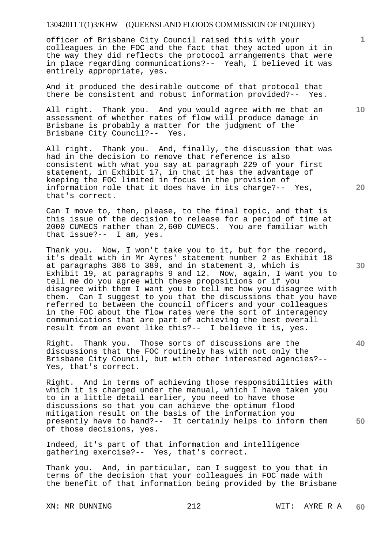officer of Brisbane City Council raised this with your colleagues in the FOC and the fact that they acted upon it in the way they did reflects the protocol arrangements that were in place regarding communications?-- Yeah, I believed it was entirely appropriate, yes.

And it produced the desirable outcome of that protocol that there be consistent and robust information provided?-- Yes.

All right. Thank you. And you would agree with me that an assessment of whether rates of flow will produce damage in Brisbane is probably a matter for the judgment of the Brisbane City Council?-- Yes.

All right. Thank you. And, finally, the discussion that was had in the decision to remove that reference is also consistent with what you say at paragraph 229 of your first statement, in Exhibit 17, in that it has the advantage of keeping the FOC limited in focus in the provision of information role that it does have in its charge?-- Yes, that's correct.

Can I move to, then, please, to the final topic, and that is this issue of the decision to release for a period of time at 2000 CUMECS rather than 2,600 CUMECS. You are familiar with that issue?-- I am, yes.

Thank you. Now, I won't take you to it, but for the record, it's dealt with in Mr Ayres' statement number 2 as Exhibit 18 at paragraphs 386 to 389, and in statement 3, which is Exhibit 19, at paragraphs 9 and 12. Now, again, I want you to tell me do you agree with these propositions or if you disagree with them I want you to tell me how you disagree with them. Can I suggest to you that the discussions that you have referred to between the council officers and your colleagues in the FOC about the flow rates were the sort of interagency communications that are part of achieving the best overall result from an event like this?-- I believe it is, yes.

Right. Thank you. Those sorts of discussions are the discussions that the FOC routinely has with not only the Brisbane City Council, but with other interested agencies?-- Yes, that's correct.

Right. And in terms of achieving those responsibilities with which it is charged under the manual, which I have taken you to in a little detail earlier, you need to have those discussions so that you can achieve the optimum flood mitigation result on the basis of the information you presently have to hand?-- It certainly helps to inform them of those decisions, yes.

Indeed, it's part of that information and intelligence gathering exercise?-- Yes, that's correct.

Thank you. And, in particular, can I suggest to you that in terms of the decision that your colleagues in FOC made with the benefit of that information being provided by the Brisbane

XN: MR DUNNING 212 WIT: AYRE R A **60** 

**10** 

**1**

**20** 

**30** 

**40**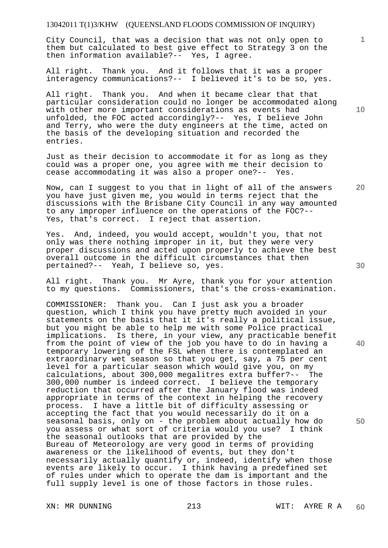City Council, that was a decision that was not only open to them but calculated to best give effect to Strategy 3 on the then information available?-- Yes, I agree.

All right. Thank you. And it follows that it was a proper interagency communications?-- I believed it's to be so, yes.

All right. Thank you. And when it became clear that that particular consideration could no longer be accommodated along with other more important considerations as events had unfolded, the FOC acted accordingly?-- Yes, I believe John and Terry, who were the duty engineers at the time, acted on the basis of the developing situation and recorded the entries.

Just as their decision to accommodate it for as long as they could was a proper one, you agree with me their decision to cease accommodating it was also a proper one?-- Yes.

Now, can I suggest to you that in light of all of the answers you have just given me, you would in terms reject that the discussions with the Brisbane City Council in any way amounted to any improper influence on the operations of the FOC?-- Yes, that's correct. I reject that assertion.

Yes. And, indeed, you would accept, wouldn't you, that not only was there nothing improper in it, but they were very proper discussions and acted upon properly to achieve the best overall outcome in the difficult circumstances that then pertained?-- Yeah, I believe so, yes.

All right. Thank you. Mr Ayre, thank you for your attention to my questions. Commissioners, that's the cross-examination.

COMMISSIONER: Thank you. Can I just ask you a broader question, which I think you have pretty much avoided in your statements on the basis that it it's really a political issue, but you might be able to help me with some Police practical implications. Is there, in your view, any practicable benefit from the point of view of the job you have to do in having a temporary lowering of the FSL when there is contemplated an extraordinary wet season so that you get, say, a 75 per cent level for a particular season which would give you, on my calculations, about 300,000 megalitres extra buffer?-- The 300,000 number is indeed correct. I believe the temporary reduction that occurred after the January flood was indeed appropriate in terms of the context in helping the recovery process. I have a little bit of difficulty assessing or accepting the fact that you would necessarily do it on a seasonal basis, only on - the problem about actually how do you assess or what sort of criteria would you use? I think the seasonal outlooks that are provided by the Bureau of Meteorology are very good in terms of providing awareness or the likelihood of events, but they don't necessarily actually quantify or, indeed, identify when those events are likely to occur. I think having a predefined set of rules under which to operate the dam is important and the full supply level is one of those factors in those rules.

**10** 

**20** 

**1**

**30** 

**40**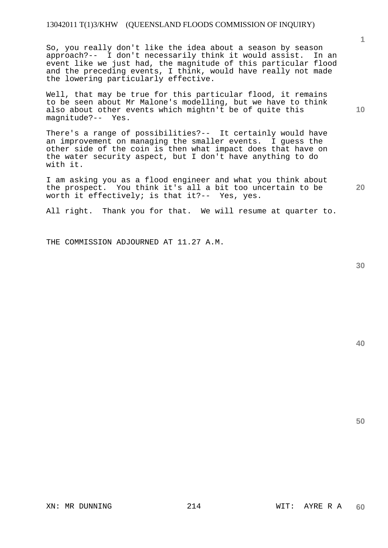So, you really don't like the idea about a season by season approach?-- I don't necessarily think it would assist. In an event like we just had, the magnitude of this particular flood and the preceding events, I think, would have really not made the lowering particularly effective.

Well, that may be true for this particular flood, it remains to be seen about Mr Malone's modelling, but we have to think also about other events which mightn't be of quite this magnitude?-- Yes.

There's a range of possibilities?-- It certainly would have an improvement on managing the smaller events. I guess the other side of the coin is then what impact does that have on the water security aspect, but I don't have anything to do with it.

I am asking you as a flood engineer and what you think about the prospect. You think it's all a bit too uncertain to be worth it effectively; is that it?-- Yes, yes.

All right. Thank you for that. We will resume at quarter to.

THE COMMISSION ADJOURNED AT 11.27 A.M.

**30** 

**50** 

**1**

**20**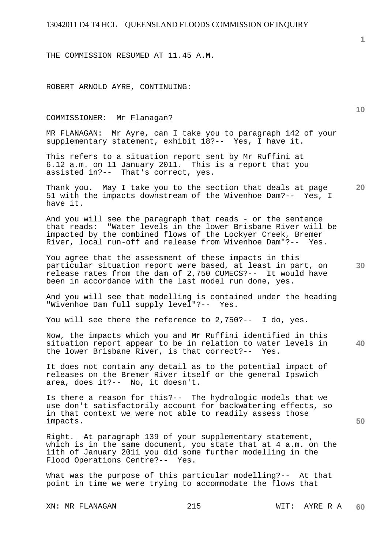THE COMMISSION RESUMED AT 11.45 A.M.

ROBERT ARNOLD AYRE, CONTINUING:

COMMISSIONER: Mr Flanagan?

MR FLANAGAN: Mr Ayre, can I take you to paragraph 142 of your supplementary statement, exhibit 18?-- Yes, I have it.

This refers to a situation report sent by Mr Ruffini at 6.12 a.m. on 11 January 2011. This is a report that you assisted in?-- That's correct, yes.

**20**  Thank you. May I take you to the section that deals at page 51 with the impacts downstream of the Wivenhoe Dam?-- Yes, I have it.

And you will see the paragraph that reads - or the sentence that reads: "Water levels in the lower Brisbane River will be impacted by the combined flows of the Lockyer Creek, Bremer River, local run-off and release from Wivenhoe Dam"?-- Yes.

**30**  You agree that the assessment of these impacts in this particular situation report were based, at least in part, on release rates from the dam of 2,750 CUMECS?-- It would have been in accordance with the last model run done, yes.

And you will see that modelling is contained under the heading "Wivenhoe Dam full supply level"?-- Yes.

You will see there the reference to 2,750?-- I do, yes.

**40**  Now, the impacts which you and Mr Ruffini identified in this situation report appear to be in relation to water levels in the lower Brisbane River, is that correct?-- Yes.

It does not contain any detail as to the potential impact of releases on the Bremer River itself or the general Ipswich area, does it?-- No, it doesn't.

Is there a reason for this?-- The hydrologic models that we use don't satisfactorily account for backwatering effects, so in that context we were not able to readily assess those impacts.

Right. At paragraph 139 of your supplementary statement, which is in the same document, you state that at 4 a.m. on the 11th of January 2011 you did some further modelling in the Flood Operations Centre?-- Yes.

What was the purpose of this particular modelling?-- At that point in time we were trying to accommodate the flows that

**1**

**10**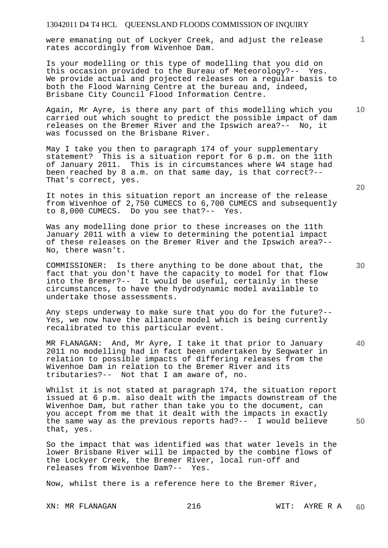were emanating out of Lockyer Creek, and adjust the release rates accordingly from Wivenhoe Dam.

Is your modelling or this type of modelling that you did on this occasion provided to the Bureau of Meteorology?-- Yes. We provide actual and projected releases on a regular basis to both the Flood Warning Centre at the bureau and, indeed, Brisbane City Council Flood Information Centre.

Again, Mr Ayre, is there any part of this modelling which you carried out which sought to predict the possible impact of dam releases on the Bremer River and the Ipswich area?-- No, it was focussed on the Brisbane River.

May I take you then to paragraph 174 of your supplementary statement? This is a situation report for 6 p.m. on the 11th of January 2011. This is in circumstances where W4 stage had been reached by 8 a.m. on that same day, is that correct?-- That's correct, yes.

It notes in this situation report an increase of the release from Wivenhoe of 2,750 CUMECS to 6,700 CUMECS and subsequently to 8,000 CUMECS. Do you see that?-- Yes.

Was any modelling done prior to these increases on the 11th January 2011 with a view to determining the potential impact of these releases on the Bremer River and the Ipswich area?-- No, there wasn't.

COMMISSIONER: Is there anything to be done about that, the fact that you don't have the capacity to model for that flow into the Bremer?-- It would be useful, certainly in these circumstances, to have the hydrodynamic model available to undertake those assessments.

Any steps underway to make sure that you do for the future?-- Yes, we now have the alliance model which is being currently recalibrated to this particular event.

MR FLANAGAN: And, Mr Ayre, I take it that prior to January 2011 no modelling had in fact been undertaken by Seqwater in relation to possible impacts of differing releases from the Wivenhoe Dam in relation to the Bremer River and its tributaries?-- Not that I am aware of, no.

Whilst it is not stated at paragraph 174, the situation report issued at 6 p.m. also dealt with the impacts downstream of the Wivenhoe Dam, but rather than take you to the document, can you accept from me that it dealt with the impacts in exactly the same way as the previous reports had?-- I would believe that, yes.

So the impact that was identified was that water levels in the lower Brisbane River will be impacted by the combine flows of the Lockyer Creek, the Bremer River, local run-off and releases from Wivenhoe Dam?-- Yes. releases from Wivenhoe Dam?--

Now, whilst there is a reference here to the Bremer River,

**20** 

**1**

**10** 

**40**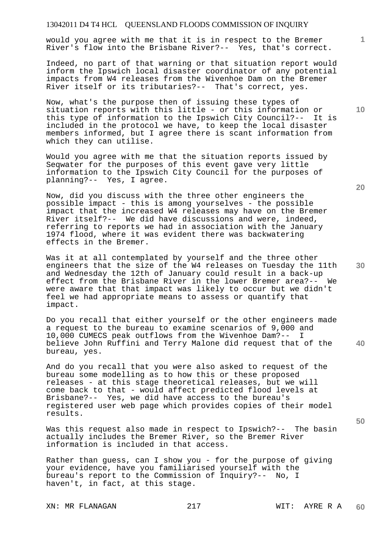would you agree with me that it is in respect to the Bremer River's flow into the Brisbane River?-- Yes, that's correct.

Indeed, no part of that warning or that situation report would inform the Ipswich local disaster coordinator of any potential impacts from W4 releases from the Wivenhoe Dam on the Bremer River itself or its tributaries?-- That's correct, yes.

Now, what's the purpose then of issuing these types of situation reports with this little - or this information or this type of information to the Ipswich City Council?-- It is included in the protocol we have, to keep the local disaster members informed, but I agree there is scant information from which they can utilise.

Would you agree with me that the situation reports issued by Seqwater for the purposes of this event gave very little information to the Ipswich City Council for the purposes of planning?-- Yes, I agree.

Now, did you discuss with the three other engineers the possible impact - this is among yourselves - the possible impact that the increased W4 releases may have on the Bremer River itself?-- We did have discussions and were, indeed, referring to reports we had in association with the January 1974 flood, where it was evident there was backwatering effects in the Bremer.

Was it at all contemplated by yourself and the three other engineers that the size of the W4 releases on Tuesday the 11th and Wednesday the 12th of January could result in a back-up effect from the Brisbane River in the lower Bremer area?-- We were aware that that impact was likely to occur but we didn't feel we had appropriate means to assess or quantify that impact.

**40**  Do you recall that either yourself or the other engineers made a request to the bureau to examine scenarios of  $9,000$  and 10,000 CUMECS peak outflows from the Wivenhoe Dam?-- I believe John Ruffini and Terry Malone did request that of the bureau, yes.

And do you recall that you were also asked to request of the bureau some modelling as to how this or these proposed releases - at this stage theoretical releases, but we will come back to that - would affect predicted flood levels at Brisbane?-- Yes, we did have access to the bureau's registered user web page which provides copies of their model results.

Was this request also made in respect to Ipswich?-- The basin actually includes the Bremer River, so the Bremer River information is included in that access.

Rather than guess, can I show you - for the purpose of giving your evidence, have you familiarised yourself with the bureau's report to the Commission of Inquiry?-- No, I haven't, in fact, at this stage.

XN: MR FLANAGAN 217 217 WIT: AYRE R A

**20** 

**1**

**10** 

**30**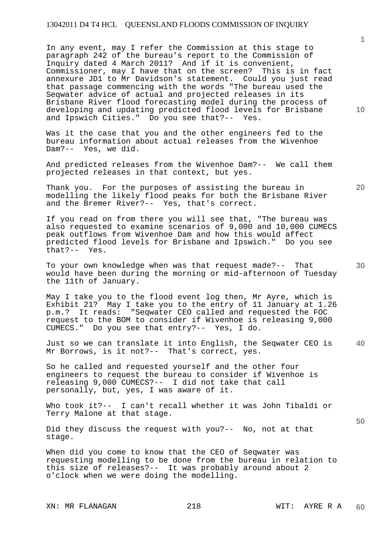In any event, may I refer the Commission at this stage to paragraph 242 of the bureau's report to the Commission of Inquiry dated 4 March 2011? And if it is convenient, Commissioner, may I have that on the screen? This is in fact annexure JD1 to Mr Davidson's statement. Could you just read that passage commencing with the words "The bureau used the Seqwater advice of actual and projected releases in its Brisbane River flood forecasting model during the process of developing and updating predicted flood levels for Brisbane and Ipswich Cities." Do you see that?-- Yes.

Was it the case that you and the other engineers fed to the bureau information about actual releases from the Wivenhoe Dam?-- Yes, we did.

And predicted releases from the Wivenhoe Dam?-- We call them projected releases in that context, but yes.

Thank you. For the purposes of assisting the bureau in modelling the likely flood peaks for both the Brisbane River and the Bremer River?-- Yes, that's correct.

If you read on from there you will see that, "The bureau was also requested to examine scenarios of 9,000 and 10,000 CUMECS peak outflows from Wivenhoe Dam and how this would affect predicted flood levels for Brisbane and Ipswich." Do you see that?-- Yes.

To your own knowledge when was that request made?-- That would have been during the morning or mid-afternoon of Tuesday the 11th of January.

May I take you to the flood event log then, Mr Ayre, which is Exhibit 21? May I take you to the entry of 11 January at 1.26 p.m.? It reads: "Seqwater CEO called and requested the FOC request to the BOM to consider if Wivenhoe is releasing 9,000 CUMECS." Do you see that entry?-- Yes, I do.

**40**  Just so we can translate it into English, the Seqwater CEO is Mr Borrows, is it not?-- That's correct, yes.

So he called and requested yourself and the other four engineers to request the bureau to consider if Wivenhoe is releasing 9,000 CUMECS?-- I did not take that call personally, but, yes, I was aware of it.

Who took it?-- I can't recall whether it was John Tibaldi or Terry Malone at that stage.

Did they discuss the request with you?-- No, not at that stage.

When did you come to know that the CEO of Seqwater was requesting modelling to be done from the bureau in relation to this size of releases?-- It was probably around about 2 o'clock when we were doing the modelling.

**1**

**20** 

**10**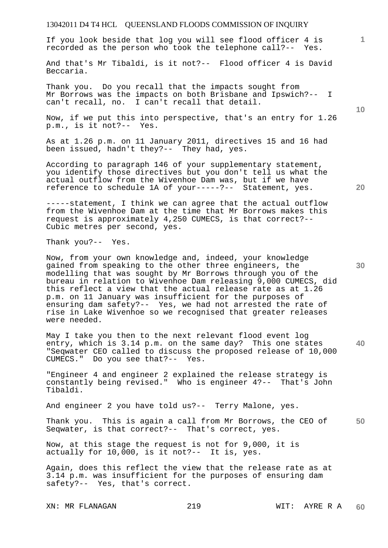**1** If you look beside that log you will see flood officer 4 is recorded as the person who took the telephone call?-- Yes.

And that's Mr Tibaldi, is it not?-- Flood officer 4 is David Beccaria.

Thank you. Do you recall that the impacts sought from Mr Borrows was the impacts on both Brisbane and Ipswich?-- I can't recall, no. I can't recall that detail.

Now, if we put this into perspective, that's an entry for 1.26 p.m., is it not?-- Yes.

As at 1.26 p.m. on 11 January 2011, directives 15 and 16 had been issued, hadn't they?-- They had, yes.

According to paragraph 146 of your supplementary statement, you identify those directives but you don't tell us what the actual outflow from the Wivenhoe Dam was, but if we have reference to schedule 1A of your-----?-- Statement, yes.

-----statement, I think we can agree that the actual outflow from the Wivenhoe Dam at the time that Mr Borrows makes this request is approximately 4,250 CUMECS, is that correct?-- Cubic metres per second, yes.

Thank you?-- Yes.

Now, from your own knowledge and, indeed, your knowledge gained from speaking to the other three engineers, the modelling that was sought by Mr Borrows through you of the bureau in relation to Wivenhoe Dam releasing 9,000 CUMECS, did this reflect a view that the actual release rate as at 1.26 p.m. on 11 January was insufficient for the purposes of ensuring dam safety?-- Yes, we had not arrested the rate of rise in Lake Wivenhoe so we recognised that greater releases were needed.

**40**  May I take you then to the next relevant flood event log entry, which is 3.14 p.m. on the same day? This one states "Seqwater CEO called to discuss the proposed release of 10,000 CUMECS." Do you see that?-- Yes.

"Engineer 4 and engineer 2 explained the release strategy is constantly being revised." Who is engineer 4?-- That's John Tibaldi.

And engineer 2 you have told us?-- Terry Malone, yes.

**50**  Thank you. This is again a call from Mr Borrows, the CEO of Seqwater, is that correct?-- That's correct, yes.

Now, at this stage the request is not for 9,000, it is actually for 10,000, is it not?-- It is, yes.

Again, does this reflect the view that the release rate as at 3.14 p.m. was insufficient for the purposes of ensuring dam safety?-- Yes, that's correct.

**10** 

**20**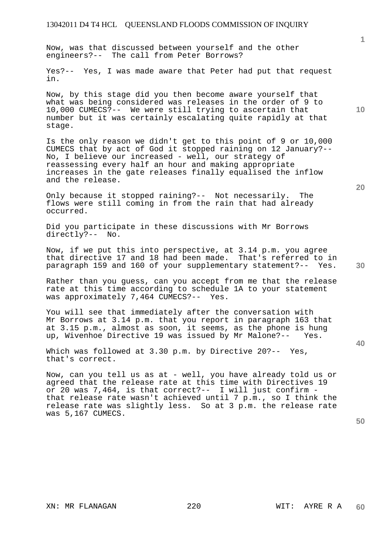Now, was that discussed between yourself and the other engineers?-- The call from Peter Borrows?

Yes?-- Yes, I was made aware that Peter had put that request in.

Now, by this stage did you then become aware yourself that what was being considered was releases in the order of 9 to 10,000 CUMECS?-- We were still trying to ascertain that number but it was certainly escalating quite rapidly at that stage.

Is the only reason we didn't get to this point of 9 or 10,000 CUMECS that by act of God it stopped raining on 12 January?-- No, I believe our increased - well, our strategy of reassessing every half an hour and making appropriate increases in the gate releases finally equalised the inflow and the release.

Only because it stopped raining?-- Not necessarily. The flows were still coming in from the rain that had already occurred.

Did you participate in these discussions with Mr Borrows directly?-- No.

Now, if we put this into perspective, at 3.14 p.m. you agree that directive 17 and 18 had been made. That's referred to in paragraph 159 and 160 of your supplementary statement?-- Yes.

Rather than you guess, can you accept from me that the release rate at this time according to schedule 1A to your statement was approximately 7,464 CUMECS?-- Yes.

You will see that immediately after the conversation with Mr Borrows at 3.14 p.m. that you report in paragraph 163 that at 3.15 p.m., almost as soon, it seems, as the phone is hung up, Wivenhoe Directive 19 was issued by Mr Malone?-- Yes.

Which was followed at 3.30 p.m. by Directive 20?-- Yes, that's correct.

Now, can you tell us as at - well, you have already told us or agreed that the release rate at this time with Directives 19 or 20 was 7,464, is that correct?-- I will just confirm that release rate wasn't achieved until 7 p.m., so I think the release rate was slightly less. So at 3 p.m. the release rate was 5,167 CUMECS.

**50** 

**10** 

**20** 

**1**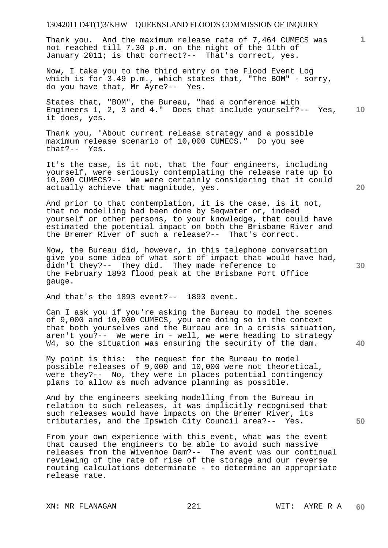Thank you. And the maximum release rate of 7,464 CUMECS was not reached till 7.30 p.m. on the night of the 11th of January 2011; is that correct?-- That's correct, yes.

Now, I take you to the third entry on the Flood Event Log which is for 3.49 p.m., which states that, "The BOM" - sorry, do you have that, Mr Ayre?-- Yes.

**10**  States that, "BOM", the Bureau, "had a conference with Engineers 1, 2, 3 and 4." Does that include yourself?-- Yes, it does, yes.

Thank you, "About current release strategy and a possible maximum release scenario of 10,000 CUMECS." Do you see that?-- Yes.

It's the case, is it not, that the four engineers, including yourself, were seriously contemplating the release rate up to 10,000 CUMECS?-- We were certainly considering that it could actually achieve that magnitude, yes.

And prior to that contemplation, it is the case, is it not, that no modelling had been done by Seqwater or, indeed yourself or other persons, to your knowledge, that could have estimated the potential impact on both the Brisbane River and the Bremer River of such a release?-- That's correct.

Now, the Bureau did, however, in this telephone conversation give you some idea of what sort of impact that would have had, didn't they?-- They did. They made reference to the February 1893 flood peak at the Brisbane Port Office gauge.

And that's the 1893 event?-- 1893 event.

Can I ask you if you're asking the Bureau to model the scenes of 9,000 and 10,000 CUMECS, you are doing so in the context that both yourselves and the Bureau are in a crisis situation, aren't you?-- We were in - well, we were heading to strategy W4, so the situation was ensuring the security of the dam.

My point is this: the request for the Bureau to model possible releases of 9,000 and 10,000 were not theoretical, were they?-- No, they were in places potential contingency plans to allow as much advance planning as possible.

And by the engineers seeking modelling from the Bureau in relation to such releases, it was implicitly recognised that such releases would have impacts on the Bremer River, its tributaries, and the Ipswich City Council area?-- Yes.

From your own experience with this event, what was the event that caused the engineers to be able to avoid such massive releases from the Wivenhoe Dam?-- The event was our continual reviewing of the rate of rise of the storage and our reverse routing calculations determinate - to determine an appropriate release rate.

**20** 

**30** 

**40** 

**50**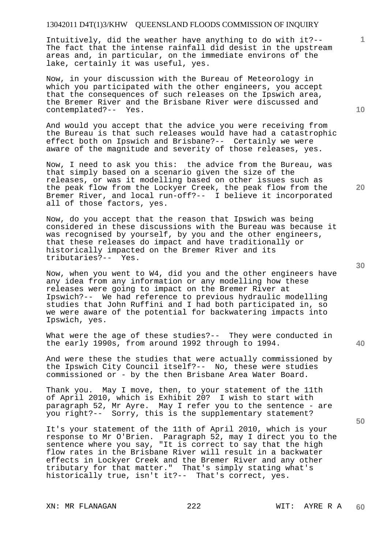Intuitively, did the weather have anything to do with it?-- The fact that the intense rainfall did desist in the upstream areas and, in particular, on the immediate environs of the lake, certainly it was useful, yes.

Now, in your discussion with the Bureau of Meteorology in which you participated with the other engineers, you accept that the consequences of such releases on the Ipswich area, the Bremer River and the Brisbane River were discussed and contemplated?-- Yes.

And would you accept that the advice you were receiving from the Bureau is that such releases would have had a catastrophic effect both on Ipswich and Brisbane?-- Certainly we were aware of the magnitude and severity of those releases, yes.

Now, I need to ask you this: the advice from the Bureau, was that simply based on a scenario given the size of the releases, or was it modelling based on other issues such as the peak flow from the Lockyer Creek, the peak flow from the Bremer River, and local run-off?-- I believe it incorporated all of those factors, yes.

Now, do you accept that the reason that Ipswich was being considered in these discussions with the Bureau was because it was recognised by yourself, by you and the other engineers, that these releases do impact and have traditionally or historically impacted on the Bremer River and its tributaries?-- Yes.

Now, when you went to W4, did you and the other engineers have any idea from any information or any modelling how these releases were going to impact on the Bremer River at Ipswich?-- We had reference to previous hydraulic modelling studies that John Ruffini and I had both participated in, so we were aware of the potential for backwatering impacts into Ipswich, yes.

What were the age of these studies?-- They were conducted in the early 1990s, from around 1992 through to 1994.

And were these the studies that were actually commissioned by the Ipswich City Council itself?-- No, these were studies commissioned or - by the then Brisbane Area Water Board.

Thank you. May I move, then, to your statement of the 11th of April 2010, which is Exhibit 20? I wish to start with paragraph 52, Mr Ayre. May I refer you to the sentence - are you right?-- Sorry, this is the supplementary statement?

It's your statement of the 11th of April 2010, which is your response to Mr O'Brien. Paragraph 52, may I direct you to the sentence where you say, "It is correct to say that the high flow rates in the Brisbane River will result in a backwater effects in Lockyer Creek and the Bremer River and any other tributary for that matter." That's simply stating what's historically true, isn't it?-- That's correct, yes.

**10** 

**20** 

**1**

**30**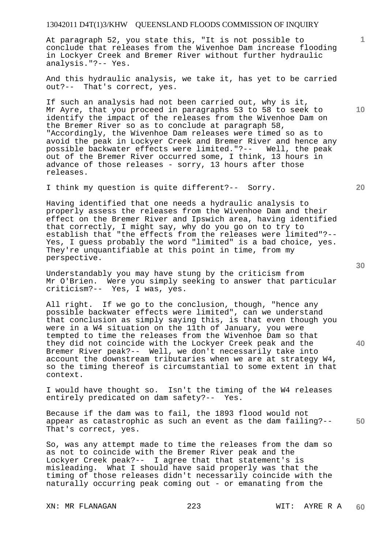At paragraph 52, you state this, "It is not possible to conclude that releases from the Wivenhoe Dam increase flooding in Lockyer Creek and Bremer River without further hydraulic analysis."?-- Yes.

And this hydraulic analysis, we take it, has yet to be carried out?-- That's correct, yes.

If such an analysis had not been carried out, why is it, Mr Ayre, that you proceed in paragraphs 53 to 58 to seek to identify the impact of the releases from the Wivenhoe Dam on the Bremer River so as to conclude at paragraph 58, "Accordingly, the Wivenhoe Dam releases were timed so as to avoid the peak in Lockyer Creek and Bremer River and hence any possible backwater effects were limited."?-- Well, the peak out of the Bremer River occurred some, I think, 13 hours in advance of those releases - sorry, 13 hours after those releases.

I think my question is quite different?-- Sorry.

Having identified that one needs a hydraulic analysis to properly assess the releases from the Wivenhoe Dam and their effect on the Bremer River and Ipswich area, having identified that correctly, I might say, why do you go on to try to establish that "the effects from the releases were limited"?-- Yes, I guess probably the word "limited" is a bad choice, yes. They're unquantifiable at this point in time, from my perspective.

Understandably you may have stung by the criticism from Mr O'Brien. Were you simply seeking to answer that particular criticism?-- Yes, I was, yes.

All right. If we go to the conclusion, though, "hence any possible backwater effects were limited", can we understand that conclusion as simply saying this, is that even though you were in a W4 situation on the 11th of January, you were tempted to time the releases from the Wivenhoe Dam so that they did not coincide with the Lockyer Creek peak and the Bremer River peak?-- Well, we don't necessarily take into account the downstream tributaries when we are at strategy W4, so the timing thereof is circumstantial to some extent in that context.

I would have thought so. Isn't the timing of the W4 releases entirely predicated on dam safety?-- Yes.

**50**  Because if the dam was to fail, the 1893 flood would not appear as catastrophic as such an event as the dam failing?-- That's correct, yes.

So, was any attempt made to time the releases from the dam so as not to coincide with the Bremer River peak and the Lockyer Creek peak?-- I agree that that statement's is misleading. What I should have said properly was that the timing of those releases didn't necessarily coincide with the naturally occurring peak coming out - or emanating from the

XN: MR FLANAGAN 223 WIT: AYRE R A

**20** 

**10** 

**1**

**30**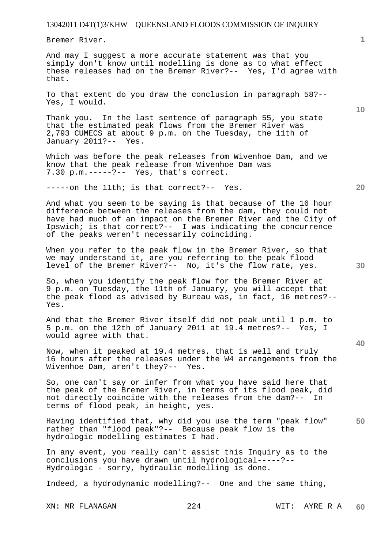Bremer River.

And may I suggest a more accurate statement was that you simply don't know until modelling is done as to what effect these releases had on the Bremer River?-- Yes, I'd agree with that.

To that extent do you draw the conclusion in paragraph 58?-- Yes, I would.

Thank you. In the last sentence of paragraph 55, you state that the estimated peak flows from the Bremer River was 2,793 CUMECS at about 9 p.m. on the Tuesday, the 11th of January 2011?-- Yes.

Which was before the peak releases from Wivenhoe Dam, and we know that the peak release from Wivenhoe Dam was 7.30 p.m.-----?-- Yes, that's correct.

-----on the 11th; is that correct?-- Yes.

And what you seem to be saying is that because of the 16 hour difference between the releases from the dam, they could not have had much of an impact on the Bremer River and the City of Ipswich; is that correct?-- I was indicating the concurrence of the peaks weren't necessarily coinciding.

When you refer to the peak flow in the Bremer River, so that we may understand it, are you referring to the peak flood level of the Bremer River?-- No, it's the flow rate, yes.

So, when you identify the peak flow for the Bremer River at 9 p.m. on Tuesday, the 11th of January, you will accept that the peak flood as advised by Bureau was, in fact, 16 metres?-- Yes.

And that the Bremer River itself did not peak until 1 p.m. to 5 p.m. on the 12th of January 2011 at 19.4 metres?-- Yes, I would agree with that.

Now, when it peaked at 19.4 metres, that is well and truly 16 hours after the releases under the W4 arrangements from the Wivenhoe Dam, aren't they?-- Yes.

So, one can't say or infer from what you have said here that the peak of the Bremer River, in terms of its flood peak, did not directly coincide with the releases from the dam?-- In terms of flood peak, in height, yes.

Having identified that, why did you use the term "peak flow" rather than "flood peak"?-- Because peak flow is the hydrologic modelling estimates I had.

In any event, you really can't assist this Inquiry as to the conclusions you have drawn until hydrological-----?-- Hydrologic - sorry, hydraulic modelling is done.

Indeed, a hydrodynamic modelling?-- One and the same thing,

XN: MR FLANAGAN 224 WIT: AYRE R A

**10** 

**20** 

**1**

**40** 

**30**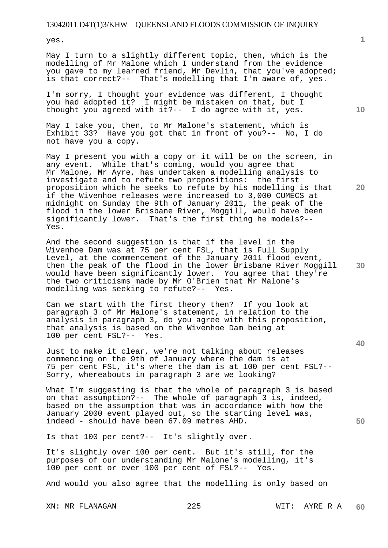yes.

May I turn to a slightly different topic, then, which is the modelling of Mr Malone which I understand from the evidence you gave to my learned friend, Mr Devlin, that you've adopted; is that correct?-- That's modelling that I'm aware of, yes.

I'm sorry, I thought your evidence was different, I thought you had adopted it? I might be mistaken on that, but I thought you agreed with it?-- I do agree with it, yes.

May I take you, then, to Mr Malone's statement, which is Exhibit 33? Have you got that in front of you?-- No, I do not have you a copy.

May I present you with a copy or it will be on the screen, in any event. While that's coming, would you agree that Mr Malone, Mr Ayre, has undertaken a modelling analysis to investigate and to refute two propositions: the first proposition which he seeks to refute by his modelling is that if the Wivenhoe releases were increased to 3,000 CUMECS at midnight on Sunday the 9th of January 2011, the peak of the flood in the lower Brisbane River, Moggill, would have been significantly lower. That's the first thing he models?-- Yes.

And the second suggestion is that if the level in the Wivenhoe Dam was at 75 per cent FSL, that is Full Supply Level, at the commencement of the January 2011 flood event, then the peak of the flood in the lower Brisbane River Moggill would have been significantly lower. You agree that they're the two criticisms made by Mr O'Brien that Mr Malone's modelling was seeking to refute?-- Yes.

Can we start with the first theory then? If you look at paragraph 3 of Mr Malone's statement, in relation to the analysis in paragraph 3, do you agree with this proposition, that analysis is based on the Wivenhoe Dam being at 100 per cent FSL?-- Yes.

Just to make it clear, we're not talking about releases commencing on the 9th of January where the dam is at 75 per cent FSL, it's where the dam is at 100 per cent FSL?-- Sorry, whereabouts in paragraph 3 are we looking?

What I'm suggesting is that the whole of paragraph 3 is based on that assumption?-- The whole of paragraph 3 is, indeed, based on the assumption that was in accordance with how the January 2000 event played out, so the starting level was, indeed - should have been 67.09 metres AHD.

Is that 100 per cent?-- It's slightly over.

It's slightly over 100 per cent. But it's still, for the purposes of our understanding Mr Malone's modelling, it's 100 per cent or over 100 per cent of FSL?-- Yes.

And would you also agree that the modelling is only based on

**1**

**20** 

**10** 

**30** 

**40**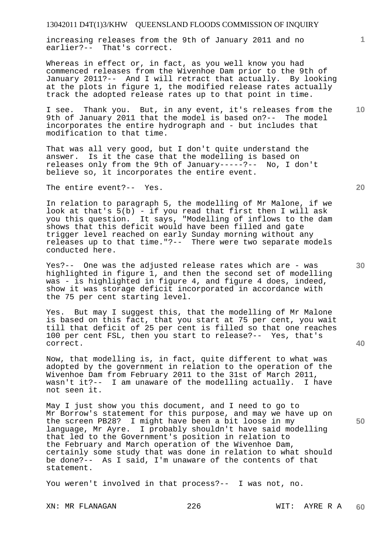increasing releases from the 9th of January 2011 and no earlier?-- That's correct.

Whereas in effect or, in fact, as you well know you had commenced releases from the Wivenhoe Dam prior to the 9th of January 2011?-- And I will retract that actually. By looking at the plots in figure 1, the modified release rates actually track the adopted release rates up to that point in time.

**10**  I see. Thank you. But, in any event, it's releases from the 9th of January 2011 that the model is based on?-- The model incorporates the entire hydrograph and - but includes that modification to that time.

That was all very good, but I don't quite understand the answer. Is it the case that the modelling is based on releases only from the 9th of January-----?-- No, I don't believe so, it incorporates the entire event.

The entire event?-- Yes.

In relation to paragraph 5, the modelling of Mr Malone, if we look at that's 5(b) - if you read that first then I will ask you this question. It says, "Modelling of inflows to the dam shows that this deficit would have been filled and gate trigger level reached on early Sunday morning without any releases up to that time."?-- There were two separate models conducted here.

Yes?-- One was the adjusted release rates which are - was highlighted in figure 1, and then the second set of modelling was - is highlighted in figure 4, and figure 4 does, indeed, show it was storage deficit incorporated in accordance with the 75 per cent starting level.

Yes. But may I suggest this, that the modelling of Mr Malone is based on this fact, that you start at 75 per cent, you wait till that deficit of 25 per cent is filled so that one reaches 100 per cent FSL, then you start to release?-- Yes, that's correct.

Now, that modelling is, in fact, quite different to what was adopted by the government in relation to the operation of the Wivenhoe Dam from February 2011 to the 31st of March 2011, wasn't it?-- I am unaware of the modelling actually. I have not seen it.

May I just show you this document, and I need to go to Mr Borrow's statement for this purpose, and may we have up on the screen PB28? I might have been a bit loose in my language, Mr Ayre. I probably shouldn't have said modelling that led to the Government's position in relation to the February and March operation of the Wivenhoe Dam, certainly some study that was done in relation to what should be done?-- As I said, I'm unaware of the contents of that statement.

You weren't involved in that process?-- I was not, no.

XN: MR FLANAGAN 226 WIT: AYRE R A

**20** 

**1**

**30** 

**40**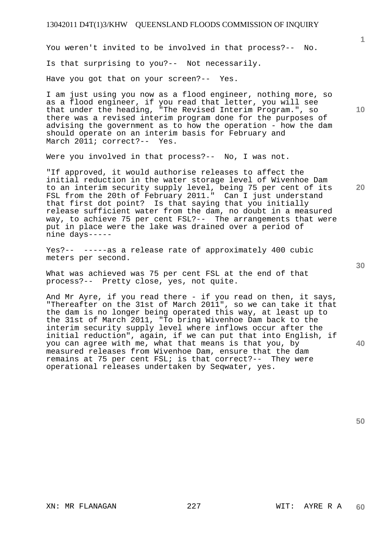You weren't invited to be involved in that process?-- No. Is that surprising to you?-- Not necessarily. Have you got that on your screen?-- Yes.

I am just using you now as a flood engineer, nothing more, so as a flood engineer, if you read that letter, you will see that under the heading, "The Revised Interim Program.", so there was a revised interim program done for the purposes of advising the government as to how the operation - how the dam should operate on an interim basis for February and March 2011; correct?-- Yes.

Were you involved in that process?-- No, I was not.

"If approved, it would authorise releases to affect the initial reduction in the water storage level of Wivenhoe Dam to an interim security supply level, being 75 per cent of its FSL from the 20th of February 2011." Can I just understand that first dot point? Is that saying that you initially release sufficient water from the dam, no doubt in a measured way, to achieve 75 per cent FSL?-- The arrangements that were put in place were the lake was drained over a period of nine days-----

Yes?-- -----as a release rate of approximately 400 cubic meters per second.

What was achieved was 75 per cent FSL at the end of that process?-- Pretty close, yes, not quite.

And Mr Ayre, if you read there - if you read on then, it says, "Thereafter on the 31st of March 2011", so we can take it that the dam is no longer being operated this way, at least up to the 31st of March 2011, "To bring Wivenhoe Dam back to the interim security supply level where inflows occur after the initial reduction", again, if we can put that into English, if you can agree with me, what that means is that you, by measured releases from Wivenhoe Dam, ensure that the dam remains at 75 per cent FSL; is that correct?-- They were operational releases undertaken by Seqwater, yes.

**30** 

**20** 

**50** 

**40** 

**1**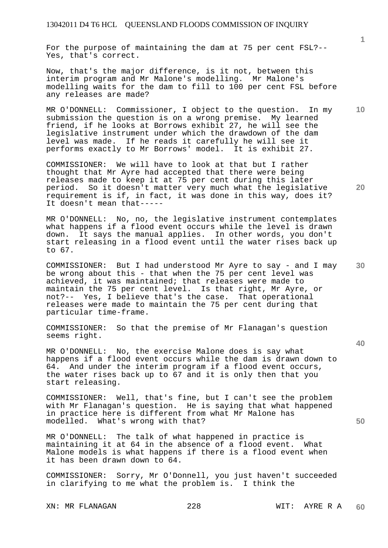For the purpose of maintaining the dam at 75 per cent FSL?-- Yes, that's correct.

Now, that's the major difference, is it not, between this interim program and Mr Malone's modelling. Mr Malone's modelling waits for the dam to fill to 100 per cent FSL before any releases are made?

MR O'DONNELL: Commissioner, I object to the question. In my submission the question is on a wrong premise. My learned friend, if he looks at Borrows exhibit 27, he will see the legislative instrument under which the drawdown of the dam level was made. If he reads it carefully he will see it performs exactly to Mr Borrows' model. It is exhibit 27.

COMMISSIONER: We will have to look at that but I rather thought that Mr Ayre had accepted that there were being releases made to keep it at 75 per cent during this later<br>period. So it doesn't matter very much what the legislat So it doesn't matter very much what the legislative requirement is if, in fact, it was done in this way, does it? It doesn't mean that-----

MR O'DONNELL: No, no, the legislative instrument contemplates what happens if a flood event occurs while the level is drawn down. It says the manual applies. In other words, you don't start releasing in a flood event until the water rises back up to 67.

COMMISSIONER: But I had understood Mr Ayre to say - and I may be wrong about this - that when the 75 per cent level was achieved, it was maintained; that releases were made to maintain the 75 per cent level. Is that right, Mr Ayre, or not?-- Yes, I believe that's the case. That operational releases were made to maintain the 75 per cent during that particular time-frame.

COMMISSIONER: So that the premise of Mr Flanagan's question seems right.

MR O'DONNELL: No, the exercise Malone does is say what happens if a flood event occurs while the dam is drawn down to 64. And under the interim program if a flood event occurs, the water rises back up to 67 and it is only then that you start releasing.

COMMISSIONER: Well, that's fine, but I can't see the problem with Mr Flanagan's question. He is saying that what happened in practice here is different from what Mr Malone has modelled. What's wrong with that?

MR O'DONNELL: The talk of what happened in practice is maintaining it at 64 in the absence of a flood event. What Malone models is what happens if there is a flood event when it has been drawn down to 64.

COMMISSIONER: Sorry, Mr O'Donnell, you just haven't succeeded in clarifying to me what the problem is. I think the

XN: MR FLANAGAN 228 WIT: AYRE R A

**1**

**20** 

**10** 

**30** 

**40**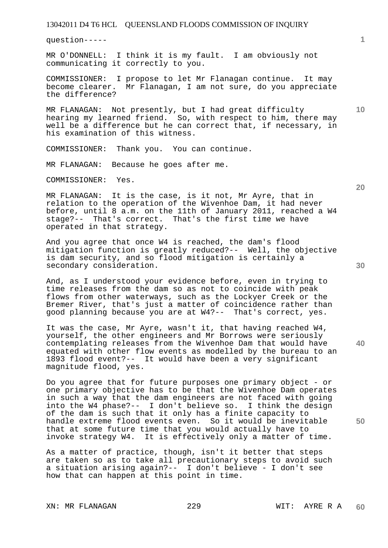question-----

MR O'DONNELL: I think it is my fault. I am obviously not communicating it correctly to you.

COMMISSIONER: I propose to let Mr Flanagan continue. It may<br>become clearer. Mr Flanagan, I am not sure, do you appreciate Mr Flanagan, I am not sure, do you appreciate the difference?

MR FLANAGAN: Not presently, but I had great difficulty hearing my learned friend. So, with respect to him, there may well be a difference but he can correct that, if necessary, in his examination of this witness.

COMMISSIONER: Thank you. You can continue.

MR FLANAGAN: Because he goes after me.

COMMISSIONER: Yes.

MR FLANAGAN: It is the case, is it not, Mr Ayre, that in relation to the operation of the Wivenhoe Dam, it had never before, until 8 a.m. on the 11th of January 2011, reached a W4 stage?-- That's correct. That's the first time we have operated in that strategy.

And you agree that once W4 is reached, the dam's flood mitigation function is greatly reduced?-- Well, the objective is dam security, and so flood mitigation is certainly a secondary consideration.

And, as I understood your evidence before, even in trying to time releases from the dam so as not to coincide with peak flows from other waterways, such as the Lockyer Creek or the Bremer River, that's just a matter of coincidence rather than good planning because you are at W4?-- That's correct, yes.

It was the case, Mr Ayre, wasn't it, that having reached W4, yourself, the other engineers and Mr Borrows were seriously contemplating releases from the Wivenhoe Dam that would have equated with other flow events as modelled by the bureau to an 1893 flood event?-- It would have been a very significant magnitude flood, yes.

Do you agree that for future purposes one primary object - or one primary objective has to be that the Wivenhoe Dam operates in such a way that the dam engineers are not faced with going into the W4 phase?-- I don't believe so. I think the design of the dam is such that it only has a finite capacity to handle extreme flood events even. So it would be inevitable that at some future time that you would actually have to invoke strategy W4. It is effectively only a matter of time.

As a matter of practice, though, isn't it better that steps are taken so as to take all precautionary steps to avoid such a situation arising again?-- I don't believe - I don't see how that can happen at this point in time.

XN: MR FLANAGAN 229 WIT: AYRE R A

**20** 

**50** 

**30** 

**10**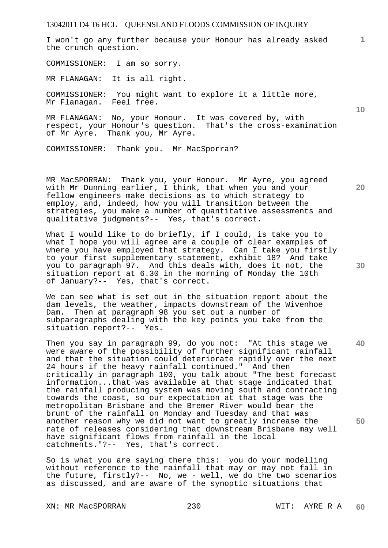I won't go any further because your Honour has already asked the crunch question.

COMMISSIONER: I am so sorry.

MR FLANAGAN: It is all right.

COMMISSIONER: You might want to explore it a little more, Mr Flanagan. Feel free.

MR FLANAGAN: No, your Honour. It was covered by, with respect, your Honour's question. That's the cross-examination of Mr Ayre. Thank you, Mr Ayre.

COMMISSIONER: Thank you. Mr MacSporran?

MR MacSPORRAN: Thank you, your Honour. Mr Ayre, you agreed with Mr Dunning earlier, I think, that when you and your fellow engineers make decisions as to which strategy to employ, and, indeed, how you will transition between the strategies, you make a number of quantitative assessments and qualitative judgments?-- Yes, that's correct.

What I would like to do briefly, if I could, is take you to what I hope you will agree are a couple of clear examples of where you have employed that strategy. Can I take you firstly to your first supplementary statement, exhibit 18? And take you to paragraph 97. And this deals with, does it not, the situation report at 6.30 in the morning of Monday the 10th of January?-- Yes, that's correct.

We can see what is set out in the situation report about the dam levels, the weather, impacts downstream of the Wivenhoe Dam. Then at paragraph 98 you set out a number of subparagraphs dealing with the key points you take from the situation report?-- Yes.

Then you say in paragraph 99, do you not: "At this stage we were aware of the possibility of further significant rainfall and that the situation could deteriorate rapidly over the next 24 hours if the heavy rainfall continued." And then critically in paragraph 100, you talk about "The best forecast information...that was available at that stage indicated that the rainfall producing system was moving south and contracting towards the coast, so our expectation at that stage was the metropolitan Brisbane and the Bremer River would bear the brunt of the rainfall on Monday and Tuesday and that was another reason why we did not want to greatly increase the rate of releases considering that downstream Brisbane may well have significant flows from rainfall in the local catchments."?-- Yes, that's correct.

So is what you are saying there this: you do your modelling without reference to the rainfall that may or may not fall in the future, firstly?-- No, we - well, we do the two scenarios as discussed, and are aware of the synoptic situations that

XN: MR MacSPORRAN 230 WIT: AYRE R A

**20** 

**10** 

**1**

**30** 

**40**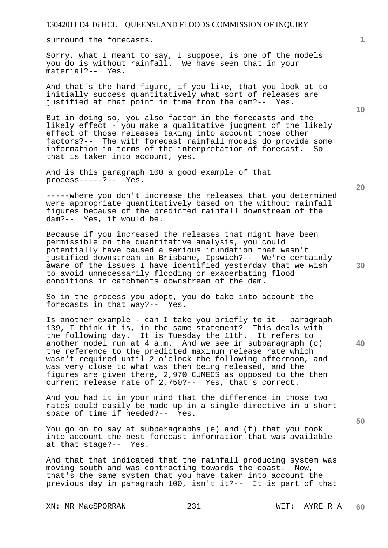surround the forecasts.

Sorry, what I meant to say, I suppose, is one of the models you do is without rainfall. We have seen that in your material?-- Yes.

And that's the hard figure, if you like, that you look at to initially success quantitatively what sort of releases are justified at that point in time from the dam?-- Yes.

But in doing so, you also factor in the forecasts and the likely effect - you make a qualitative judgment of the likely effect of those releases taking into account those other factors?-- The with forecast rainfall models do provide some information in terms of the interpretation of forecast. So that is taken into account, yes.

And is this paragraph 100 a good example of that process-----?-- Yes.

-----where you don't increase the releases that you determined were appropriate quantitatively based on the without rainfall figures because of the predicted rainfall downstream of the dam?-- Yes, it would be.

Because if you increased the releases that might have been permissible on the quantitative analysis, you could potentially have caused a serious inundation that wasn't justified downstream in Brisbane, Ipswich?-- We're certainly aware of the issues I have identified yesterday that we wish to avoid unnecessarily flooding or exacerbating flood conditions in catchments downstream of the dam.

So in the process you adopt, you do take into account the forecasts in that way?-- Yes.

Is another example - can I take you briefly to it - paragraph 139, I think it is, in the same statement? This deals with the following day. It is Tuesday the 11th. It refers to another model run at 4 a.m. And we see in subparagraph (c) the reference to the predicted maximum release rate which wasn't required until 2 o'clock the following afternoon, and was very close to what was then being released, and the figures are given there, 2,970 CUMECS as opposed to the then current release rate of 2,750?-- Yes, that's correct.

And you had it in your mind that the difference in those two rates could easily be made up in a single directive in a short space of time if needed?-- Yes.

You go on to say at subparagraphs (e) and (f) that you took into account the best forecast information that was available at that stage?-- Yes.

And that that indicated that the rainfall producing system was moving south and was contracting towards the coast. Now, that's the same system that you have taken into account the previous day in paragraph 100, isn't it?-- It is part of that

XN: MR MacSPORRAN 231 WIT: AYRE R A

**10** 

**1**

**20** 

**30** 

**40**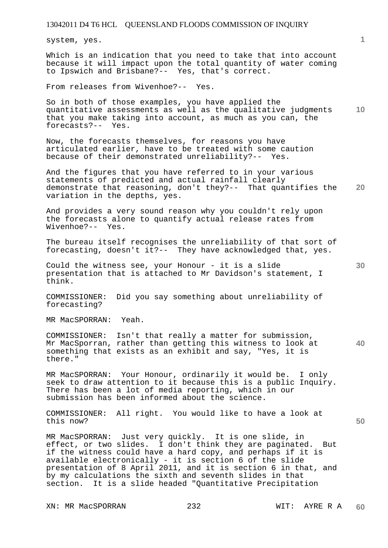system, yes.

Which is an indication that you need to take that into account because it will impact upon the total quantity of water coming to Ipswich and Brisbane?-- Yes, that's correct.

From releases from Wivenhoe?-- Yes.

**10**  So in both of those examples, you have applied the quantitative assessments as well as the qualitative judgments that you make taking into account, as much as you can, the forecasts?-- Yes.

Now, the forecasts themselves, for reasons you have articulated earlier, have to be treated with some caution because of their demonstrated unreliability?-- Yes.

**20**  And the figures that you have referred to in your various statements of predicted and actual rainfall clearly demonstrate that reasoning, don't they?-- That quantifies the variation in the depths, yes.

And provides a very sound reason why you couldn't rely upon the forecasts alone to quantify actual release rates from Wivenhoe?-- Yes.

The bureau itself recognises the unreliability of that sort of forecasting, doesn't it?-- They have acknowledged that, yes.

Could the witness see, your Honour - it is a slide presentation that is attached to Mr Davidson's statement, I think.

COMMISSIONER: Did you say something about unreliability of forecasting?

MR MacSPORRAN: Yeah.

**40**  COMMISSIONER: Isn't that really a matter for submission, Mr MacSporran, rather than getting this witness to look at something that exists as an exhibit and say, "Yes, it is there."

MR MacSPORRAN: Your Honour, ordinarily it would be. I only seek to draw attention to it because this is a public Inquiry. There has been a lot of media reporting, which in our submission has been informed about the science.

COMMISSIONER: All right. You would like to have a look at this now?

MR MacSPORRAN: Just very quickly. It is one slide, in effect, or two slides. I don't think they are paginated. But if the witness could have a hard copy, and perhaps if it is available electronically - it is section 6 of the slide presentation of 8 April 2011, and it is section 6 in that, and by my calculations the sixth and seventh slides in that section. It is a slide headed "Quantitative Precipitation

XN: MR MacSPORRAN 232 WIT: AYRE R A

**30**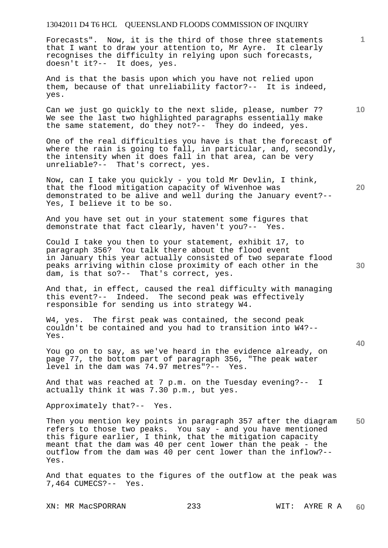Forecasts". Now, it is the third of those three statements that I want to draw your attention to, Mr Ayre. It clearly recognises the difficulty in relying upon such forecasts, doesn't it?-- It does, yes.

And is that the basis upon which you have not relied upon them, because of that unreliability factor?-- It is indeed, yes.

Can we just go quickly to the next slide, please, number 7? We see the last two highlighted paragraphs essentially make the same statement, do they not?-- They do indeed, yes.

One of the real difficulties you have is that the forecast of where the rain is going to fall, in particular, and, secondly, the intensity when it does fall in that area, can be very unreliable?-- That's correct, yes.

Now, can I take you quickly - you told Mr Devlin, I think, that the flood mitigation capacity of Wivenhoe was demonstrated to be alive and well during the January event?-- Yes, I believe it to be so.

And you have set out in your statement some figures that demonstrate that fact clearly, haven't you?-- Yes.

Could I take you then to your statement, exhibit 17, to paragraph 356? You talk there about the flood event in January this year actually consisted of two separate flood peaks arriving within close proximity of each other in the dam, is that so?-- That's correct, yes.

And that, in effect, caused the real difficulty with managing this event?-- Indeed. The second peak was effectively responsible for sending us into strategy W4.

W4, yes. The first peak was contained, the second peak couldn't be contained and you had to transition into W4?-- Yes.

You go on to say, as we've heard in the evidence already, on page 77, the bottom part of paragraph 356, "The peak water level in the dam was 74.97 metres"?-- Yes.

And that was reached at 7 p.m. on the Tuesday evening?-- I actually think it was 7.30 p.m., but yes.

Approximately that?-- Yes.

**50**  Then you mention key points in paragraph 357 after the diagram refers to those two peaks. You say - and you have mentioned this figure earlier, I think, that the mitigation capacity meant that the dam was 40 per cent lower than the peak - the outflow from the dam was 40 per cent lower than the inflow?-- Yes.

And that equates to the figures of the outflow at the peak was 7,464 CUMECS?-- Yes.

XN: MR MacSPORRAN 233 WIT: AYRE R A

**20** 

**10** 

**1**

**30**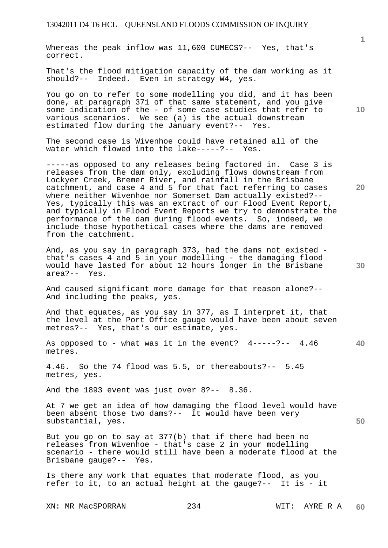Whereas the peak inflow was 11,600 CUMECS?-- Yes, that's correct.

That's the flood mitigation capacity of the dam working as it should?-- Indeed. Even in strategy W4, yes.

You go on to refer to some modelling you did, and it has been done, at paragraph 371 of that same statement, and you give some indication of the - of some case studies that refer to various scenarios. We see (a) is the actual downstream estimated flow during the January event?-- Yes.

The second case is Wivenhoe could have retained all of the water which flowed into the lake-----?-- Yes.

-----as opposed to any releases being factored in. Case 3 is releases from the dam only, excluding flows downstream from Lockyer Creek, Bremer River, and rainfall in the Brisbane catchment, and case 4 and 5 for that fact referring to cases where neither Wivenhoe nor Somerset Dam actually existed?-- Yes, typically this was an extract of our Flood Event Report, and typically in Flood Event Reports we try to demonstrate the performance of the dam during flood events. So, indeed, we include those hypothetical cases where the dams are removed from the catchment.

And, as you say in paragraph 373, had the dams not existed that's cases 4 and 5 in your modelling - the damaging flood would have lasted for about 12 hours longer in the Brisbane area?-- Yes.

And caused significant more damage for that reason alone?-- And including the peaks, yes.

And that equates, as you say in 377, as I interpret it, that the level at the Port Office gauge would have been about seven metres?-- Yes, that's our estimate, yes.

**40**  As opposed to - what was it in the event? 4-----?-- 4.46 metres.

4.46. So the 74 flood was 5.5, or thereabouts?-- 5.45 metres, yes.

And the 1893 event was just over 8?-- 8.36.

At 7 we get an idea of how damaging the flood level would have been absent those two dams?-- It would have been very substantial, yes.

But you go on to say at 377(b) that if there had been no releases from Wivenhoe - that's case 2 in your modelling scenario - there would still have been a moderate flood at the Brisbane gauge?-- Yes.

Is there any work that equates that moderate flood, as you refer to it, to an actual height at the gauge?-- It is - it

XN: MR MacSPORRAN 234 WIT: AYRE R A

**10** 

**20** 

**1**

**30**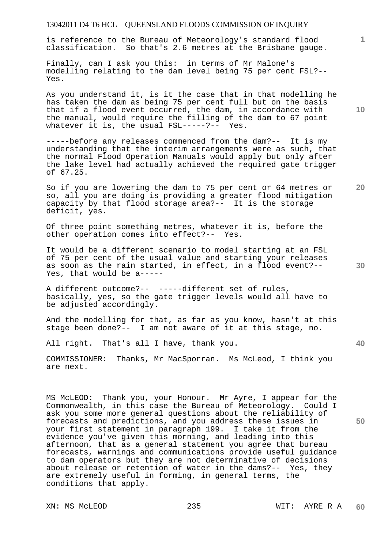is reference to the Bureau of Meteorology's standard flood classification. So that's 2.6 metres at the Brisbane gauge.

Finally, can I ask you this: in terms of Mr Malone's modelling relating to the dam level being 75 per cent FSL?-- Yes.

As you understand it, is it the case that in that modelling he has taken the dam as being 75 per cent full but on the basis that if a flood event occurred, the dam, in accordance with the manual, would require the filling of the dam to 67 point whatever it is, the usual FSL-----?-- Yes.

-----before any releases commenced from the dam?-- It is my understanding that the interim arrangements were as such, that the normal Flood Operation Manuals would apply but only after the lake level had actually achieved the required gate trigger of 67.25.

**20**  So if you are lowering the dam to 75 per cent or 64 metres or so, all you are doing is providing a greater flood mitigation capacity by that flood storage area?-- It is the storage deficit, yes.

Of three point something metres, whatever it is, before the other operation comes into effect?-- Yes.

It would be a different scenario to model starting at an FSL of 75 per cent of the usual value and starting your releases as soon as the rain started, in effect, in a flood event?-- Yes, that would be a-----

A different outcome?-- -----different set of rules, basically, yes, so the gate trigger levels would all have to be adjusted accordingly.

And the modelling for that, as far as you know, hasn't at this stage been done?-- I am not aware of it at this stage, no.

All right. That's all I have, thank you.

COMMISSIONER: Thanks, Mr MacSporran. Ms McLeod, I think you are next.

MS McLEOD: Thank you, your Honour. Mr Ayre, I appear for the Commonwealth, in this case the Bureau of Meteorology. Could I ask you some more general questions about the reliability of forecasts and predictions, and you address these issues in your first statement in paragraph 199. I take it from the evidence you've given this morning, and leading into this afternoon, that as a general statement you agree that bureau forecasts, warnings and communications provide useful guidance to dam operators but they are not determinative of decisions about release or retention of water in the dams?-- Yes, they are extremely useful in forming, in general terms, the conditions that apply.

**10** 

**1**

**30**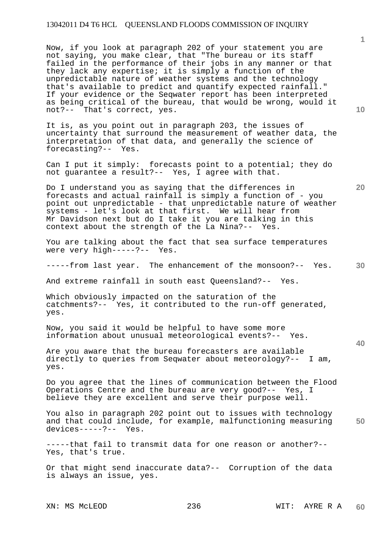Now, if you look at paragraph 202 of your statement you are not saying, you make clear, that "The bureau or its staff failed in the performance of their jobs in any manner or that they lack any expertise; it is simply a function of the unpredictable nature of weather systems and the technology that's available to predict and quantify expected rainfall." If your evidence or the Seqwater report has been interpreted as being critical of the bureau, that would be wrong, would it not?-- That's correct, yes.

It is, as you point out in paragraph 203, the issues of uncertainty that surround the measurement of weather data, the interpretation of that data, and generally the science of forecasting?-- Yes.

Can I put it simply: forecasts point to a potential; they do not guarantee a result?-- Yes, I agree with that.

Do I understand you as saying that the differences in forecasts and actual rainfall is simply a function of - you point out unpredictable - that unpredictable nature of weather systems - let's look at that first. We will hear from Mr Davidson next but do I take it you are talking in this context about the strength of the La Nina?-- Yes.

You are talking about the fact that sea surface temperatures were very high-----?-- Yes.

**30**  -----from last year. The enhancement of the monsoon?-- Yes.

And extreme rainfall in south east Queensland?-- Yes.

Which obviously impacted on the saturation of the catchments?-- Yes, it contributed to the run-off generated, yes.

Now, you said it would be helpful to have some more information about unusual meteorological events?-- Yes.

Are you aware that the bureau forecasters are available directly to queries from Seqwater about meteorology?-- I am, yes.

Do you agree that the lines of communication between the Flood Operations Centre and the bureau are very good?-- Yes, I believe they are excellent and serve their purpose well.

**50**  You also in paragraph 202 point out to issues with technology and that could include, for example, malfunctioning measuring devices-----?-- Yes.

-----that fail to transmit data for one reason or another?-- Yes, that's true.

Or that might send inaccurate data?-- Corruption of the data is always an issue, yes.

**10** 

**1**

**20**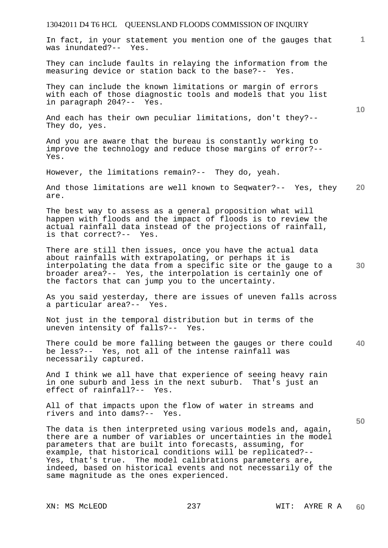**1** In fact, in your statement you mention one of the gauges that was inundated?-- Yes.

They can include faults in relaying the information from the measuring device or station back to the base?-- Yes.

They can include the known limitations or margin of errors with each of those diagnostic tools and models that you list in paragraph 204?-- Yes.

And each has their own peculiar limitations, don't they?-- They do, yes.

And you are aware that the bureau is constantly working to improve the technology and reduce those margins of error?-- Yes.

However, the limitations remain?-- They do, yeah.

**20**  And those limitations are well known to Seqwater?-- Yes, they are.

The best way to assess as a general proposition what will happen with floods and the impact of floods is to review the actual rainfall data instead of the projections of rainfall, is that correct?-- Yes.

**30**  There are still then issues, once you have the actual data about rainfalls with extrapolating, or perhaps it is interpolating the data from a specific site or the gauge to a broader area?-- Yes, the interpolation is certainly one of the factors that can jump you to the uncertainty.

As you said yesterday, there are issues of uneven falls across a particular area?-- Yes.

Not just in the temporal distribution but in terms of the uneven intensity of falls?-- Yes.

**40**  There could be more falling between the gauges or there could be less?-- Yes, not all of the intense rainfall was necessarily captured.

And I think we all have that experience of seeing heavy rain in one suburb and less in the next suburb. That's just an effect of rainfall?-- Yes.

All of that impacts upon the flow of water in streams and rivers and into dams?-- Yes.

The data is then interpreted using various models and, again, there are a number of variables or uncertainties in the model parameters that are built into forecasts, assuming, for example, that historical conditions will be replicated?-- Yes, that's true. The model calibrations parameters are, indeed, based on historical events and not necessarily of the same magnitude as the ones experienced.

**50**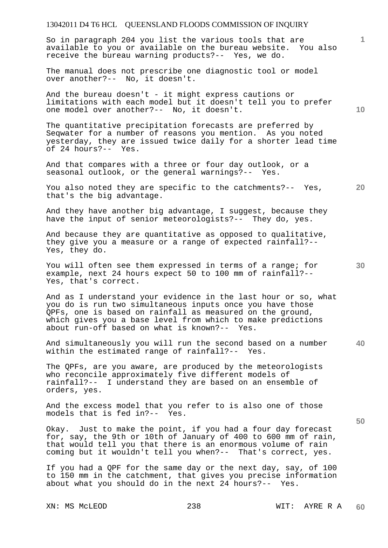So in paragraph 204 you list the various tools that are available to you or available on the bureau website. You also receive the bureau warning products?-- Yes, we do.

The manual does not prescribe one diagnostic tool or model over another?-- No, it doesn't.

And the bureau doesn't - it might express cautions or limitations with each model but it doesn't tell you to prefer one model over another?-- No, it doesn't.

The quantitative precipitation forecasts are preferred by Seqwater for a number of reasons you mention. As you noted yesterday, they are issued twice daily for a shorter lead time of 24 hours?-- Yes.

And that compares with a three or four day outlook, or a seasonal outlook, or the general warnings?-- Yes.

**20**  You also noted they are specific to the catchments?-- Yes, that's the big advantage.

And they have another big advantage, I suggest, because they have the input of senior meteorologists?-- They do, yes.

And because they are quantitative as opposed to qualitative, they give you a measure or a range of expected rainfall?-- Yes, they do.

You will often see them expressed in terms of a range; for example, next 24 hours expect 50 to 100 mm of rainfall?-- Yes, that's correct.

And as I understand your evidence in the last hour or so, what you do is run two simultaneous inputs once you have those QPFs, one is based on rainfall as measured on the ground, which gives you a base level from which to make predictions about run-off based on what is known?-- Yes.

**40**  And simultaneously you will run the second based on a number within the estimated range of rainfall?-- Yes.

The QPFs, are you aware, are produced by the meteorologists who reconcile approximately five different models of rainfall?-- I understand they are based on an ensemble of orders, yes.

And the excess model that you refer to is also one of those models that is fed in?-- Yes.

Okay. Just to make the point, if you had a four day forecast for, say, the 9th or 10th of January of 400 to 600 mm of rain, that would tell you that there is an enormous volume of rain coming but it wouldn't tell you when?-- That's correct, yes.

If you had a QPF for the same day or the next day, say, of 100 to 150 mm in the catchment, that gives you precise information about what you should do in the next 24 hours?-- Yes.

**10** 

**1**

**30**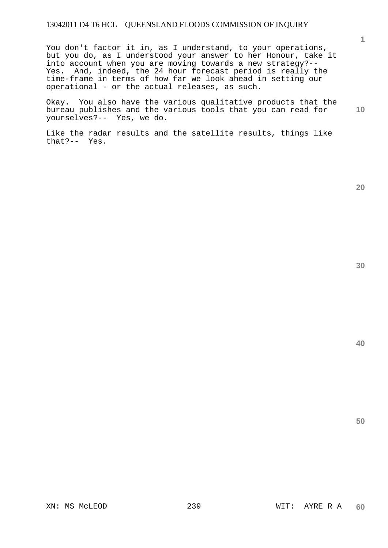You don't factor it in, as I understand, to your operations, but you do, as I understood your answer to her Honour, take it into account when you are moving towards a new strategy?-- Yes. And, indeed, the 24 hour forecast period is really the time-frame in terms of how far we look ahead in setting our operational - or the actual releases, as such.

Okay. You also have the various qualitative products that the bureau publishes and the various tools that you can read for yourselves?-- Yes, we do.

Like the radar results and the satellite results, things like that?-- Yes.

**20** 

**40** 

**50** 

**1**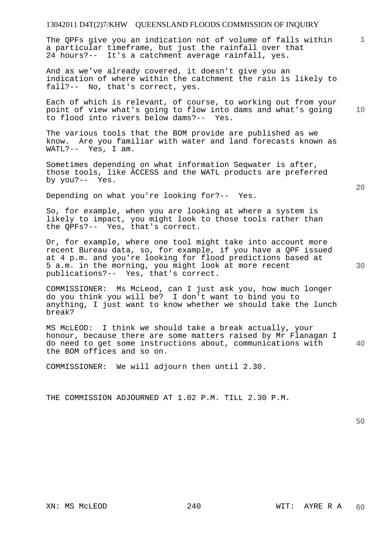The QPFs give you an indication not of volume of falls within a particular timeframe, but just the rainfall over that 24 hours?-- It's a catchment average rainfall, yes.

And as we've already covered, it doesn't give you an indication of where within the catchment the rain is likely to fall?-- No, that's correct, yes.

Each of which is relevant, of course, to working out from your point of view what's going to flow into dams and what's going to flood into rivers below dams?-- Yes.

The various tools that the BOM provide are published as we know. Are you familiar with water and land forecasts known as WATL?-- Yes, I am.

Sometimes depending on what information Seqwater is after, those tools, like ACCESS and the WATL products are preferred by you?-- Yes.

Depending on what you're looking for?-- Yes.

So, for example, when you are looking at where a system is likely to impact, you might look to those tools rather than the QPFs?-- Yes, that's correct.

Or, for example, where one tool might take into account more recent Bureau data, so, for example, if you have a QPF issued at 4 p.m. and you're looking for flood predictions based at 5 a.m. in the morning, you might look at more recent publications?-- Yes, that's correct.

COMMISSIONER: Ms McLeod, can I just ask you, how much longer do you think you will be? I don't want to bind you to anything, I just want to know whether we should take the lunch break?

**40**  MS McLEOD: I think we should take a break actually, your honour, because there are some matters raised by Mr Flanagan I do need to get some instructions about, communications with the BOM offices and so on.

COMMISSIONER: We will adjourn then until 2.30.

THE COMMISSION ADJOURNED AT 1.02 P.M. TILL 2.30 P.M.

**50** 

**20** 

**10**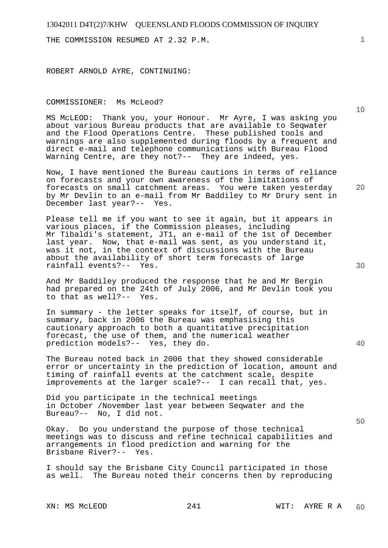THE COMMISSION RESUMED AT 2.32 P.M.

ROBERT ARNOLD AYRE, CONTINUING:

#### COMMISSIONER: Ms McLeod?

MS McLEOD: Thank you, your Honour. Mr Ayre, I was asking you about various Bureau products that are available to Seqwater and the Flood Operations Centre. These published tools and warnings are also supplemented during floods by a frequent and direct e-mail and telephone communications with Bureau Flood Warning Centre, are they not?-- They are indeed, yes.

Now, I have mentioned the Bureau cautions in terms of reliance on forecasts and your own awareness of the limitations of forecasts on small catchment areas. You were taken yesterday by Mr Devlin to an e-mail from Mr Baddiley to Mr Drury sent in December last year?-- Yes.

Please tell me if you want to see it again, but it appears in various places, if the Commission pleases, including Mr Tibaldi's statement, JT1, an e-mail of the 1st of December last year. Now, that e-mail was sent, as you understand it, was it not, in the context of discussions with the Bureau about the availability of short term forecasts of large rainfall events?-- Yes.

And Mr Baddiley produced the response that he and Mr Bergin had prepared on the 24th of July 2006, and Mr Devlin took you to that as well?-- Yes.

In summary - the letter speaks for itself, of course, but in summary, back in 2006 the Bureau was emphasising this cautionary approach to both a quantitative precipitation forecast, the use of them, and the numerical weather prediction models?-- Yes, they do.

The Bureau noted back in 2006 that they showed considerable error or uncertainty in the prediction of location, amount and timing of rainfall events at the catchment scale, despite improvements at the larger scale?-- I can recall that, yes.

Did you participate in the technical meetings in October /November last year between Seqwater and the Bureau?-- No, I did not.

Okay. Do you understand the purpose of those technical meetings was to discuss and refine technical capabilities and arrangements in flood prediction and warning for the Brisbane River?-- Yes.

I should say the Brisbane City Council participated in those as well. The Bureau noted their concerns then by reproducing **1**

**10** 

**20** 

**40** 

**30**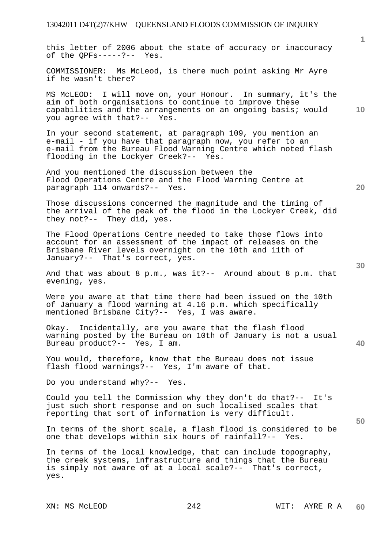this letter of 2006 about the state of accuracy or inaccuracy of the QPFs-----?-- Yes.

COMMISSIONER: Ms McLeod, is there much point asking Mr Ayre if he wasn't there?

MS McLEOD: I will move on, your Honour. In summary, it's the aim of both organisations to continue to improve these capabilities and the arrangements on an ongoing basis; would you agree with that?-- Yes.

In your second statement, at paragraph 109, you mention an e-mail - if you have that paragraph now, you refer to an e-mail from the Bureau Flood Warning Centre which noted flash flooding in the Lockyer Creek?-- Yes.

And you mentioned the discussion between the Flood Operations Centre and the Flood Warning Centre at paragraph 114 onwards?-- Yes.

Those discussions concerned the magnitude and the timing of the arrival of the peak of the flood in the Lockyer Creek, did they not?-- They did, yes.

The Flood Operations Centre needed to take those flows into account for an assessment of the impact of releases on the Brisbane River levels overnight on the 10th and 11th of January?-- That's correct, yes.

And that was about 8 p.m., was it?-- Around about 8 p.m. that evening, yes.

Were you aware at that time there had been issued on the 10th of January a flood warning at 4.16 p.m. which specifically mentioned Brisbane City?-- Yes, I was aware.

Okay. Incidentally, are you aware that the flash flood warning posted by the Bureau on 10th of January is not a usual Bureau product?-- Yes, I am.

You would, therefore, know that the Bureau does not issue flash flood warnings?-- Yes, I'm aware of that.

Do you understand why?-- Yes.

Could you tell the Commission why they don't do that?-- It's just such short response and on such localised scales that reporting that sort of information is very difficult.

In terms of the short scale, a flash flood is considered to be one that develops within six hours of rainfall?-- Yes.

In terms of the local knowledge, that can include topography, the creek systems, infrastructure and things that the Bureau is simply not aware of at a local scale?-- That's correct, yes.

**40** 

**50** 

**10**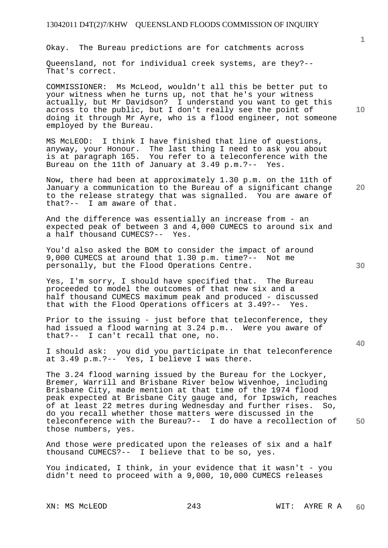Okay. The Bureau predictions are for catchments across

Queensland, not for individual creek systems, are they?-- That's correct.

COMMISSIONER: Ms McLeod, wouldn't all this be better put to your witness when he turns up, not that he's your witness actually, but Mr Davidson? I understand you want to get this across to the public, but I don't really see the point of doing it through Mr Ayre, who is a flood engineer, not someone employed by the Bureau.

MS McLEOD: I think I have finished that line of questions, anyway, your Honour. The last thing I need to ask you about is at paragraph 165. You refer to a teleconference with the Bureau on the 11th of January at 3.49 p.m.?-- Yes.

Now, there had been at approximately 1.30 p.m. on the 11th of January a communication to the Bureau of a significant change to the release strategy that was signalled. You are aware of that?-- I am aware of that.

And the difference was essentially an increase from - an expected peak of between 3 and 4,000 CUMECS to around six and a half thousand CUMECS?-- Yes.

You'd also asked the BOM to consider the impact of around 9,000 CUMECS at around that 1.30 p.m. time?-- Not me personally, but the Flood Operations Centre.

Yes, I'm sorry, I should have specified that. The Bureau proceeded to model the outcomes of that new six and a half thousand CUMECS maximum peak and produced - discussed that with the Flood Operations officers at 3.49?-- Yes.

Prior to the issuing - just before that teleconference, they had issued a flood warning at 3.24 p.m.. Were you aware of that?-- I can't recall that one, no.

I should ask: you did you participate in that teleconference at 3.49 p.m.?-- Yes, I believe I was there.

The 3.24 flood warning issued by the Bureau for the Lockyer, Bremer, Warrill and Brisbane River below Wivenhoe, including Brisbane City, made mention at that time of the 1974 flood peak expected at Brisbane City gauge and, for Ipswich, reaches of at least 22 metres during Wednesday and further rises. So, do you recall whether those matters were discussed in the teleconference with the Bureau?-- I do have a recollection of those numbers, yes.

And those were predicated upon the releases of six and a half thousand CUMECS?-- I believe that to be so, yes.

You indicated, I think, in your evidence that it wasn't - you didn't need to proceed with a 9,000, 10,000 CUMECS releases

XN: MS MCLEOD 243 WIT: AYRE R A **60** 

**10** 

**1**

**20** 

**40**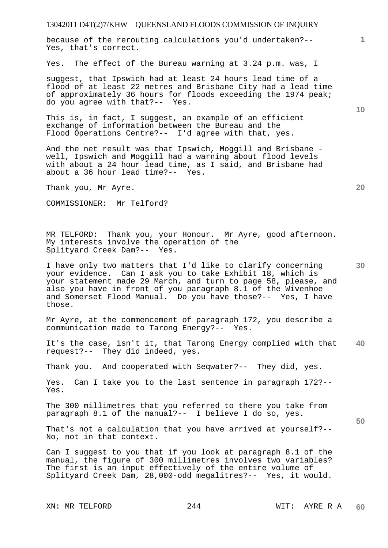because of the rerouting calculations you'd undertaken?-- Yes, that's correct.

Yes. The effect of the Bureau warning at 3.24 p.m. was, I

suggest, that Ipswich had at least 24 hours lead time of a flood of at least 22 metres and Brisbane City had a lead time of approximately 36 hours for floods exceeding the 1974 peak; do you agree with that?-- Yes.

This is, in fact, I suggest, an example of an efficient exchange of information between the Bureau and the Flood Operations Centre?-- I'd agree with that, yes.

And the net result was that Ipswich, Moggill and Brisbane well, Ipswich and Moggill had a warning about flood levels with about a 24 hour lead time, as I said, and Brisbane had about a 36 hour lead time?-- Yes.

Thank you, Mr Ayre.

COMMISSIONER: Mr Telford?

MR TELFORD: Thank you, your Honour. Mr Ayre, good afternoon. My interests involve the operation of the Splityard Creek Dam?-- Yes.

I have only two matters that I'd like to clarify concerning your evidence. Can I ask you to take Exhibit 18, which is your statement made 29 March, and turn to page 58, please, and also you have in front of you paragraph 8.1 of the Wivenhoe and Somerset Flood Manual. Do you have those?-- Yes, I have those.

Mr Ayre, at the commencement of paragraph 172, you describe a communication made to Tarong Energy?-- Yes.

**40**  It's the case, isn't it, that Tarong Energy complied with that request?-- They did indeed, yes.

Thank you. And cooperated with Seqwater?-- They did, yes.

Yes. Can I take you to the last sentence in paragraph 172?-- Yes.

The 300 millimetres that you referred to there you take from paragraph 8.1 of the manual?-- I believe I do so, yes.

That's not a calculation that you have arrived at yourself?-- No, not in that context.

Can I suggest to you that if you look at paragraph 8.1 of the manual, the figure of 300 millimetres involves two variables? The first is an input effectively of the entire volume of Splityard Creek Dam, 28,000-odd megalitres?-- Yes, it would.

**10** 

**1**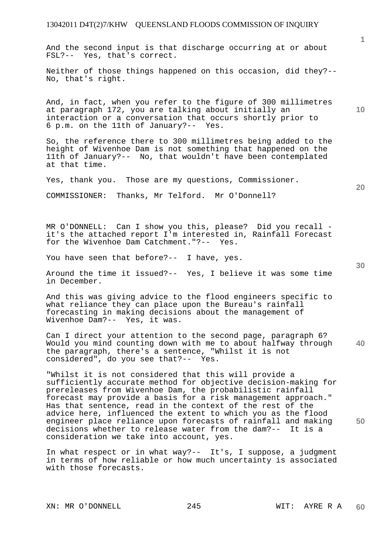And the second input is that discharge occurring at or about FSL?-- Yes, that's correct.

Neither of those things happened on this occasion, did they?-- No, that's right.

And, in fact, when you refer to the figure of 300 millimetres at paragraph 172, you are talking about initially an interaction or a conversation that occurs shortly prior to 6 p.m. on the 11th of January?-- Yes.

So, the reference there to 300 millimetres being added to the height of Wivenhoe Dam is not something that happened on the 11th of January?-- No, that wouldn't have been contemplated at that time.

Yes, thank you. Those are my questions, Commissioner.

COMMISSIONER: Thanks, Mr Telford. Mr O'Donnell?

MR O'DONNELL: Can I show you this, please? Did you recall it's the attached report I'm interested in, Rainfall Forecast for the Wivenhoe Dam Catchment."?-- Yes.

You have seen that before?-- I have, yes.

Around the time it issued?-- Yes, I believe it was some time in December.

And this was giving advice to the flood engineers specific to what reliance they can place upon the Bureau's rainfall forecasting in making decisions about the management of Wivenhoe Dam?-- Yes, it was.

Can I direct your attention to the second page, paragraph 6? Would you mind counting down with me to about halfway through the paragraph, there's a sentence, "Whilst it is not considered", do you see that?-- Yes.

"Whilst it is not considered that this will provide a sufficiently accurate method for objective decision-making for prereleases from Wivenhoe Dam, the probabilistic rainfall forecast may provide a basis for a risk management approach." Has that sentence, read in the context of the rest of the advice here, influenced the extent to which you as the flood engineer place reliance upon forecasts of rainfall and making decisions whether to release water from the dam?-- It is a consideration we take into account, yes.

In what respect or in what way?-- It's, I suppose, a judgment in terms of how reliable or how much uncertainty is associated with those forecasts.

XN: MR O'DONNELL 245 WIT: AYRE R A

**10** 

**20** 

**1**

**30** 

**40**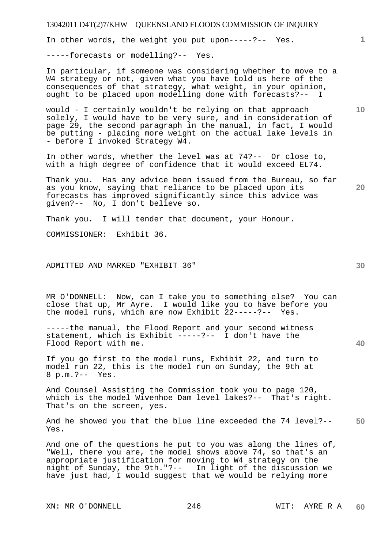In other words, the weight you put upon-----?-- Yes.

-----forecasts or modelling?-- Yes.

In particular, if someone was considering whether to move to a W4 strategy or not, given what you have told us here of the consequences of that strategy, what weight, in your opinion, ought to be placed upon modelling done with forecasts?-- I

would - I certainly wouldn't be relying on that approach solely, I would have to be very sure, and in consideration of page 29, the second paragraph in the manual, in fact, I would be putting - placing more weight on the actual lake levels in - before I invoked Strategy W4.

In other words, whether the level was at 74?-- Or close to, with a high degree of confidence that it would exceed EL74.

Thank you. Has any advice been issued from the Bureau, so far as you know, saying that reliance to be placed upon its forecasts has improved significantly since this advice was given?-- No, I don't believe so.

Thank you. I will tender that document, your Honour.

COMMISSIONER: Exhibit 36.

# ADMITTED AND MARKED "EXHIBIT 36"

MR O'DONNELL: Now, can I take you to something else? You can close that up, Mr Ayre. I would like you to have before you the model runs, which are now Exhibit 22-----?-- Yes.

-----the manual, the Flood Report and your second witness statement, which is Exhibit -----?-- I don't have the Flood Report with me.

If you go first to the model runs, Exhibit 22, and turn to model run 22, this is the model run on Sunday, the 9th at 8 p.m.?-- Yes.

And Counsel Assisting the Commission took you to page 120, which is the model Wivenhoe Dam level lakes?-- That's right. That's on the screen, yes.

**50**  And he showed you that the blue line exceeded the 74 level?-- Yes.

And one of the questions he put to you was along the lines of, "Well, there you are, the model shows above 74, so that's an appropriate justification for moving to W4 strategy on the night of Sunday, the 9th."?-- In light of the discussion we have just had, I would suggest that we would be relying more

XN: MR O'DONNELL 246 WIT: AYRE R A

**30** 

**10** 

**1**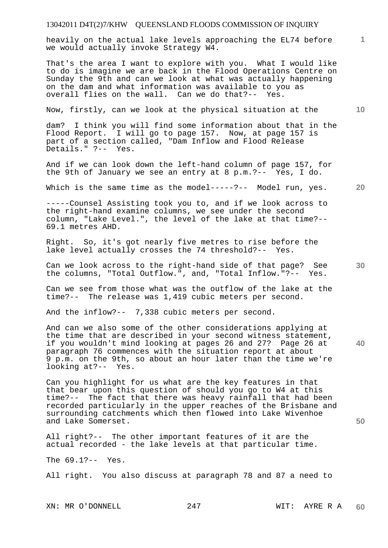heavily on the actual lake levels approaching the EL74 before we would actually invoke Strategy W4.

That's the area I want to explore with you. What I would like to do is imagine we are back in the Flood Operations Centre on Sunday the 9th and can we look at what was actually happening on the dam and what information was available to you as overall flies on the wall. Can we do that?-- Yes.

Now, firstly, can we look at the physical situation at the

dam? I think you will find some information about that in the Flood Report. I will go to page 157. Now, at page 157 is part of a section called, "Dam Inflow and Flood Release Details." ?-- Yes.

And if we can look down the left-hand column of page 157, for the 9th of January we see an entry at 8 p.m.?-- Yes, I do.

Which is the same time as the model-----?-- Model run, yes.

-----Counsel Assisting took you to, and if we look across to the right-hand examine columns, we see under the second column, "Lake Level.", the level of the lake at that time?-- 69.1 metres AHD.

Right. So, it's got nearly five metres to rise before the lake level actually crosses the 74 threshold?-- Yes.

Can we look across to the right-hand side of that page? See the columns, "Total Outflow.", and, "Total Inflow."?-- Yes.

Can we see from those what was the outflow of the lake at the time?-- The release was 1,419 cubic meters per second.

And the inflow?-- 7,338 cubic meters per second.

And can we also some of the other considerations applying at the time that are described in your second witness statement, if you wouldn't mind looking at pages 26 and 27? Page 26 at paragraph 76 commences with the situation report at about 9 p.m. on the 9th, so about an hour later than the time we're looking at?-- Yes.

Can you highlight for us what are the key features in that that bear upon this question of should you go to W4 at this time?-- The fact that there was heavy rainfall that had been recorded particularly in the upper reaches of the Brisbane and surrounding catchments which then flowed into Lake Wivenhoe and Lake Somerset.

All right?-- The other important features of it are the actual recorded - the lake levels at that particular time.

The 69.1?-- Yes.

All right. You also discuss at paragraph 78 and 87 a need to

XN: MR O'DONNELL 247 WIT: AYRE R A

**10** 

**20** 

**1**

**30** 

**40**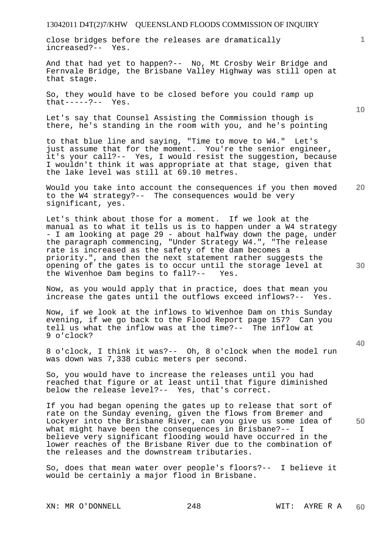close bridges before the releases are dramatically increased?-- Yes.

And that had yet to happen?-- No, Mt Crosby Weir Bridge and Fernvale Bridge, the Brisbane Valley Highway was still open at that stage.

So, they would have to be closed before you could ramp up that-----?-- Yes.

Let's say that Counsel Assisting the Commission though is there, he's standing in the room with you, and he's pointing

to that blue line and saying, "Time to move to W4." Let's just assume that for the moment. You're the senior engineer, it's your call?-- Yes, I would resist the suggestion, because I wouldn't think it was appropriate at that stage, given that the lake level was still at 69.10 metres.

**20**  Would you take into account the consequences if you then moved to the W4 strategy?-- The consequences would be very significant, yes.

Let's think about those for a moment. If we look at the manual as to what it tells us is to happen under a W4 strategy - I am looking at page 29 - about halfway down the page, under the paragraph commencing, "Under Strategy W4.", "The release rate is increased as the safety of the dam becomes a priority.", and then the next statement rather suggests the opening of the gates is to occur until the storage level at the Wivenhoe Dam begins to fall?-- Yes.

Now, as you would apply that in practice, does that mean you increase the gates until the outflows exceed inflows?-- Yes.

Now, if we look at the inflows to Wivenhoe Dam on this Sunday evening, if we go back to the Flood Report page 157? Can you tell us what the inflow was at the time?-- The inflow at 9 o'clock?

8 o'clock, I think it was?-- Oh, 8 o'clock when the model run was down was 7,338 cubic meters per second.

So, you would have to increase the releases until you had reached that figure or at least until that figure diminished below the release level?-- Yes, that's correct.

If you had began opening the gates up to release that sort of rate on the Sunday evening, given the flows from Bremer and Lockyer into the Brisbane River, can you give us some idea of what might have been the consequences in Brisbane?-believe very significant flooding would have occurred in the lower reaches of the Brisbane River due to the combination of the releases and the downstream tributaries.

So, does that mean water over people's floors?-- I believe it would be certainly a major flood in Brisbane.

XN: MR O'DONNELL 248 WIT: AYRE R A

**10** 

**1**

**40** 

**50**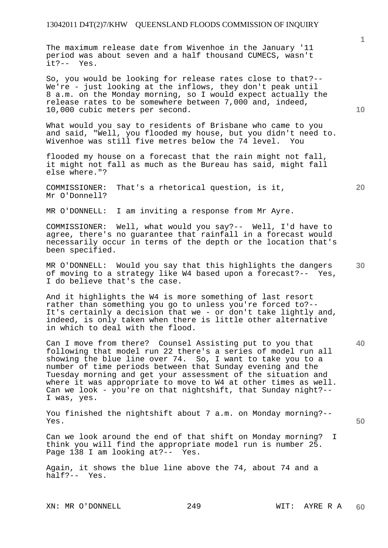The maximum release date from Wivenhoe in the January '11 period was about seven and a half thousand CUMECS, wasn't it?-- Yes.

So, you would be looking for release rates close to that?-- We're - just looking at the inflows, they don't peak until 8 a.m. on the Monday morning, so I would expect actually the release rates to be somewhere between 7,000 and, indeed, 10,000 cubic meters per second.

What would you say to residents of Brisbane who came to you and said, "Well, you flooded my house, but you didn't need to. Wivenhoe was still five metres below the 74 level. You

flooded my house on a forecast that the rain might not fall, it might not fall as much as the Bureau has said, might fall else where."?

COMMISSIONER: That's a rhetorical question, is it, Mr O'Donnell?

MR O'DONNELL: I am inviting a response from Mr Ayre.

COMMISSIONER: Well, what would you say?-- Well, I'd have to agree, there's no guarantee that rainfall in a forecast would necessarily occur in terms of the depth or the location that's been specified.

**30**  MR O'DONNELL: Would you say that this highlights the dangers of moving to a strategy like W4 based upon a forecast?-- Yes, I do believe that's the case.

And it highlights the W4 is more something of last resort rather than something you go to unless you're forced to?-- It's certainly a decision that we - or don't take lightly and, indeed, is only taken when there is little other alternative in which to deal with the flood.

Can I move from there? Counsel Assisting put to you that following that model run 22 there's a series of model run all showing the blue line over 74. So, I want to take you to a number of time periods between that Sunday evening and the Tuesday morning and get your assessment of the situation and where it was appropriate to move to W4 at other times as well. Can we look - you're on that nightshift, that Sunday night?-- I was, yes.

You finished the nightshift about 7 a.m. on Monday morning?-- Yes.

Can we look around the end of that shift on Monday morning? I think you will find the appropriate model run is number 25. Page 138 I am looking at?-- Yes.

Again, it shows the blue line above the 74, about 74 and a half?-- Yes.

XN: MR O'DONNELL 249 WIT: AYRE R A

**10** 

**20** 

**1**

**40**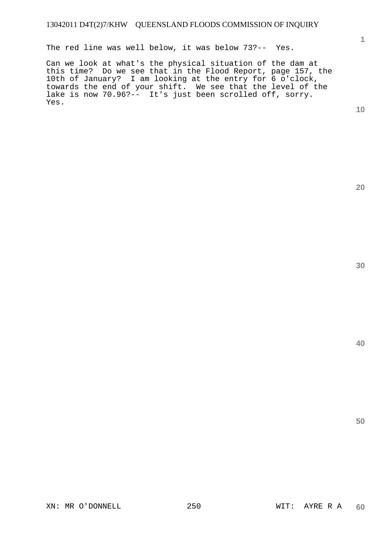The red line was well below, it was below 73?-- Yes.

Can we look at what's the physical situation of the dam at this time? Do we see that in the Flood Report, page 157, the 10th of January? I am looking at the entry for 6 o'clock, towards the end of your shift. We see that the level of the lake is now 70.96?-- It's just been scrolled off, sorry. Yes.

**10** 

**1**

**20** 

**40**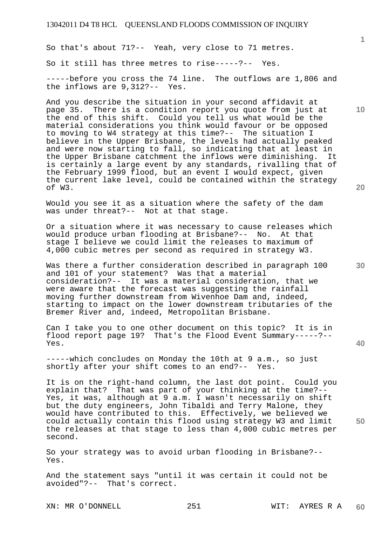So that's about 71?-- Yeah, very close to 71 metres. So it still has three metres to rise-----?-- Yes. -----before you cross the 74 line. The outflows are 1,806 and the inflows are 9,312?-- Yes.

And you describe the situation in your second affidavit at page 35. There is a condition report you quote from just at the end of this shift. Could you tell us what would be the material considerations you think would favour or be opposed to moving to W4 strategy at this time?-- The situation I believe in the Upper Brisbane, the levels had actually peaked and were now starting to fall, so indicating that at least in the Upper Brisbane catchment the inflows were diminishing. It is certainly a large event by any standards, rivalling that of the February 1999 flood, but an event I would expect, given the current lake level, could be contained within the strategy of W3.

Would you see it as a situation where the safety of the dam was under threat?-- Not at that stage.

Or a situation where it was necessary to cause releases which would produce urban flooding at Brisbane?-- No. At that stage I believe we could limit the releases to maximum of 4,000 cubic metres per second as required in strategy W3.

Was there a further consideration described in paragraph 100 and 101 of your statement? Was that a material consideration?-- It was a material consideration, that we were aware that the forecast was suggesting the rainfall moving further downstream from Wivenhoe Dam and, indeed, starting to impact on the lower downstream tributaries of the Bremer River and, indeed, Metropolitan Brisbane.

Can I take you to one other document on this topic? It is in flood report page 19? That's the Flood Event Summary-----?-- Yes.

-----which concludes on Monday the 10th at 9 a.m., so just shortly after your shift comes to an end?-- Yes.

It is on the right-hand column, the last dot point. Could you explain that? That was part of your thinking at the time?-- Yes, it was, although at 9 a.m. I wasn't necessarily on shift but the duty engineers, John Tibaldi and Terry Malone, they would have contributed to this. Effectively, we believed we could actually contain this flood using strategy W3 and limit the releases at that stage to less than 4,000 cubic metres per second.

So your strategy was to avoid urban flooding in Brisbane?-- Yes.

And the statement says "until it was certain it could not be avoided"?-- That's correct.

XN: MR O'DONNELL 251 WIT: AYRES R A

**60** 

**30** 

**20** 

**40** 

**50** 

**10**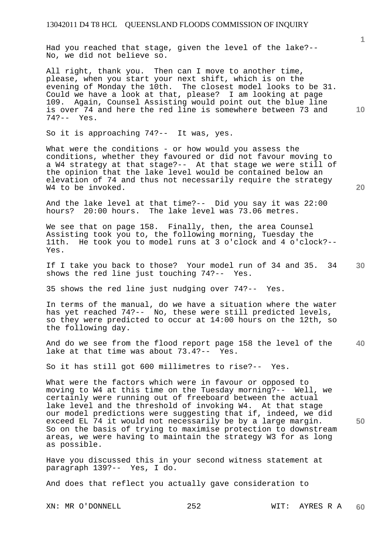Had you reached that stage, given the level of the lake?-- No, we did not believe so.

All right, thank you. Then can I move to another time, please, when you start your next shift, which is on the evening of Monday the 10th. The closest model looks to be 31. Could we have a look at that, please? I am looking at page 109. Again, Counsel Assisting would point out the blue line is over 74 and here the red line is somewhere between 73 and 74?-- Yes.

So it is approaching 74?-- It was, yes.

What were the conditions - or how would you assess the conditions, whether they favoured or did not favour moving to a W4 strategy at that stage?-- At that stage we were still of the opinion that the lake level would be contained below an elevation of 74 and thus not necessarily require the strategy W4 to be invoked.

And the lake level at that time?-- Did you say it was 22:00 hours? 20:00 hours. The lake level was 73.06 metres.

We see that on page 158. Finally, then, the area Counsel Assisting took you to, the following morning, Tuesday the 11th. He took you to model runs at 3 o'clock and 4 o'clock?-- Yes.

**30**  If I take you back to those? Your model run of 34 and 35. 34 shows the red line just touching 74?-- Yes.

35 shows the red line just nudging over 74?-- Yes.

In terms of the manual, do we have a situation where the water has yet reached 74?-- No, these were still predicted levels, so they were predicted to occur at 14:00 hours on the 12th, so the following day.

**40**  And do we see from the flood report page 158 the level of the lake at that time was about  $73.4$  ?-- Yes. lake at that time was about  $73.4$ ?--

So it has still got 600 millimetres to rise?-- Yes.

What were the factors which were in favour or opposed to moving to W4 at this time on the Tuesday morning?-- Well, we certainly were running out of freeboard between the actual Lettainity were running one of the term of the that stage our model predictions were suggesting that if, indeed, we did exceed EL 74 it would not necessarily be by a large margin. So on the basis of trying to maximise protection to downstream areas, we were having to maintain the strategy W3 for as long as possible.

Have you discussed this in your second witness statement at paragraph 139?-- Yes, I do.

And does that reflect you actually gave consideration to

XN: MR O'DONNELL 252 WIT: AYRES R A

**60** 

**20** 

**50**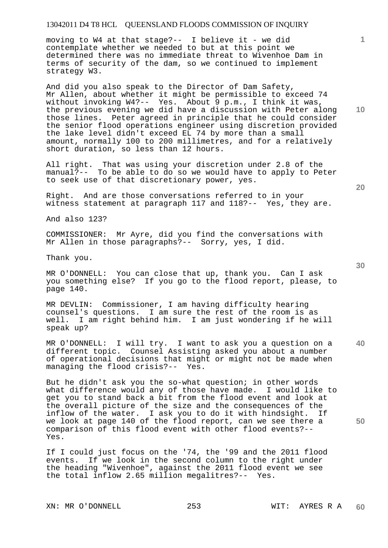moving to W4 at that stage?-- I believe it - we did contemplate whether we needed to but at this point we determined there was no immediate threat to Wivenhoe Dam in terms of security of the dam, so we continued to implement strategy W3.

And did you also speak to the Director of Dam Safety, Mr Allen, about whether it might be permissible to exceed 74 without invoking W4?-- Yes. About 9 p.m., I think it was, the previous evening we did have a discussion with Peter along those lines. Peter agreed in principle that he could consider the senior flood operations engineer using discretion provided the lake level didn't exceed EL 74 by more than a small amount, normally 100 to 200 millimetres, and for a relatively short duration, so less than 12 hours.

All right. That was using your discretion under 2.8 of the manual?-- To be able to do so we would have to apply to Peter to seek use of that discretionary power, yes.

Right. And are those conversations referred to in your witness statement at paragraph 117 and 118?-- Yes, they are.

And also 123?

COMMISSIONER: Mr Ayre, did you find the conversations with Mr Allen in those paragraphs?-- Sorry, yes, I did.

Thank you.

MR O'DONNELL: You can close that up, thank you. Can I ask you something else? If you go to the flood report, please, to page 140.

MR DEVLIN: Commissioner, I am having difficulty hearing counsel's questions. I am sure the rest of the room is as well. I am right behind him. I am just wondering if he will speak up?

**40**  MR O'DONNELL: I will try. I want to ask you a question on a different topic. Counsel Assisting asked you about a number of operational decisions that might or might not be made when managing the flood crisis?-- Yes.

But he didn't ask you the so-what question; in other words what difference would any of those have made. I would like to get you to stand back a bit from the flood event and look at the overall picture of the size and the consequences of the inflow of the water. I ask you to do it with hindsight. If we look at page 140 of the flood report, can we see there a comparison of this flood event with other flood events?-- Yes.

If I could just focus on the '74, the '99 and the 2011 flood events. If we look in the second column to the right under the heading "Wivenhoe", against the 2011 flood event we see the total inflow 2.65 million megalitres?-- Yes.

XN: MR O'DONNELL 253 WIT: AYRES R A

**10** 

**1**

**30** 

**20**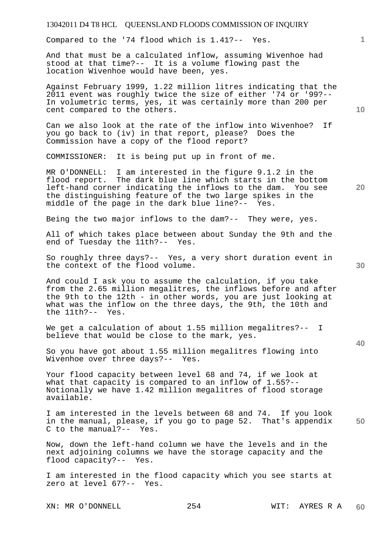Compared to the '74 flood which is 1.41?-- Yes.

And that must be a calculated inflow, assuming Wivenhoe had stood at that time?-- It is a volume flowing past the location Wivenhoe would have been, yes.

Against February 1999, 1.22 million litres indicating that the 2011 event was roughly twice the size of either '74 or '99?-- In volumetric terms, yes, it was certainly more than 200 per cent compared to the others.

Can we also look at the rate of the inflow into Wivenhoe? If you go back to (iv) in that report, please? Does the Commission have a copy of the flood report?

COMMISSIONER: It is being put up in front of me.

MR O'DONNELL: I am interested in the figure 9.1.2 in the flood report. The dark blue line which starts in the bottom left-hand corner indicating the inflows to the dam. You see the distinguishing feature of the two large spikes in the middle of the page in the dark blue line?-- Yes.

Being the two major inflows to the dam?-- They were, yes.

All of which takes place between about Sunday the 9th and the end of Tuesday the 11th?-- Yes.

So roughly three days?-- Yes, a very short duration event in the context of the flood volume.

And could I ask you to assume the calculation, if you take from the 2.65 million megalitres, the inflows before and after the 9th to the 12th - in other words, you are just looking at what was the inflow on the three days, the 9th, the 10th and the 11th?-- Yes.

We get a calculation of about 1.55 million megalitres?-- I believe that would be close to the mark, yes.

So you have got about 1.55 million megalitres flowing into Wivenhoe over three days?-- Yes.

Your flood capacity between level 68 and 74, if we look at what that capacity is compared to an inflow of 1.55?-- Notionally we have 1.42 million megalitres of flood storage available.

**50**  I am interested in the levels between 68 and 74. If you look in the manual, please, if you go to page 52. That's appendix C to the manual?-- Yes.

Now, down the left-hand column we have the levels and in the next adjoining columns we have the storage capacity and the flood capacity?-- Yes.

I am interested in the flood capacity which you see starts at zero at level 67?-- Yes.

**10** 

**20** 

**1**

**30**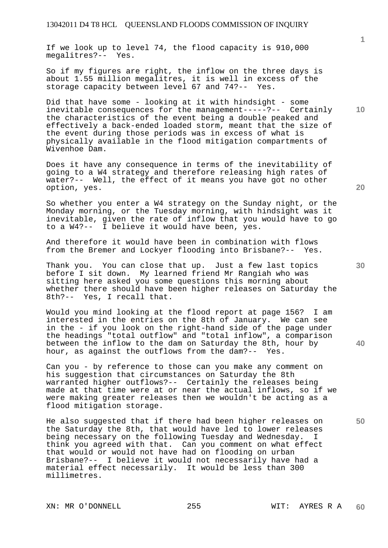If we look up to level 74, the flood capacity is 910,000 megalitres?-- Yes.

So if my figures are right, the inflow on the three days is about 1.55 million megalitres, it is well in excess of the storage capacity between level 67 and 74?-- Yes.

Did that have some - looking at it with hindsight - some inevitable consequences for the management-----?-- Certainly the characteristics of the event being a double peaked and effectively a back-ended loaded storm, meant that the size of the event during those periods was in excess of what is physically available in the flood mitigation compartments of Wivenhoe Dam.

Does it have any consequence in terms of the inevitability of going to a W4 strategy and therefore releasing high rates of water?-- Well, the effect of it means you have got no other option, yes.

So whether you enter a W4 strategy on the Sunday night, or the Monday morning, or the Tuesday morning, with hindsight was it inevitable, given the rate of inflow that you would have to go to a W4?-- I believe it would have been, yes.

And therefore it would have been in combination with flows from the Bremer and Lockyer flooding into Brisbane?-- Yes.

Thank you. You can close that up. Just a few last topics before I sit down. My learned friend Mr Rangiah who was sitting here asked you some questions this morning about whether there should have been higher releases on Saturday the 8th?-- Yes, I recall that.

Would you mind looking at the flood report at page 156? I am interested in the entries on the 8th of January. We can see in the - if you look on the right-hand side of the page under the headings "total outflow" and "total inflow", a comparison between the inflow to the dam on Saturday the 8th, hour by hour, as against the outflows from the dam?-- Yes.

Can you - by reference to those can you make any comment on his suggestion that circumstances on Saturday the 8th warranted higher outflows?-- Certainly the releases being made at that time were at or near the actual inflows, so if we were making greater releases then we wouldn't be acting as a flood mitigation storage.

He also suggested that if there had been higher releases on the Saturday the 8th, that would have led to lower releases being necessary on the following Tuesday and Wednesday. I think you agreed with that. Can you comment on what effect that would or would not have had on flooding on urban Brisbane?-- I believe it would not necessarily have had a material effect necessarily. It would be less than 300 millimetres.

**20** 

**10** 

**1**

**30** 

**40**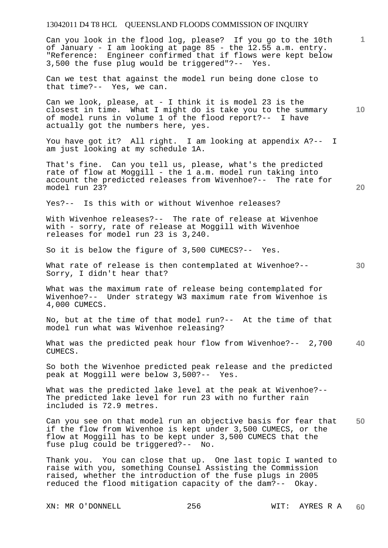Can you look in the flood log, please? If you go to the 10th of January - I am looking at page 85 - the 12.55 a.m. entry. "Reference: Engineer confirmed that if flows were kept below 3,500 the fuse plug would be triggered"?-- Yes.

Can we test that against the model run being done close to that time?-- Yes, we can.

**10**  Can we look, please, at - I think it is model 23 is the closest in time. What I might do is take you to the summary of model runs in volume 1 of the flood report?-- I have actually got the numbers here, yes.

You have got it? All right. I am looking at appendix A?-- I am just looking at my schedule 1A.

That's fine. Can you tell us, please, what's the predicted rate of flow at Moggill - the 1 a.m. model run taking into account the predicted releases from Wivenhoe?-- The rate for model run 23?

Yes?-- Is this with or without Wivenhoe releases?

With Wivenhoe releases?-- The rate of release at Wivenhoe with - sorry, rate of release at Moggill with Wivenhoe releases for model run 23 is 3,240.

So it is below the figure of 3,500 CUMECS?-- Yes.

What rate of release is then contemplated at Wivenhoe?--Sorry, I didn't hear that?

What was the maximum rate of release being contemplated for Wivenhoe?-- Under strategy W3 maximum rate from Wivenhoe is 4,000 CUMECS.

No, but at the time of that model run?-- At the time of that model run what was Wivenhoe releasing?

**40**  What was the predicted peak hour flow from Wivenhoe?-- 2,700 CUMECS.

So both the Wivenhoe predicted peak release and the predicted peak at Moggill were below 3,500?-- Yes.

What was the predicted lake level at the peak at Wivenhoe?-- The predicted lake level for run 23 with no further rain included is 72.9 metres.

**50**  Can you see on that model run an objective basis for fear that if the flow from Wivenhoe is kept under 3,500 CUMECS, or the flow at Moggill has to be kept under 3,500 CUMECS that the fuse plug could be triggered?-- No.

Thank you. You can close that up. One last topic I wanted to raise with you, something Counsel Assisting the Commission raised, whether the introduction of the fuse plugs in 2005 reduced the flood mitigation capacity of the dam?-- Okay.

XN: MR O'DONNELL 256 WIT: AYRES R A

**20** 

**1**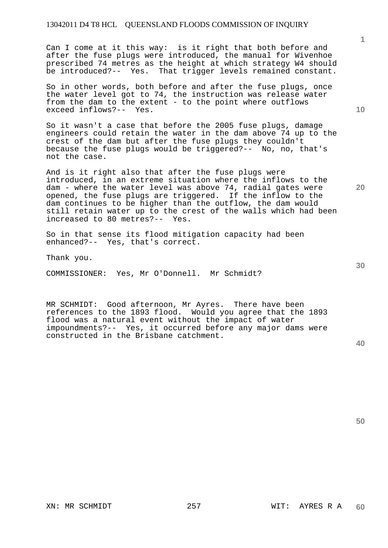Can I come at it this way: is it right that both before and after the fuse plugs were introduced, the manual for Wivenhoe prescribed 74 metres as the height at which strategy W4 should be introduced?-- Yes. That trigger levels remained constant.

So in other words, both before and after the fuse plugs, once the water level got to 74, the instruction was release water from the dam to the extent - to the point where outflows exceed inflows?-- Yes.

So it wasn't a case that before the 2005 fuse plugs, damage engineers could retain the water in the dam above 74 up to the crest of the dam but after the fuse plugs they couldn't because the fuse plugs would be triggered?-- No, no, that's not the case.

And is it right also that after the fuse plugs were introduced, in an extreme situation where the inflows to the dam - where the water level was above 74, radial gates were opened, the fuse plugs are triggered. If the inflow to the dam continues to be higher than the outflow, the dam would still retain water up to the crest of the walls which had been increased to 80 metres?-- Yes.

So in that sense its flood mitigation capacity had been enhanced?-- Yes, that's correct.

Thank you.

COMMISSIONER: Yes, Mr O'Donnell. Mr Schmidt?

MR SCHMIDT: Good afternoon, Mr Ayres. There have been references to the 1893 flood. Would you agree that the 1893 flood was a natural event without the impact of water impoundments?-- Yes, it occurred before any major dams were constructed in the Brisbane catchment.

**40** 

XN: MR SCHMIDT 257 WIT: AYRES R A **60** 

**20** 

**10** 

**1**

**30**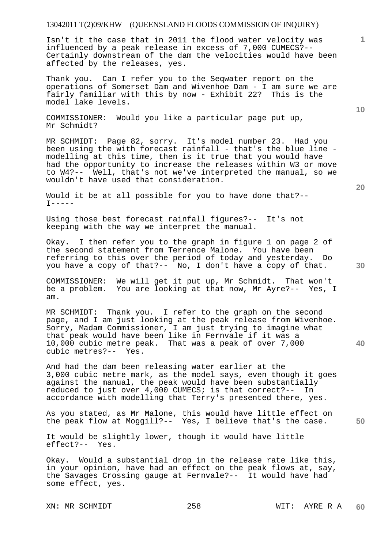Isn't it the case that in 2011 the flood water velocity was influenced by a peak release in excess of 7,000 CUMECS?-- Certainly downstream of the dam the velocities would have been affected by the releases, yes.

Thank you. Can I refer you to the Seqwater report on the operations of Somerset Dam and Wivenhoe Dam - I am sure we are fairly familiar with this by now - Exhibit 22? This is the model lake levels.

COMMISSIONER: Would you like a particular page put up, Mr Schmidt?

MR SCHMIDT: Page 82, sorry. It's model number 23. Had you been using the with forecast rainfall - that's the blue line modelling at this time, then is it true that you would have had the opportunity to increase the releases within W3 or move to W4?-- Well, that's not we've interpreted the manual, so we wouldn't have used that consideration.

Would it be at all possible for you to have done that?--  $I----$ 

Using those best forecast rainfall figures?-- It's not keeping with the way we interpret the manual.

Okay. I then refer you to the graph in figure 1 on page 2 of the second statement from Terrence Malone. You have been referring to this over the period of today and yesterday. Do you have a copy of that?-- No, I don't have a copy of that.

COMMISSIONER: We will get it put up, Mr Schmidt. That won't be a problem. You are looking at that now, Mr Ayre?-- Yes, I am.

MR SCHMIDT: Thank you. I refer to the graph on the second page, and I am just looking at the peak release from Wivenhoe. Sorry, Madam Commissioner, I am just trying to imagine what that peak would have been like in Fernvale if it was a 10,000 cubic metre peak. That was a peak of over 7,000 cubic metres?-- Yes.

And had the dam been releasing water earlier at the 3,000 cubic metre mark, as the model says, even though it goes against the manual, the peak would have been substantially reduced to just over 4,000 CUMECS; is that correct?-- In accordance with modelling that Terry's presented there, yes.

As you stated, as Mr Malone, this would have little effect on the peak flow at Moggill?-- Yes, I believe that's the case.

It would be slightly lower, though it would have little effect?-- Yes.

Okay. Would a substantial drop in the release rate like this, in your opinion, have had an effect on the peak flows at, say, the Savages Crossing gauge at Fernvale?-- It would have had some effect, yes.

XN: MR SCHMIDT 258 WIT: AYRE R A

**20** 

**40** 

**10**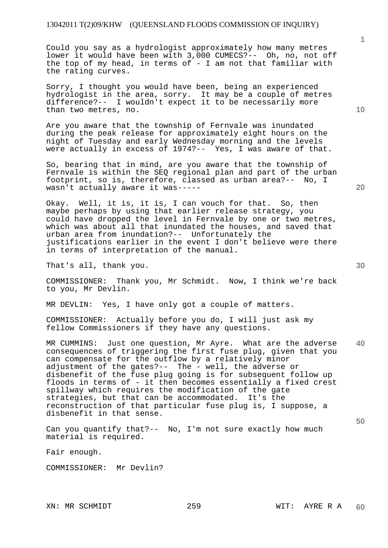Could you say as a hydrologist approximately how many metres lower it would have been with 3,000 CUMECS?-- Oh, no, not off the top of my head, in terms of - I am not that familiar with the rating curves.

Sorry, I thought you would have been, being an experienced hydrologist in the area, sorry. It may be a couple of metres difference?-- I wouldn't expect it to be necessarily more than two metres, no.

Are you aware that the township of Fernvale was inundated during the peak release for approximately eight hours on the night of Tuesday and early Wednesday morning and the levels were actually in excess of 1974?-- Yes, I was aware of that.

So, bearing that in mind, are you aware that the township of Fernvale is within the SEQ regional plan and part of the urban footprint, so is, therefore, classed as urban area?-- No, I wasn't actually aware it was-----

Okay. Well, it is, it is, I can vouch for that. So, then maybe perhaps by using that earlier release strategy, you could have dropped the level in Fernvale by one or two metres, which was about all that inundated the houses, and saved that urban area from inundation?-- Unfortunately the justifications earlier in the event I don't believe were there in terms of interpretation of the manual.

That's all, thank you.

COMMISSIONER: Thank you, Mr Schmidt. Now, I think we're back to you, Mr Devlin.

MR DEVLIN: Yes, I have only got a couple of matters.

COMMISSIONER: Actually before you do, I will just ask my fellow Commissioners if they have any questions.

**40**  MR CUMMINS: Just one question, Mr Ayre. What are the adverse consequences of triggering the first fuse plug, given that you can compensate for the outflow by a relatively minor adjustment of the gates?-- The - well, the adverse or disbenefit of the fuse plug going is for subsequent follow up floods in terms of - it then becomes essentially a fixed crest spillway which requires the modification of the gate strategies, but that can be accommodated. It's the reconstruction of that particular fuse plug is, I suppose, a disbenefit in that sense.

Can you quantify that?-- No, I'm not sure exactly how much material is required.

Fair enough.

COMMISSIONER: Mr Devlin?

**10** 

**30** 

**50**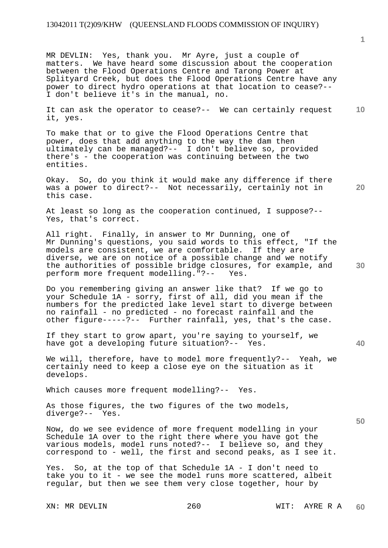MR DEVLIN: Yes, thank you. Mr Ayre, just a couple of matters. We have heard some discussion about the cooperation between the Flood Operations Centre and Tarong Power at Splityard Creek, but does the Flood Operations Centre have any power to direct hydro operations at that location to cease?-- I don't believe it's in the manual, no.

**10**  It can ask the operator to cease?-- We can certainly request it, yes.

To make that or to give the Flood Operations Centre that power, does that add anything to the way the dam then ultimately can be managed?-- I don't believe so, provided there's - the cooperation was continuing between the two entities.

Okay. So, do you think it would make any difference if there was a power to direct?-- Not necessarily, certainly not in this case.

At least so long as the cooperation continued, I suppose?-- Yes, that's correct.

All right. Finally, in answer to Mr Dunning, one of Mr Dunning's questions, you said words to this effect, "If the models are consistent, we are comfortable. If they are diverse, we are on notice of a possible change and we notify the authorities of possible bridge closures, for example, and perform more frequent modelling."?-- Yes.

Do you remembering giving an answer like that? If we go to your Schedule 1A - sorry, first of all, did you mean if the numbers for the predicted lake level start to diverge between no rainfall - no predicted - no forecast rainfall and the other figure-----?-- Further rainfall, yes, that's the case.

If they start to grow apart, you're saying to yourself, we have got a developing future situation?-- Yes.

We will, therefore, have to model more frequently?-- Yeah, we certainly need to keep a close eye on the situation as it develops.

Which causes more frequent modelling?-- Yes.

As those figures, the two figures of the two models, diverge?-- Yes.

Now, do we see evidence of more frequent modelling in your Schedule 1A over to the right there where you have got the various models, model runs noted?-- I believe so, and they correspond to - well, the first and second peaks, as I see it.

Yes. So, at the top of that Schedule 1A - I don't need to take you to it - we see the model runs more scattered, albeit regular, but then we see them very close together, hour by

**1**

**30** 

**40** 

**50**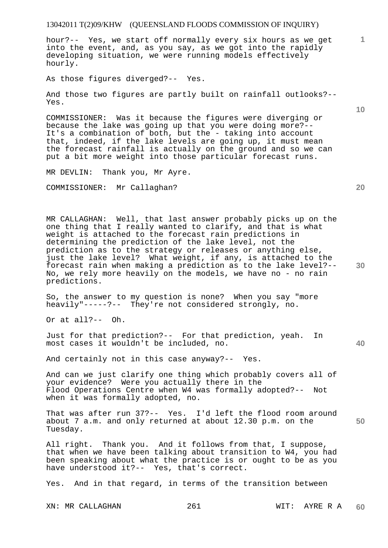hour?-- Yes, we start off normally every six hours as we get into the event, and, as you say, as we got into the rapidly developing situation, we were running models effectively hourly.

As those figures diverged?-- Yes.

And those two figures are partly built on rainfall outlooks?-- Yes.

COMMISSIONER: Was it because the figures were diverging or because the lake was going up that you were doing more?-- It's a combination of both, but the - taking into account that, indeed, if the lake levels are going up, it must mean the forecast rainfall is actually on the ground and so we can put a bit more weight into those particular forecast runs.

MR DEVLIN: Thank you, Mr Ayre.

COMMISSIONER: Mr Callaghan?

MR CALLAGHAN: Well, that last answer probably picks up on the one thing that I really wanted to clarify, and that is what weight is attached to the forecast rain predictions in determining the prediction of the lake level, not the prediction as to the strategy or releases or anything else, just the lake level? What weight, if any, is attached to the forecast rain when making a prediction as to the lake level?-- No, we rely more heavily on the models, we have no - no rain predictions.

So, the answer to my question is none? When you say "more heavily"-----?-- They're not considered strongly, no.

Or at all?-- Oh.

Just for that prediction?-- For that prediction, yeah. In most cases it wouldn't be included, no.

And certainly not in this case anyway?-- Yes.

And can we just clarify one thing which probably covers all of your evidence? Were you actually there in the Flood Operations Centre when W4 was formally adopted?-- Not when it was formally adopted, no.

That was after run 37?-- Yes. I'd left the flood room around about 7 a.m. and only returned at about 12.30 p.m. on the Tuesday.

All right. Thank you. And it follows from that, I suppose, that when we have been talking about transition to W4, you had been speaking about what the practice is or ought to be as you have understood it?-- Yes, that's correct.

Yes. And in that regard, in terms of the transition between

XN: MR CALLAGHAN 261 2012 WIT: AYRE R A

**20** 

**40** 

**50** 

**30** 

**10**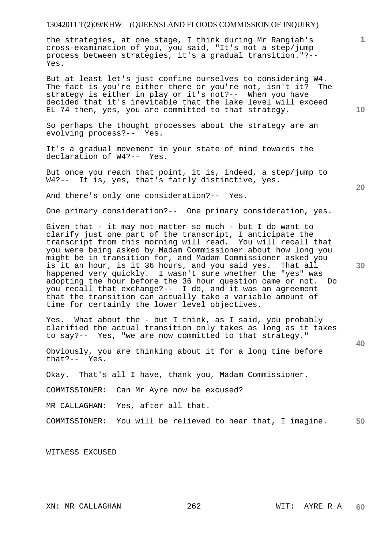the strategies, at one stage, I think during Mr Rangiah's cross-examination of you, you said, "It's not a step/jump process between strategies, it's a gradual transition."?-- Yes.

But at least let's just confine ourselves to considering W4.<br>The fact is you're either there or you're not, isn't it? The The fact is you're either there or you're not, isn't it? strategy is either in play or it's not?-- When you have decided that it's inevitable that the lake level will exceed EL 74 then, yes, you are committed to that strategy.

So perhaps the thought processes about the strategy are an evolving process?-- Yes.

It's a gradual movement in your state of mind towards the declaration of W4?-- Yes.

But once you reach that point, it is, indeed, a step/jump to W4?-- It is, yes, that's fairly distinctive, yes.

And there's only one consideration?-- Yes.

One primary consideration?-- One primary consideration, yes.

Given that - it may not matter so much - but I do want to clarify just one part of the transcript, I anticipate the transcript from this morning will read. You will recall that you were being asked by Madam Commissioner about how long you might be in transition for, and Madam Commissioner asked you is it an hour, is it 36 hours, and you said yes. That all happened very quickly. I wasn't sure whether the "yes" was adopting the hour before the 36 hour question came or not. Do you recall that exchange?-- I do, and it was an agreement that the transition can actually take a variable amount of time for certainly the lower level objectives.

Yes. What about the - but I think, as I said, you probably clarified the actual transition only takes as long as it takes to say?-- Yes, "we are now committed to that strategy."

Obviously, you are thinking about it for a long time before that?-- Yes.

Okay. That's all I have, thank you, Madam Commissioner.

COMMISSIONER: Can Mr Ayre now be excused?

MR CALLAGHAN: Yes, after all that.

**50**  COMMISSIONER: You will be relieved to hear that, I imagine.

WITNESS EXCUSED

**10** 

**1**

**20** 

**30**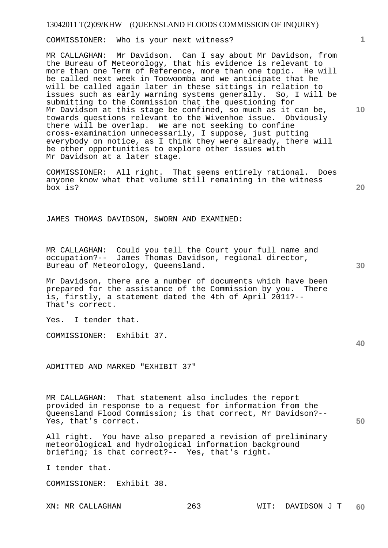COMMISSIONER: Who is your next witness?

MR CALLAGHAN: Mr Davidson. Can I say about Mr Davidson, from the Bureau of Meteorology, that his evidence is relevant to more than one Term of Reference, more than one topic. He will be called next week in Toowoomba and we anticipate that he will be called again later in these sittings in relation to issues such as early warning systems generally. So, I will be submitting to the Commission that the questioning for Mr Davidson at this stage be confined, so much as it can be, towards questions relevant to the Wivenhoe issue. Obviously there will be overlap. We are not seeking to confine cross-examination unnecessarily, I suppose, just putting everybody on notice, as I think they were already, there will be other opportunities to explore other issues with Mr Davidson at a later stage.

COMMISSIONER: All right. That seems entirely rational. Does anyone know what that volume still remaining in the witness box is?

JAMES THOMAS DAVIDSON, SWORN AND EXAMINED:

MR CALLAGHAN: Could you tell the Court your full name and occupation?-- James Thomas Davidson, regional director, Bureau of Meteorology, Queensland.

Mr Davidson, there are a number of documents which have been<br>prepared for the assistance of the Commission by you. There prepared for the assistance of the Commission by you. is, firstly, a statement dated the 4th of April 2011?-- That's correct.

Yes. I tender that.

COMMISSIONER: Exhibit 37.

ADMITTED AND MARKED "EXHIBIT 37"

MR CALLAGHAN: That statement also includes the report provided in response to a request for information from the Queensland Flood Commission; is that correct, Mr Davidson?-- Yes, that's correct.

All right. You have also prepared a revision of preliminary meteorological and hydrological information background briefing; is that correct?-- Yes, that's right.

I tender that.

COMMISSIONER: Exhibit 38.

**20** 

**40** 

**50** 

**10**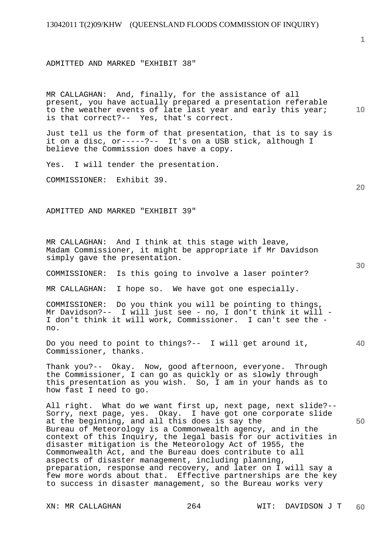ADMITTED AND MARKED "EXHIBIT 38"

MR CALLAGHAN: And, finally, for the assistance of all present, you have actually prepared a presentation referable to the weather events of late last year and early this year; is that correct?-- Yes, that's correct.

Just tell us the form of that presentation, that is to say is it on a disc, or-----?-- It's on a USB stick, although I believe the Commission does have a copy.

Yes. I will tender the presentation.

COMMISSIONER: Exhibit 39.

ADMITTED AND MARKED "EXHIBIT 39"

MR CALLAGHAN: And I think at this stage with leave, Madam Commissioner, it might be appropriate if Mr Davidson simply gave the presentation.

COMMISSIONER: Is this going to involve a laser pointer?

MR CALLAGHAN: I hope so. We have got one especially.

COMMISSIONER: Do you think you will be pointing to things, Mr Davidson?-- I will just see - no, I don't think it will - I don't think it will work, Commissioner. I can't see the no.

Do you need to point to things?-- I will get around it, Commissioner, thanks.

Thank you?-- Okay. Now, good afternoon, everyone. Through the Commissioner, I can go as quickly or as slowly through this presentation as you wish. So, I am in your hands as to how fast I need to go.

All right. What do we want first up, next page, next slide?-- Sorry, next page, yes. Okay. I have got one corporate slide at the beginning, and all this does is say the Bureau of Meteorology is a Commonwealth agency, and in the context of this Inquiry, the legal basis for our activities in disaster mitigation is the Meteorology Act of 1955, the Commonwealth Act, and the Bureau does contribute to all aspects of disaster management, including planning, preparation, response and recovery, and later on I will say a few more words about that. Effective partnerships are the key to success in disaster management, so the Bureau works very

**1**

**10** 

**40**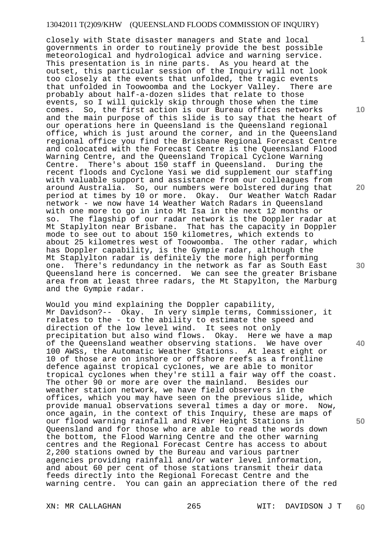closely with State disaster managers and State and local governments in order to routinely provide the best possible meteorological and hydrological advice and warning service. This presentation is in nine parts. As you heard at the outset, this particular session of the Inquiry will not look too closely at the events that unfolded, the tragic events that unfolded in Toowoomba and the Lockyer Valley. There are probably about half-a-dozen slides that relate to those events, so I will quickly skip through those when the time comes. So, the first action is our Bureau offices networks and the main purpose of this slide is to say that the heart of our operations here in Queensland is the Queensland regional office, which is just around the corner, and in the Queensland regional office you find the Brisbane Regional Forecast Centre and colocated with the Forecast Centre is the Queensland Flood Warning Centre, and the Queensland Tropical Cyclone Warning<br>Centre. There's about 150 staff in Oueensland. During the There's about 150 staff in Queensland. During the recent floods and Cyclone Yasi we did supplement our staffing with valuable support and assistance from our colleagues from around Australia. So, our numbers were bolstered during that period at times by 10 or more. Okay. Our Weather Watch Radar network - we now have 14 Weather Watch Radars in Queensland with one more to go in into Mt Isa in the next 12 months or so. The flagship of our radar network is the Doppler radar at Mt Staplylton near Brisbane. That has the capacity in Doppler mode to see out to about 150 kilometres, which extends to about 25 kilometres west of Toowoomba. The other radar, which has Doppler capability, is the Gympie radar, although the Mt Staplylton radar is definitely the more high performing one. There's redundancy in the network as far as South East Queensland here is concerned. We can see the greater Brisbane area from at least three radars, the Mt Stapylton, the Marburg and the Gympie radar.

Would you mind explaining the Doppler capability, Mr Davidson?-- Okay. In very simple terms, Commissioner, it relates to the - to the ability to estimate the speed and direction of the low level wind. It sees not only precipitation but also wind flows. Okay. Here we have a map of the Queensland weather observing stations. We have over 100 AWSs, the Automatic Weather Stations. At least eight or 10 of those are on inshore or offshore reefs as a frontline defence against tropical cyclones, we are able to monitor tropical cyclones when they're still a fair way off the coast. The other 90 or more are over the mainland. Besides our weather station network, we have field observers in the offices, which you may have seen on the previous slide, which provide manual observations several times a day or more. Now, once again, in the context of this Inquiry, these are maps of our flood warning rainfall and River Height Stations in Queensland and for those who are able to read the words down the bottom, the Flood Warning Centre and the other warning centres and the Regional Forecast Centre has access to about 2,200 stations owned by the Bureau and various partner agencies providing rainfall and/or water level information, and about 60 per cent of those stations transmit their data feeds directly into the Regional Forecast Centre and the warning centre. You can gain an appreciation there of the red

XN: MR CALLAGHAN 265 WIT: DAVIDSON J T **60** 

**10** 

**1**

**20** 

**30** 

**40**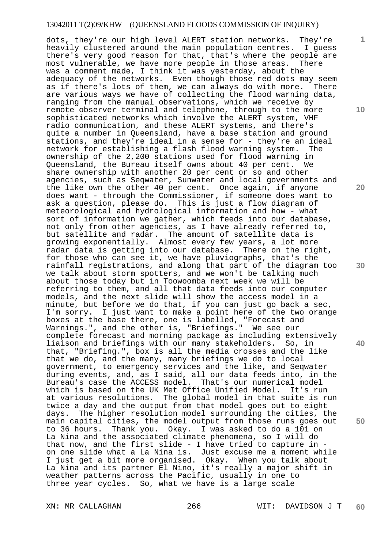dots, they're our high level ALERT station networks. They're heavily clustered around the main population centres. I guess there's very good reason for that, that's where the people are most vulnerable, we have more people in those areas. There was a comment made, I think it was yesterday, about the adequacy of the networks. Even though those red dots may seem as if there's lots of them, we can always do with more. There are various ways we have of collecting the flood warning data, ranging from the manual observations, which we receive by remote observer terminal and telephone, through to the more sophisticated networks which involve the ALERT system, VHF radio communication, and these ALERT systems, and there's quite a number in Queensland, have a base station and ground stations, and they're ideal in a sense for - they're an ideal network for establishing a flash flood warning system. The ownership of the 2,200 stations used for flood warning in Queensland, the Bureau itself owns about 40 per cent. We share ownership with another 20 per cent or so and other agencies, such as Seqwater, Sunwater and local governments and the like own the other 40 per cent. Once again, if anyone does want - through the Commissioner, if someone does want to ask a question, please do. This is just a flow diagram of meteorological and hydrological information and how - what sort of information we gather, which feeds into our database, not only from other agencies, as I have already referred to, but satellite and radar. The amount of satellite data is growing exponentially. Almost every few years, a lot more radar data is getting into our database. There on the right, for those who can see it, we have pluviographs, that's the rainfall registrations, and along that part of the diagram too we talk about storm spotters, and we won't be talking much about those today but in Toowoomba next week we will be referring to them, and all that data feeds into our computer models, and the next slide will show the access model in a minute, but before we do that, if you can just go back a sec, I'm sorry. I just want to make a point here of the two orange boxes at the base there, one is labelled, "Forecast and Warnings.", and the other is, "Briefings." We see our complete forecast and morning package as including extensively liaison and briefings with our many stakeholders. So, in that, "Briefing.", box is all the media crosses and the like that we do, and the many, many briefings we do to local government, to emergency services and the like, and Seqwater during events, and, as I said, all our data feeds into, in the Bureau's case the ACCESS model. That's our numerical model which is based on the UK Met Office Unified Model. It's run at various resolutions. The global model in that suite is run twice a day and the output from that model goes out to eight days. The higher resolution model surrounding the cities, the main capital cities, the model output from those runs goes out to 36 hours. Thank you. Okay. I was asked to do a 101 on La Nina and the associated climate phenomena, so I will do that now, and the first slide - I have tried to capture in on one slide what a La Nina is. Just excuse me a moment while I just get a bit more organised. Okay. When you talk about La Nina and its partner El Nino, it's really a major shift in weather patterns across the Pacific, usually in one to three year cycles. So, what we have is a large scale

**1**

**10** 

**20** 

**30** 

**40**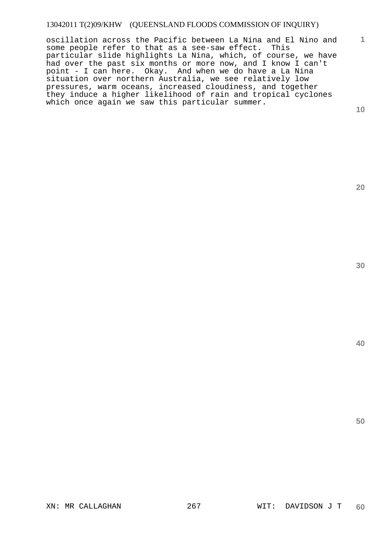oscillation across the Pacific between La Nina and El Nino and some people refer to that as a see-saw effect. This particular slide highlights La Nina, which, of course, we have had over the past six months or more now, and I know I can't point - I can here. Okay. And when we do have a La Nina situation over northern Australia, we see relatively low pressures, warm oceans, increased cloudiness, and together they induce a higher likelihood of rain and tropical cyclones which once again we saw this particular summer.

**10** 

**1**

**20** 

**40**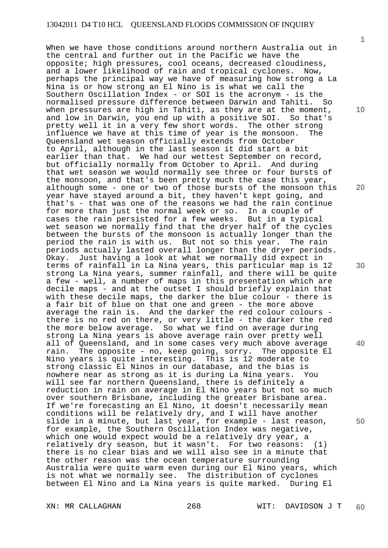When we have those conditions around northern Australia out in the central and further out in the Pacific we have the opposite; high pressures, cool oceans, decreased cloudiness, and a lower likelihood of rain and tropical cyclones. Now, perhaps the principal way we have of measuring how strong a La Nina is or how strong an El Nino is is what we call the Southern Oscillation Index - or SOI is the acronym - is the normalised pressure difference between Darwin and Tahiti. So when pressures are high in Tahiti, as they are at the moment, and low in Darwin, you end up with a positive SOI. So that's pretty well it in a very few short words. The other strong influence we have at this time of year is the monsoon. The Queensland wet season officially extends from October to April, although in the last season it did start a bit earlier than that. We had our wettest September on record, but officially normally from October to April. And during that wet season we would normally see three or four bursts of the monsoon, and that's been pretty much the case this year, although some - one or two of those bursts of the monsoon this year have stayed around a bit, they haven't kept going, and that's - that was one of the reasons we had the rain continue for more than just the normal week or so. In a couple of cases the rain persisted for a few weeks. But in a typical wet season we normally find that the dryer half of the cycles between the bursts of the monsoon is actually longer than the period the rain is with us. But not so this year. The rain periods actually lasted overall longer than the dryer periods. Okay. Just having a look at what we normally did expect in terms of rainfall in La Nina years, this particular map is 12 strong La Nina years, summer rainfall, and there will be quite a few - well, a number of maps in this presentation which are decile maps - and at the outset I should briefly explain that with these decile maps, the darker the blue colour - there is a fair bit of blue on that one and green - the more above average the rain is. And the darker the red colour colours there is no red on there, or very little - the darker the red the more below average. So what we find on average during strong La Nina years is above average rain over pretty well all of Queensland, and in some cases very much above average rain. The opposite - no, keep going, sorry. The opposite El<br>Nino years is quite interesting. This is 12 moderate to Nino years is quite interesting. strong classic El Ninos in our database, and the bias is nowhere near as strong as it is during La Nina years. You will see far northern Queensland, there is definitely a reduction in rain on average in El Nino years but not so much over southern Brisbane, including the greater Brisbane area. If we're forecasting an El Nino, it doesn't necessarily mean conditions will be relatively dry, and I will have another slide in a minute, but last year, for example - last reason, for example, the Southern Oscillation Index was negative, which one would expect would be a relatively dry year, a relatively dry season, but it wasn't. For two reasons: (1) there is no clear bias and we will also see in a minute that the other reason was the ocean temperature surrounding Australia were quite warm even during our El Nino years, which is not what we normally see. The distribution of cyclones between El Nino and La Nina years is quite marked. During El

XN: MR CALLAGHAN 268 WIT: DAVIDSON J T **60** 

**1**

**10** 

**20** 

**30** 

**40**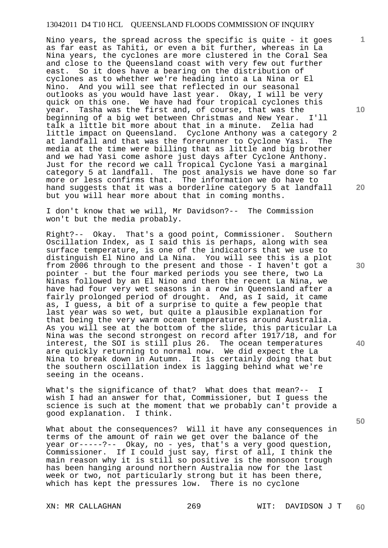Nino years, the spread across the specific is quite - it goes as far east as Tahiti, or even a bit further, whereas in La Nina years, the cyclones are more clustered in the Coral Sea and close to the Queensland coast with very few out further east. So it does have a bearing on the distribution of cyclones as to whether we're heading into a La Nina or El Nino. And you will see that reflected in our seasonal outlooks as you would have last year. Okay, I will be very quick on this one. We have had four tropical cyclones this year. Tasha was the first and, of course, that was the beginning of a big wet between Christmas and New Year. I'll talk a little bit more about that in a minute. Zelia had little impact on Queensland. Cyclone Anthony was a category 2 at landfall and that was the forerunner to Cyclone Yasi. The media at the time were billing that as little and big brother and we had Yasi come ashore just days after Cyclone Anthony. Just for the record we call Tropical Cyclone Yasi a marginal category 5 at landfall. The post analysis we have done so far more or less confirms that. The information we do have to hand suggests that it was a borderline category 5 at landfall but you will hear more about that in coming months.

I don't know that we will, Mr Davidson?-- The Commission won't but the media probably.

Right?-- Okay. That's a good point, Commissioner. Southern Oscillation Index, as I said this is perhaps, along with sea surface temperature, is one of the indicators that we use to distinguish El Nino and La Nina. You will see this is a plot from 2006 through to the present and those - I haven't got a pointer - but the four marked periods you see there, two La Ninas followed by an El Nino and then the recent La Nina, we have had four very wet seasons in a row in Queensland after a fairly prolonged period of drought. And, as I said, it came as, I guess, a bit of a surprise to quite a few people that last year was so wet, but quite a plausible explanation for that being the very warm ocean temperatures around Australia. As you will see at the bottom of the slide, this particular La Nina was the second strongest on record after 1917/18, and for interest, the SOI is still plus 26. The ocean temperatures are quickly returning to normal now. We did expect the La Nina to break down in Autumn. It is certainly doing that but the southern oscillation index is lagging behind what we're seeing in the oceans.

What's the significance of that? What does that mean?-- I wish I had an answer for that, Commissioner, but I guess the science is such at the moment that we probably can't provide a good explanation. I think.

What about the consequences? Will it have any consequences in terms of the amount of rain we get over the balance of the year or-----?-- Okay, no - yes, that's a very good question, Commissioner. If I could just say, first of all, I think the main reason why it is still so positive is the monsoon trough has been hanging around northern Australia now for the last week or two, not particularly strong but it has been there, which has kept the pressures low. There is no cyclone

**10** 

**1**

**20** 

**40**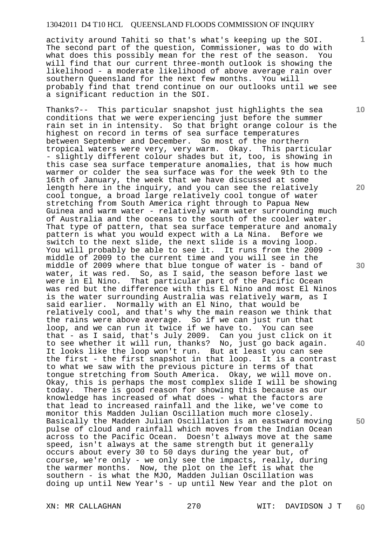activity around Tahiti so that's what's keeping up the SOI. The second part of the question, Commissioner, was to do with what does this possibly mean for the rest of the season. You will find that our current three-month outlook is showing the likelihood - a moderate likelihood of above average rain over southern Queensland for the next few months. You will probably find that trend continue on our outlooks until we see a significant reduction in the SOI.

Thanks?-- This particular snapshot just highlights the sea conditions that we were experiencing just before the summer rain set in in intensity. So that bright orange colour is the highest on record in terms of sea surface temperatures between September and December. So most of the northern tropical waters were very, very warm. Okay. This particular - slightly different colour shades but it, too, is showing in this case sea surface temperature anomalies, that is how much warmer or colder the sea surface was for the week 9th to the 16th of January, the week that we have discussed at some length here in the inquiry, and you can see the relatively cool tongue, a broad large relatively cool tongue of water stretching from South America right through to Papua New Guinea and warm water - relatively warm water surrounding much of Australia and the oceans to the south of the cooler water. That type of pattern, that sea surface temperature and anomaly pattern is what you would expect with a La Nina. Before we switch to the next slide, the next slide is a moving loop. You will probably be able to see it. It runs from the 2009 middle of 2009 to the current time and you will see in the middle of 2009 where that blue tongue of water is - band of water, it was red. So, as I said, the season before last we were in El Nino. That particular part of the Pacific Ocean was red but the difference with this El Nino and most El Ninos is the water surrounding Australia was relatively warm, as I said earlier. Normally with an El Nino, that would be relatively cool, and that's why the main reason we think that the rains were above average. So if we can just run that loop, and we can run it twice if we have to. You can see that - as I said, that's July 2009. Can you just click on it to see whether it will run, thanks? No, just go back again. It looks like the loop won't run. But at least you can see the first - the first snapshot in that loop. It is a contrast to what we saw with the previous picture in terms of that tongue stretching from South America. Okay, we will move on. Okay, this is perhaps the most complex slide I will be showing today. There is good reason for showing this because as our knowledge has increased of what does - what the factors are that lead to increased rainfall and the like, we've come to monitor this Madden Julian Oscillation much more closely. Basically the Madden Julian Oscillation is an eastward moving pulse of cloud and rainfall which moves from the Indian Ocean across to the Pacific Ocean. Doesn't always move at the same speed, isn't always at the same strength but it generally occurs about every 30 to 50 days during the year but, of course, we're only - we only see the impacts, really, during the warmer months. Now, the plot on the left is what the southern - is what the MJO, Madden Julian Oscillation was doing up until New Year's - up until New Year and the plot on

XN: MR CALLAGHAN 270 WIT: DAVIDSON J T **60** 

**10** 

**1**

**20** 

**30** 

**40**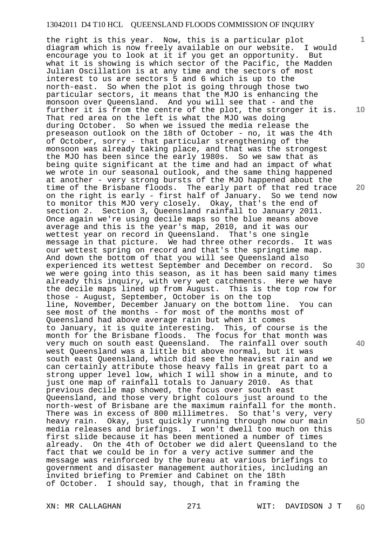**10 20 50**  the right is this year. Now, this is a particular plot diagram which is now freely available on our website. I would encourage you to look at it if you get an opportunity. But what it is showing is which sector of the Pacific, the Madden Julian Oscillation is at any time and the sectors of most interest to us are sectors 5 and 6 which is up to the north-east. So when the plot is going through those two particular sectors, it means that the MJO is enhancing the monsoon over Queensland. And you will see that - and the further it is from the centre of the plot, the stronger it is. That red area on the left is what the MJO was doing during October. So when we issued the media release the preseason outlook on the 18th of October - no, it was the 4th of October, sorry - that particular strengthening of the monsoon was already taking place, and that was the strongest the MJO has been since the early 1980s. So we saw that as being quite significant at the time and had an impact of what we wrote in our seasonal outlook, and the same thing happened at another - very strong bursts of the MJO happened about the time of the Brisbane floods. The early part of that red trace on the right is early - first half of January. So we tend now to monitor this MJO very closely. Okay, that's the end of section 2. Section 3, Queensland rainfall to January 2011. Once again we're using decile maps so the blue means above average and this is the year's map, 2010, and it was our wettest year on record in Queensland. That's one single message in that picture. We had three other records. It was our wettest spring on record and that's the springtime map. And down the bottom of that you will see Queensland also experienced its wettest September and December on record. So we were going into this season, as it has been said many times already this inquiry, with very wet catchments. Here we have the decile maps lined up from August. This is the top row for those - August, September, October is on the top line, November, December January on the bottom line. You can see most of the months - for most of the months most of Queensland had above average rain but when it comes to January, it is quite interesting. This, of course is the month for the Brisbane floods. The focus for that month was very much on south east Queensland. The rainfall over south west Queensland was a little bit above normal, but it was south east Queensland, which did see the heaviest rain and we can certainly attribute those heavy falls in great part to a strong upper level low, which I will show in a minute, and to just one map of rainfall totals to January 2010. As that previous decile map showed, the focus over south east Queensland, and those very bright colours just around to the north-west of Brisbane are the maximum rainfall for the month. There was in excess of 800 millimetres. So that's very, very heavy rain. Okay, just quickly running through now our main media releases and briefings. I won't dwell too much on this first slide because it has been mentioned a number of times already. On the 4th of October we did alert Queensland to the fact that we could be in for a very active summer and the message was reinforced by the bureau at various briefings to government and disaster management authorities, including an invited briefing to Premier and Cabinet on the 18th of October. I should say, though, that in framing the

XN: MR CALLAGHAN 271 WIT: DAVIDSON J T **60** 

**30** 

**1**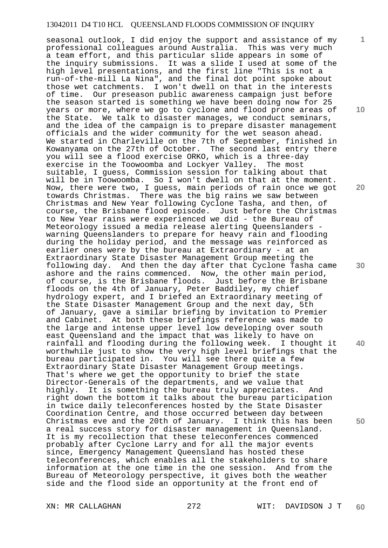seasonal outlook, I did enjoy the support and assistance of my professional colleagues around Australia. This was very much a team effort, and this particular slide appears in some of the inquiry submissions. It was a slide I used at some of the high level presentations, and the first line "This is not a run-of-the-mill La Nina", and the final dot point spoke about those wet catchments. I won't dwell on that in the interests of time. Our preseason public awareness campaign just before the season started is something we have been doing now for 25 years or more, where we go to cyclone and flood prone areas of the State. We talk to disaster manages, we conduct seminars, and the idea of the campaign is to prepare disaster management officials and the wider community for the wet season ahead. We started in Charleville on the 7th of September, finished in Kowanyama on the 27th of October. The second last entry there you will see a flood exercise ORKO, which is a three-day exercise in the Toowoomba and Lockyer Valley. The most suitable, I guess, Commission session for talking about that will be in Toowoomba. So I won't dwell on that at the moment. Now, there were two, I guess, main periods of rain once we got towards Christmas. There was the big rains we saw between Christmas and New Year following Cyclone Tasha, and then, of course, the Brisbane flood episode. Just before the Christmas to New Year rains were experienced we did - the Bureau of Meteorology issued a media release alerting Queenslanders warning Queenslanders to prepare for heavy rain and flooding during the holiday period, and the message was reinforced as earlier ones were by the bureau at Extraordinary - at an Extraordinary State Disaster Management Group meeting the following day. And then the day after that Cyclone Tasha came ashore and the rains commenced. Now, the other main period, of course, is the Brisbane floods. Just before the Brisbane floods on the 4th of January, Peter Baddiley, my chief hydrology expert, and I briefed an Extraordinary meeting of the State Disaster Management Group and the next day, 5th of January, gave a similar briefing by invitation to Premier and Cabinet. At both these briefings reference was made to the large and intense upper level low developing over south east Queensland and the impact that was likely to have on rainfall and flooding during the following week. I thought it worthwhile just to show the very high level briefings that the bureau participated in. You will see there quite a few Extraordinary State Disaster Management Group meetings. That's where we get the opportunity to brief the state Director-Generals of the departments, and we value that highly. It is something the bureau truly appreciates. And right down the bottom it talks about the bureau participation in twice daily teleconferences hosted by the State Disaster Coordination Centre, and those occurred between day between Christmas eve and the 20th of January. I think this has been a real success story for disaster management in Queensland. It is my recollection that these teleconferences commenced probably after Cyclone Larry and for all the major events since, Emergency Management Queensland has hosted these teleconferences, which enables all the stakeholders to share information at the one time in the one session. And from the Bureau of Meteorology perspective, it gives both the weather side and the flood side an opportunity at the front end of

**1**

**10** 

**20** 

**30** 

**40**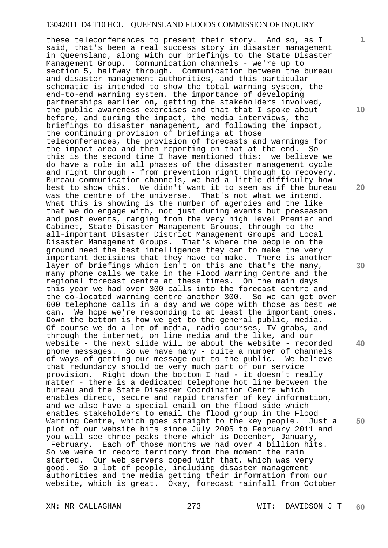these teleconferences to present their story. And so, as I said, that's been a real success story in disaster management in Queensland, along with our briefings to the State Disaster Management Group. Communication channels - we're up to section 5, halfway through. Communication between the bureau and disaster management authorities, and this particular schematic is intended to show the total warning system, the end-to-end warning system, the importance of developing partnerships earlier on, getting the stakeholders involved, the public awareness exercises and that that I spoke about before, and during the impact, the media interviews, the briefings to disaster management, and following the impact, the continuing provision of briefings at those teleconferences, the provision of forecasts and warnings for the impact area and then reporting on that at the end. So this is the second time I have mentioned this: we believe we do have a role in all phases of the disaster management cycle and right through - from prevention right through to recovery. Bureau communication channels, we had a little difficulty how best to show this. We didn't want it to seem as if the bureau was the centre of the universe. That's not what we intend. What this is showing is the number of agencies and the like that we do engage with, not just during events but preseason and post events, ranging from the very high level Premier and Cabinet, State Disaster Management Groups, through to the all-important Disaster District Management Groups and Local Disaster Management Groups. That's where the people on the ground need the best intelligence they can to make the very important decisions that they have to make. There is another layer of briefings which isn't on this and that's the many, many phone calls we take in the Flood Warning Centre and the regional forecast centre at these times. On the main days this year we had over 300 calls into the forecast centre and the co-located warning centre another 300. So we can get over 600 telephone calls in a day and we cope with those as best we can. We hope we're responding to at least the important ones. Down the bottom is how we get to the general public, media. Of course we do a lot of media, radio courses, TV grabs, and through the internet, on line media and the like, and our website - the next slide will be about the website - recorded phone messages. So we have many - quite a number of channels of ways of getting our message out to the public. We believe that redundancy should be very much part of our service provision. Right down the bottom I had - it doesn't really matter - there is a dedicated telephone hot line between the bureau and the State Disaster Coordination Centre which enables direct, secure and rapid transfer of key information, and we also have a special email on the flood side which enables stakeholders to email the flood group in the Flood Warning Centre, which goes straight to the key people. Just a plot of our website hits since July 2005 to February 2011 and you will see three peaks there which is December, January, February. Each of those months we had over 4 billion hits. So we were in record territory from the moment the rain started. Our web servers coped with that, which was very good. So a lot of people, including disaster management authorities and the media getting their information from our website, which is great. Okay, forecast rainfall from October

XN: MR CALLAGHAN 273 WIT: DAVIDSON J T **60** 

**10** 

**1**

**20** 

**30** 

**40**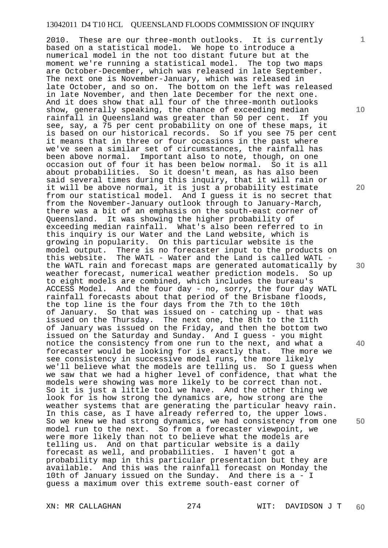2010. These are our three-month outlooks. It is currently based on a statistical model. We hope to introduce a numerical model in the not too distant future but at the moment we're running a statistical model. The top two maps are October-December, which was released in late September. The next one is November-January, which was released in late October, and so on. The bottom on the left was released in late November, and then late December for the next one. And it does show that all four of the three-month outlooks show, generally speaking, the chance of exceeding median rainfall in Queensland was greater than 50 per cent. If you see, say, a 75 per cent probability on one of these maps, it is based on our historical records. So if you see 75 per cent it means that in three or four occasions in the past where we've seen a similar set of circumstances, the rainfall has been above normal. Important also to note, though, on one occasion out of four it has been below normal. So it is all about probabilities. So it doesn't mean, as has also been said several times during this inquiry, that it will rain or it will be above normal, it is just a probability estimate from our statistical model. And I guess it is no secret that from the November-January outlook through to January-March, there was a bit of an emphasis on the south-east corner of Queensland. It was showing the higher probability of exceeding median rainfall. What's also been referred to in this inquiry is our Water and the Land website, which is growing in popularity. On this particular website is the model output. There is no forecaster input to the products on this website. The WATL - Water and the Land is called WATL the WATL rain and forecast maps are generated automatically by weather forecast, numerical weather prediction models. So up to eight models are combined, which includes the bureau's ACCESS Model. And the four day - no, sorry, the four day WATL rainfall forecasts about that period of the Brisbane floods, the top line is the four days from the 7th to the 10th of January. So that was issued on - catching up - that was issued on the Thursday. The next one, the 8th to the 11th of January was issued on the Friday, and then the bottom two issued on the Saturday and Sunday. And I guess - you might notice the consistency from one run to the next, and what a forecaster would be looking for is exactly that. The more we see consistency in successive model runs, the more likely we'll believe what the models are telling us. So I guess when we saw that we had a higher level of confidence, that what the models were showing was more likely to be correct than not. So it is just a little tool we have. And the other thing we look for is how strong the dynamics are, how strong are the weather systems that are generating the particular heavy rain. In this case, as I have already referred to, the upper lows. So we knew we had strong dynamics, we had consistency from one model run to the next. So from a forecaster viewpoint, we were more likely than not to believe what the models are telling us. And on that particular website is a daily forecast as well, and probabilities. I haven't got a probability map in this particular presentation but they are available. And this was the rainfall forecast on Monday the 10th of January issued on the Sunday. And there is a - I guess a maximum over this extreme south-east corner of

XN: MR CALLAGHAN 274 WIT: DAVIDSON J T **60** 

**1**

**10** 

**20** 

**30** 

**40**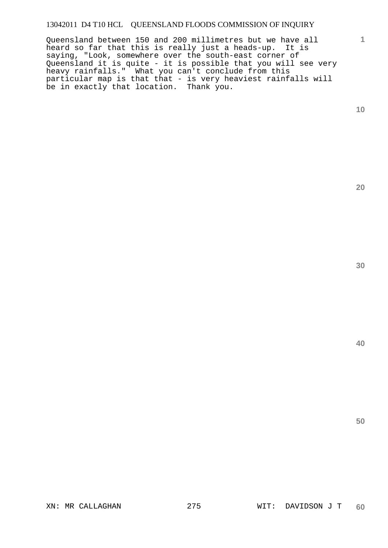Queensland between 150 and 200 millimetres but we have all heard so far that this is really just a heads-up. It is saying, "Look, somewhere over the south-east corner of Queensland it is quite - it is possible that you will see very heavy rainfalls." What you can't conclude from this particular map is that that - is very heaviest rainfalls will be in exactly that location. Thank you.

**10** 

**1**

**30** 

**20**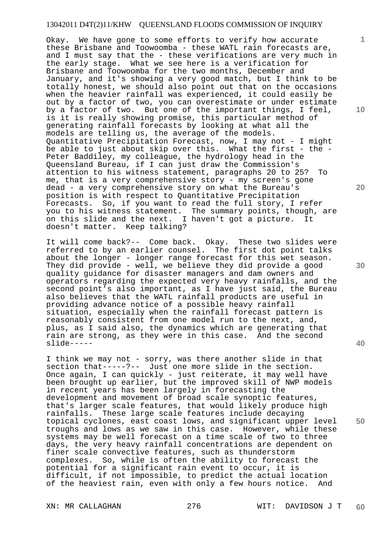Okay. We have gone to some efforts to verify how accurate these Brisbane and Toowoomba - these WATL rain forecasts are, and I must say that the - these verifications are very much in the early stage. What we see here is a verification for Brisbane and Toowoomba for the two months, December and January, and it's showing a very good match, but I think to be totally honest, we should also point out that on the occasions when the heavier rainfall was experienced, it could easily be out by a factor of two, you can overestimate or under estimate by a factor of two. But one of the important things, I feel, is it is really showing promise, this particular method of generating rainfall forecasts by looking at what all the models are telling us, the average of the models. Quantitative Precipitation Forecast, now, I may not - I might be able to just about skip over this. What the first - the - Peter Baddiley, my colleague, the hydrology head in the Queensland Bureau, if I can just draw the Commission's attention to his witness statement, paragraphs 20 to 25? To me, that is a very comprehensive story - my screen's gone dead - a very comprehensive story on what the Bureau's position is with respect to Quantitative Precipitation Forecasts. So, if you want to read the full story, I refer you to his witness statement. The summary points, though, are on this slide and the next. I haven't got a picture. It doesn't matter. Keep talking?

It will come back?-- Come back. Okay. These two slides were referred to by an earlier counsel. The first dot point talks about the longer - longer range forecast for this wet season. They did provide - well, we believe they did provide a good quality guidance for disaster managers and dam owners and operators regarding the expected very heavy rainfalls, and the second point's also important, as I have just said, the Bureau also believes that the WATL rainfall products are useful in providing advance notice of a possible heavy rainfall situation, especially when the rainfall forecast pattern is reasonably consistent from one model run to the next, and, plus, as I said also, the dynamics which are generating that rain are strong, as they were in this case. And the second slide-----

I think we may not - sorry, was there another slide in that section that-----?-- Just one more slide in the section. Once again, I can quickly - just reiterate, it may well have been brought up earlier, but the improved skill of NWP models in recent years has been largely in forecasting the development and movement of broad scale synoptic features, that's larger scale features, that would likely produce high rainfalls. These large scale features include decaying topical cyclones, east coast lows, and significant upper level troughs and lows as we saw in this case. However, while these systems may be well forecast on a time scale of two to three days, the very heavy rainfall concentrations are dependent on finer scale convective features, such as thunderstorm complexes. So, while is often the ability to forecast the potential for a significant rain event to occur, it is difficult, if not impossible, to predict the actual location of the heaviest rain, even with only a few hours notice. And

XN: MR CALLAGHAN 276 WIT: DAVIDSON J T **60** 

**10** 

**1**

**20** 

**40**